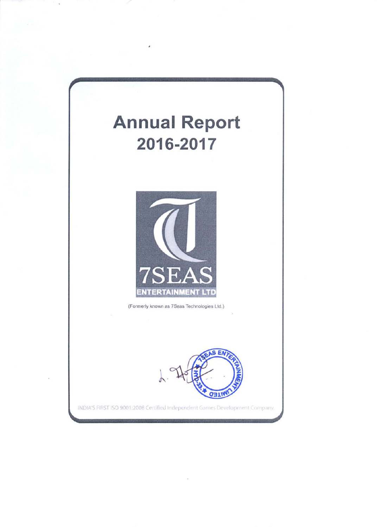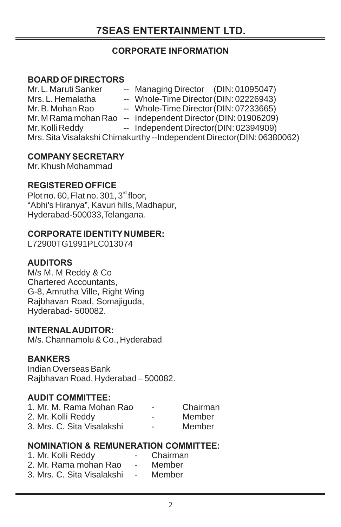#### **CORPORATE INFORMATION**

### **BOARD OF DIRECTORS**

| Mr. L. Maruti Sanker | -- Managing Director (DIN: 01095047)                                   |
|----------------------|------------------------------------------------------------------------|
| Mrs. L. Hemalatha    | -- Whole-Time Director (DIN: 02226943)                                 |
| Mr. B. Mohan Rao     | -- Whole-Time Director (DIN: 07233665)                                 |
|                      | Mr. M Rama mohan Rao -- Independent Director (DIN: 01906209)           |
| Mr. Kolli Reddy      | -- Independent Director(DIN: 02394909)                                 |
|                      | Mrs. Sita Visalakshi Chimakurthy --Independent Director(DIN: 06380062) |

#### **COMPANY SECRETARY**

Mr. Khush Mohammad

#### **REGISTERED OFFICE**

Plot no. 60, Flat no.  $301, 3<sup>rd</sup>$  floor, "Abhi's Hiranya", Kavuri hills, Madhapur, Hyderabad-500033,Telangana .

#### **CORPORATE IDENTITY NUMBER:**

L72900TG1991PLC013074

#### **AUDITORS**

M/s M. M Reddy & Co Chartered Accountants, G-8, Amrutha Ville, Right Wing Rajbhavan Road, Somajiguda, Hyderabad- 500082.

#### **INTERNAL AUDITOR:**

M/s. Channamolu & Co., Hyderabad

# **BANKERS**

Indian Overseas Bank Rajbhavan Road, Hyderabad – 500082.

## **AUDIT COMMITTEE:**

| 1. Mr. M. Rama Mohan Rao   | ۰ | Chairman |
|----------------------------|---|----------|
| 2. Mr. Kolli Reddy         | ۰ | Member   |
| 3. Mrs. C. Sita Visalakshi | ٠ | Member   |

#### **NOMINATION & REMUNERATION COMMITTEE:**

| 1. Mr. Kolli Reddy         | $\blacksquare$ | Chairman |
|----------------------------|----------------|----------|
| 2. Mr. Rama mohan Rao      | $\sim$         | Member   |
| 3. Mrs. C. Sita Visalakshi | $\sim$         | Member   |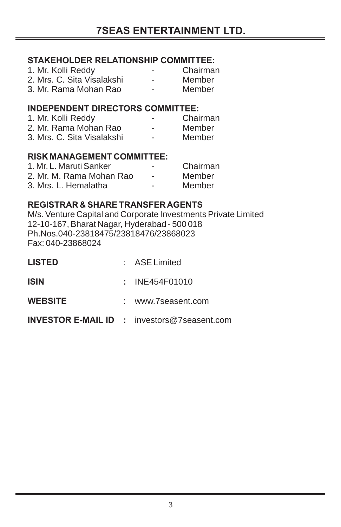# **STAKEHOLDER RELATIONSHIP COMMITTEE:**

| 1. Mr. Kolli Reddy         | ۰ | Chairman |
|----------------------------|---|----------|
| 2. Mrs. C. Sita Visalakshi | ۰ | Member   |
| 3. Mr. Rama Mohan Rao      | - | Member   |

# **INDEPENDENT DIRECTORS COMMITTEE:**

| 1. Mr. Kolli Reddy                | Chairman |
|-----------------------------------|----------|
| 2. Mr. Rama Mohan Rao             | Member   |
| 3. Mrs. C. Sita Visalakshi        | Member   |
| <b>RISK MANAGEMENT COMMITTEE:</b> |          |
| 1. Mr. L. Maruti Sanker           | Chairman |

| 1.1911. L. Margia Odinici |   | <b>VIIAIIIII</b> |
|---------------------------|---|------------------|
| 2. Mr. M. Rama Mohan Rao  |   | Member           |
| 3. Mrs. L. Hemalatha      | - | Member           |

#### **REGISTRAR & SHARE TRANSFER AGENTS**

M/s. Venture Capital and Corporate Investments Private Limited 12-10-167, Bharat Nagar, Hyderabad - 500 018 Ph.Nos.040-23818475/23818476/23868023 Fax: 040-23868024

| <b>LISTED</b>  | : ASE Limited                                      |
|----------------|----------------------------------------------------|
| ISIN           | : INE454F01010                                     |
| <b>WEBSITE</b> | : www.7seasent.com                                 |
|                | <b>INVESTOR E-MAIL ID</b> : investors@7seasent.com |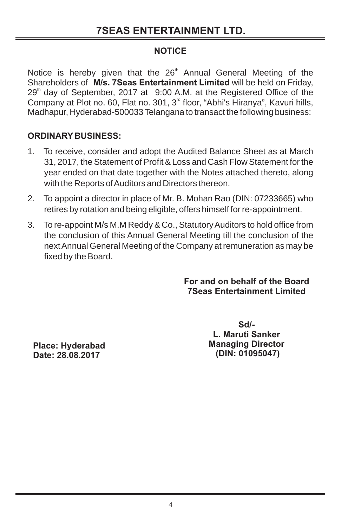# **NOTICE**

Notice is hereby given that the 26<sup>th</sup> Annual General Meeting of the Shareholders of **M/s. 7Seas Entertainment Limited** will be held on Friday,  $29<sup>th</sup>$  day of September, 2017 at 9:00 A.M. at the Registered Office of the Company at Plot no. 60, Flat no. 301, 3<sup>rd</sup> floor, "Abhi's Hiranya", Kavuri hills, Madhapur, Hyderabad-500033 Telangana to transact the following business:

# **ORDINARY BUSINESS:**

- 1. To receive, consider and adopt the Audited Balance Sheet as at March 31, 2017, the Statement of Profit & Loss and Cash Flow Statement for the year ended on that date together with the Notes attached thereto, along with the Reports of Auditors and Directors thereon.
- 2. To appoint a director in place of Mr. B. Mohan Rao (DIN: 07233665) who retires by rotation and being eligible, offers himself for re-appointment.
- 3. To re-appoint M/s M.M Reddy & Co., Statutory Auditors to hold office from the conclusion of this Annual General Meeting till the conclusion of the next Annual General Meeting of the Company at remuneration as may be fixed by the Board.

**For and on behalf of the Board 7Seas Entertainment Limited**

**Place: Hyderabad Date: 28.08.2017**

**Sd/- L. Maruti Sanker Managing Director (DIN: 01095047)**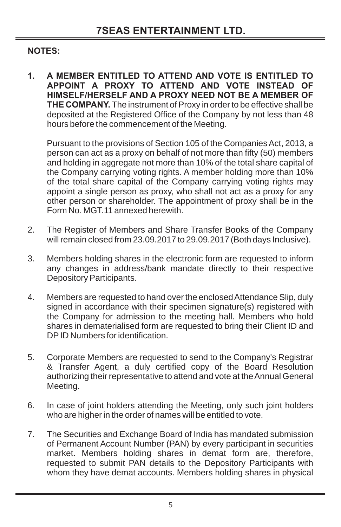# **NOTES:**

**1. A MEMBER ENTITLED TO ATTEND AND VOTE IS ENTITLED TO APPOINT A PROXY TO ATTEND AND VOTE INSTEAD OF HIMSELF/HERSELF AND A PROXY NEED NOT BE A MEMBER OF THE COMPANY.** The instrument of Proxy in order to be effective shall be deposited at the Registered Office of the Company by not less than 48 hours before the commencement of the Meeting.

Pursuant to the provisions of Section 105 of the Companies Act, 2013, a person can act as a proxy on behalf of not more than fifty (50) members and holding in aggregate not more than 10% of the total share capital of the Company carrying voting rights. A member holding more than 10% of the total share capital of the Company carrying voting rights may appoint a single person as proxy, who shall not act as a proxy for any other person or shareholder. The appointment of proxy shall be in the Form No. MGT.11 annexed herewith.

- 2. The Register of Members and Share Transfer Books of the Company will remain closed from 23.09.2017 to 29.09.2017 (Both days Inclusive).
- 3. Members holding shares in the electronic form are requested to inform any changes in address/bank mandate directly to their respective Depository Participants.
- 4. Members are requested to hand over the enclosed Attendance Slip, duly signed in accordance with their specimen signature(s) registered with the Company for admission to the meeting hall. Members who hold shares in dematerialised form are requested to bring their Client ID and DP ID Numbers for identification.
- 5. Corporate Members are requested to send to the Company's Registrar & Transfer Agent, a duly certified copy of the Board Resolution authorizing their representative to attend and vote at the Annual General Meeting.
- 6. In case of joint holders attending the Meeting, only such joint holders who are higher in the order of names will be entitled to vote.
- 7. The Securities and Exchange Board of India has mandated submission of Permanent Account Number (PAN) by every participant in securities market. Members holding shares in demat form are, therefore, requested to submit PAN details to the Depository Participants with whom they have demat accounts. Members holding shares in physical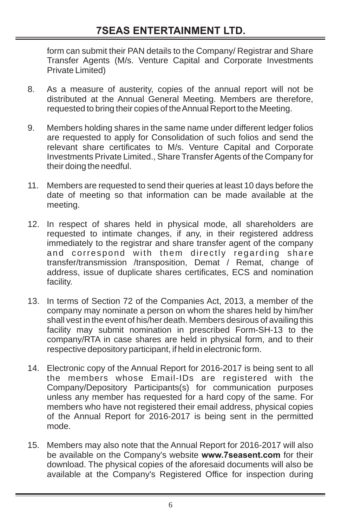form can submit their PAN details to the Company/ Registrar and Share Transfer Agents (M/s. Venture Capital and Corporate Investments Private Limited)

- 8. As a measure of austerity, copies of the annual report will not be distributed at the Annual General Meeting. Members are therefore, requested to bring their copies of the Annual Report to the Meeting.
- 9. Members holding shares in the same name under different ledger folios are requested to apply for Consolidation of such folios and send the relevant share certificates to M/s. Venture Capital and Corporate Investments Private Limited., Share Transfer Agents of the Company for their doing the needful.
- 11. Members are requested to send their queries at least 10 days before the date of meeting so that information can be made available at the meeting.
- 12. In respect of shares held in physical mode, all shareholders are requested to intimate changes, if any, in their registered address immediately to the registrar and share transfer agent of the company and correspond with them directly regarding share transfer/transmission /transposition, Demat / Remat, change of address, issue of duplicate shares certificates, ECS and nomination facility.
- 13. In terms of Section 72 of the Companies Act, 2013, a member of the company may nominate a person on whom the shares held by him/her shall vest in the event of his/her death. Members desirous of availing this facility may submit nomination in prescribed Form-SH-13 to the company/RTA in case shares are held in physical form, and to their respective depository participant, if held in electronic form.
- 14. Electronic copy of the Annual Report for 2016-2017 is being sent to all the members whose Email-IDs are registered with the Company/Depository Participants(s) for communication purposes unless any member has requested for a hard copy of the same. For members who have not registered their email address, physical copies of the Annual Report for 2016-2017 is being sent in the permitted mode.
- 15. Members may also note that the Annual Report for 2016-2017 will also be available on the Company's website **www.7seasent.com** for their download. The physical copies of the aforesaid documents will also be available at the Company's Registered Office for inspection during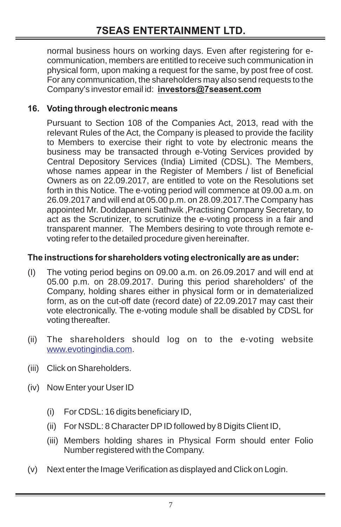normal business hours on working days. Even after registering for ecommunication, members are entitled to receive such communication in physical form, upon making a request for the same, by post free of cost. For any communication, the shareholders may also send requests to the Company's investor email id: **investors@7seasent.com**

# **16. Voting through electronic means**

Pursuant to Section 108 of the Companies Act, 2013, read with the relevant Rules of the Act, the Company is pleased to provide the facility to Members to exercise their right to vote by electronic means the business may be transacted through e-Voting Services provided by Central Depository Services (India) Limited (CDSL). The Members, whose names appear in the Register of Members / list of Beneficial Owners as on 22.09.2017, are entitled to vote on the Resolutions set forth in this Notice. The e-voting period will commence at 09.00 a.m. on 26.09.2017 and will end at 05.00 p.m. on 28.09.2017.The Company has appointed Mr. Doddapaneni Sathwik ,Practising Company Secretary, to act as the Scrutinizer, to scrutinize the e-voting process in a fair and transparent manner. The Members desiring to vote through remote evoting refer to the detailed procedure given hereinafter.

# **The instructions for shareholders voting electronically are as under:**

- (I) The voting period begins on 09.00 a.m. on 26.09.2017 and will end at 05.00 p.m. on 28.09.2017. During this period shareholders' of the Company, holding shares either in physical form or in dematerialized form, as on the cut-off date (record date) of 22.09.2017 may cast their vote electronically. The e-voting module shall be disabled by CDSL for voting thereafter.
- (ii) The shareholders should log on to the e-voting website www.evotingindia.com.
- (iii) Click on Shareholders.
- (iv) Now Enter your User ID
	- (i) For CDSL: 16 digits beneficiary ID,
	- (ii) For NSDL: 8 Character DP ID followed by 8 Digits Client ID,
	- (iii) Members holding shares in Physical Form should enter Folio Number registered with the Company.
- (v) Next enter the Image Verification as displayed and Click on Login.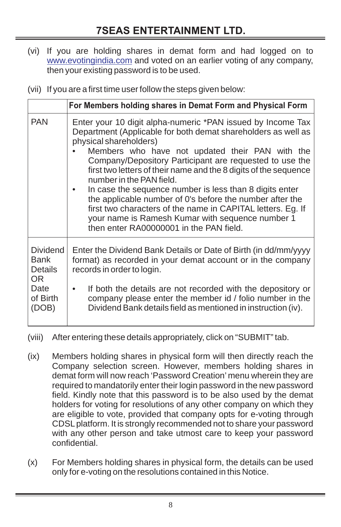- (vi) If you are holding shares in demat form and had logged on to www.evotingindia.com and voted on an earlier voting of any company, then your existing password is to be used.
- (vii) If you are a first time user follow the steps given below:

|                                                                        | For Members holding shares in Demat Form and Physical Form                                                                                                                                                                                                                                                                                                                                                                                                                                                                                                                                                                                                |
|------------------------------------------------------------------------|-----------------------------------------------------------------------------------------------------------------------------------------------------------------------------------------------------------------------------------------------------------------------------------------------------------------------------------------------------------------------------------------------------------------------------------------------------------------------------------------------------------------------------------------------------------------------------------------------------------------------------------------------------------|
| <b>PAN</b>                                                             | Enter your 10 digit alpha-numeric *PAN issued by Income Tax<br>Department (Applicable for both demat shareholders as well as<br>physical shareholders)<br>Members who have not updated their PAN with the<br>Company/Depository Participant are requested to use the<br>first two letters of their name and the 8 digits of the sequence<br>number in the PAN field.<br>In case the sequence number is less than 8 digits enter<br>the applicable number of 0's before the number after the<br>first two characters of the name in CAPITAL letters. Eg. If<br>your name is Ramesh Kumar with sequence number 1<br>then enter RA00000001 in the PAN field. |
| <b>Dividend</b><br>Bank<br>Details<br>OR.<br>Date<br>of Birth<br>(DOB) | Enter the Dividend Bank Details or Date of Birth (in dd/mm/yyyy<br>format) as recorded in your demat account or in the company<br>records in order to login.<br>If both the details are not recorded with the depository or<br>company please enter the member id / folio number in the<br>Dividend Bank details field as mentioned in instruction (iv).                                                                                                                                                                                                                                                                                                  |

- (viii) After entering these details appropriately, click on "SUBMIT" tab.
- (ix) Members holding shares in physical form will then directly reach the Company selection screen. However, members holding shares in demat form will now reach 'Password Creation' menu wherein they are required to mandatorily enter their login password in the new password field. Kindly note that this password is to be also used by the demat holders for voting for resolutions of any other company on which they are eligible to vote, provided that company opts for e-voting through CDSL platform. It is strongly recommended not to share your password with any other person and take utmost care to keep your password confidential.
- (x) For Members holding shares in physical form, the details can be used only for e-voting on the resolutions contained in this Notice.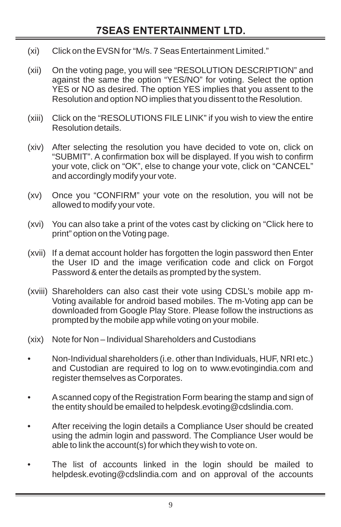- (xi) Click on the EVSN for "M/s. 7 Seas Entertainment Limited."
- (xii) On the voting page, you will see "RESOLUTION DESCRIPTION" and against the same the option "YES/NO" for voting. Select the option YES or NO as desired. The option YES implies that you assent to the Resolution and option NO implies that you dissent to the Resolution.
- (xiii) Click on the "RESOLUTIONS FILE LINK" if you wish to view the entire Resolution details.
- (xiv) After selecting the resolution you have decided to vote on, click on "SUBMIT". A confirmation box will be displayed. If you wish to confirm your vote, click on "OK", else to change your vote, click on "CANCEL" and accordingly modify your vote.
- (xv) Once you "CONFIRM" your vote on the resolution, you will not be allowed to modify your vote.
- (xvi) You can also take a print of the votes cast by clicking on "Click here to print" option on the Voting page.
- (xvii) If a demat account holder has forgotten the login password then Enter the User ID and the image verification code and click on Forgot Password & enter the details as prompted by the system.
- (xviii) Shareholders can also cast their vote using CDSL's mobile app m-Voting available for android based mobiles. The m-Voting app can be downloaded from Google Play Store. Please follow the instructions as prompted by the mobile app while voting on your mobile.
- (xix) Note for Non Individual Shareholders and Custodians
- Non-Individual shareholders (i.e. other than Individuals, HUF, NRI etc.) and Custodian are required to log on to www.evotingindia.com and register themselves as Corporates.
- A scanned copy of the Registration Form bearing the stamp and sign of the entity should be emailed to helpdesk.evoting@cdslindia.com.
- After receiving the login details a Compliance User should be created using the admin login and password. The Compliance User would be able to link the account(s) for which they wish to vote on.
- The list of accounts linked in the login should be mailed to helpdesk.evoting@cdslindia.com and on approval of the accounts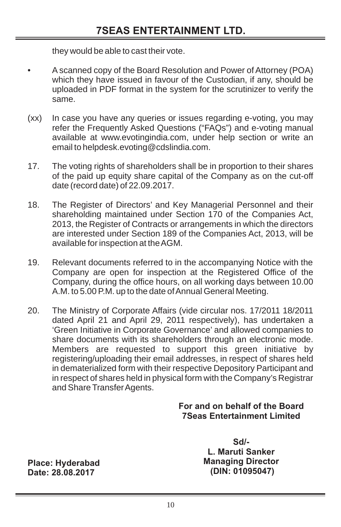# **7SEAS ENTERTAINMENT LTD.**

they would be able to cast their vote.

- A scanned copy of the Board Resolution and Power of Attorney (POA) which they have issued in favour of the Custodian, if any, should be uploaded in PDF format in the system for the scrutinizer to verify the same.
- (xx) In case you have any queries or issues regarding e-voting, you may refer the Frequently Asked Questions ("FAQs") and e-voting manual available at www.evotingindia.com, under help section or write an email to helpdesk.evoting@cdslindia.com.
- 17. The voting rights of shareholders shall be in proportion to their shares of the paid up equity share capital of the Company as on the cut-off date (record date) of 22.09.2017.
- 18. The Register of Directors' and Key Managerial Personnel and their shareholding maintained under Section 170 of the Companies Act, 2013, the Register of Contracts or arrangements in which the directors are interested under Section 189 of the Companies Act, 2013, will be available for inspection at the AGM.
- 19. Relevant documents referred to in the accompanying Notice with the Company are open for inspection at the Registered Office of the Company, during the office hours, on all working days between 10.00 A.M. to 5.00 P.M. up to the date of Annual General Meeting.
- 20. The Ministry of Corporate Affairs (vide circular nos. 17/2011 18/2011 dated April 21 and April 29, 2011 respectively), has undertaken a 'Green Initiative in Corporate Governance' and allowed companies to share documents with its shareholders through an electronic mode. Members are requested to support this green initiative by registering/uploading their email addresses, in respect of shares held in dematerialized form with their respective Depository Participant and in respect of shares held in physical form with the Company's Registrar and Share Transfer Agents.

**For and on behalf of the Board 7Seas Entertainment Limited**

> **Sd/- L. Maruti Sanker Managing Director (DIN: 01095047)**

**Place: Hyderabad Date: 28.08.2017**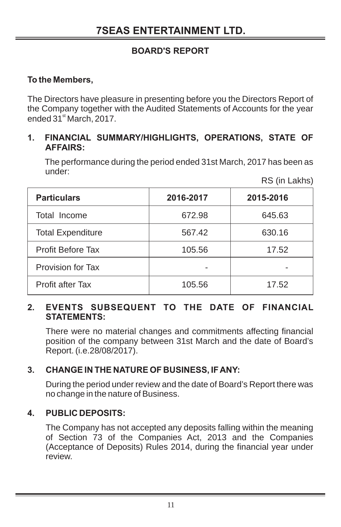# **BOARD'S REPORT**

# **To the Members,**

The Directors have pleasure in presenting before you the Directors Report of the Company together with the Audited Statements of Accounts for the year ended  $31<sup>st</sup>$  March, 2017.

#### **1. FINANCIAL SUMMARY/HIGHLIGHTS, OPERATIONS, STATE OF AFFAIRS:**

The performance during the period ended 31st March, 2017 has been as under:

| RS (in Lakhs) |  |  |  |
|---------------|--|--|--|
|---------------|--|--|--|

| <b>Particulars</b>       | 2016-2017 | 2015-2016 |
|--------------------------|-----------|-----------|
| Total Income             | 672.98    | 645.63    |
| <b>Total Expenditure</b> | 567.42    | 630.16    |
| <b>Profit Before Tax</b> | 105.56    | 17.52     |
| Provision for Tax        |           |           |
| Profit after Tax         | 105.56    | 17.52     |

#### **2. EVENTS SUBSEQUENT TO THE DATE OF FINANCIAL STATEMENTS:**

There were no material changes and commitments affecting financial position of the company between 31st March and the date of Board's Report. (i.e.28/08/2017).

# **3. CHANGE IN THE NATURE OF BUSINESS, IF ANY:**

During the period under review and the date of Board's Report there was no change in the nature of Business.

# **4. PUBLIC DEPOSITS:**

The Company has not accepted any deposits falling within the meaning of Section 73 of the Companies Act, 2013 and the Companies (Acceptance of Deposits) Rules 2014, during the financial year under review.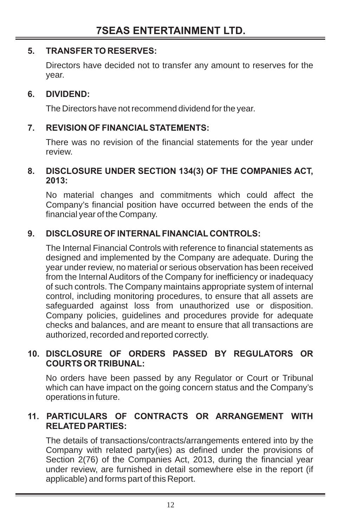# **5. TRANSFER TO RESERVES:**

Directors have decided not to transfer any amount to reserves for the year.

# **6. DIVIDEND:**

The Directors have not recommend dividend for the year.

# **7. REVISION OF FINANCIAL STATEMENTS:**

 There was no revision of the financial statements for the year under review.

#### **8. DISCLOSURE UNDER SECTION 134(3) OF THE COMPANIES ACT, 2013:**

No material changes and commitments which could affect the Company's financial position have occurred between the ends of the financial year of the Company.

# **9. DISCLOSURE OF INTERNAL FINANCIAL CONTROLS:**

The Internal Financial Controls with reference to financial statements as designed and implemented by the Company are adequate. During the year under review, no material or serious observation has been received from the Internal Auditors of the Company for inefficiency or inadequacy of such controls. The Company maintains appropriate system of internal control, including monitoring procedures, to ensure that all assets are safeguarded against loss from unauthorized use or disposition. Company policies, guidelines and procedures provide for adequate checks and balances, and are meant to ensure that all transactions are authorized, recorded and reported correctly.

#### **10. DISCLOSURE OF ORDERS PASSED BY REGULATORS OR COURTS OR TRIBUNAL:**

No orders have been passed by any Regulator or Court or Tribunal which can have impact on the going concern status and the Company's operations in future.

# **11. PARTICULARS OF CONTRACTS OR ARRANGEMENT WITH RELATED PARTIES:**

The details of transactions/contracts/arrangements entered into by the Company with related party(ies) as defined under the provisions of Section 2(76) of the Companies Act, 2013, during the financial year under review, are furnished in detail somewhere else in the report (if applicable) and forms part of this Report.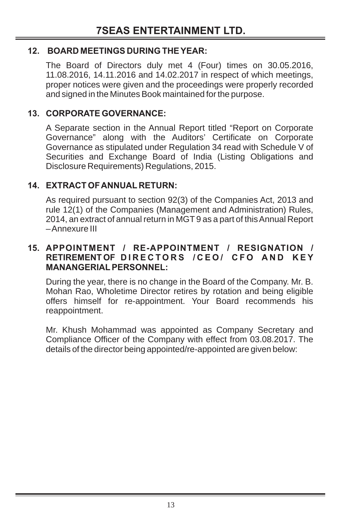# **12. BOARD MEETINGS DURING THE YEAR:**

The Board of Directors duly met 4 (Four) times on 30.05.2016, 11.08.2016, 14.11.2016 and 14.02.2017 in respect of which meetings, proper notices were given and the proceedings were properly recorded and signed in the Minutes Book maintained for the purpose.

# **13. CORPORATE GOVERNANCE:**

A Separate section in the Annual Report titled "Report on Corporate Governance" along with the Auditors' Certificate on Corporate Governance as stipulated under Regulation 34 read with Schedule V of Securities and Exchange Board of India (Listing Obligations and Disclosure Requirements) Regulations, 2015.

# **14. EXTRACT OF ANNUAL RETURN:**

As required pursuant to section 92(3) of the Companies Act, 2013 and rule 12(1) of the Companies (Management and Administration) Rules, 2014, an extract of annual return in MGT 9 as a part of this Annual Report – Annexure III

#### **15. APPOINTMENT / RE-APPOINTMENT / RESIGNATION / RETIREMENT OF DIRECTORS / CEO/ CFO AND KEY MANANGERIAL PERSONNEL:**

During the year, there is no change in the Board of the Company. Mr. B. Mohan Rao, Wholetime Director retires by rotation and being eligible offers himself for re-appointment. Your Board recommends his reappointment.

Mr. Khush Mohammad was appointed as Company Secretary and Compliance Officer of the Company with effect from 03.08.2017. The details of the director being appointed/re-appointed are given below: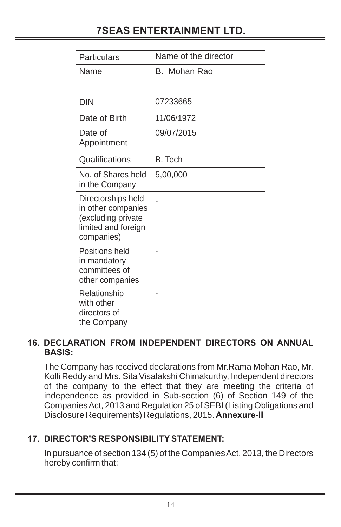# **7SEAS ENTERTAINMENT LTD.**

| Particulars                                                                                         | Name of the director |
|-----------------------------------------------------------------------------------------------------|----------------------|
| Name                                                                                                | B. Mohan Rao         |
| <b>DIN</b>                                                                                          | 07233665             |
| Date of Birth                                                                                       | 11/06/1972           |
| Date of<br>Appointment                                                                              | 09/07/2015           |
| Qualifications                                                                                      | B. Tech              |
| No. of Shares held<br>in the Company                                                                | 5,00,000             |
| Directorships held<br>in other companies<br>(excluding private<br>limited and foreign<br>companies) |                      |
| Positions held<br>in mandatory<br>committees of<br>other companies                                  |                      |
| Relationship<br>with other<br>directors of<br>the Company                                           |                      |

#### **16. DECLARATION FROM INDEPENDENT DIRECTORS ON ANNUAL BASIS:**

The Company has received declarations from Mr.Rama Mohan Rao, Mr. Kolli Reddy and Mrs. Sita Visalakshi Chimakurthy, Independent directors of the company to the effect that they are meeting the criteria of independence as provided in Sub-section (6) of Section 149 of the Companies Act, 2013 and Regulation 25 of SEBI (Listing Obligations and Disclosure Requirements) Regulations, 2015. **Annexure-II**

# **17. DIRECTOR'S RESPONSIBILITY STATEMENT:**

In pursuance of section 134 (5) of the Companies Act, 2013, the Directors hereby confirm that: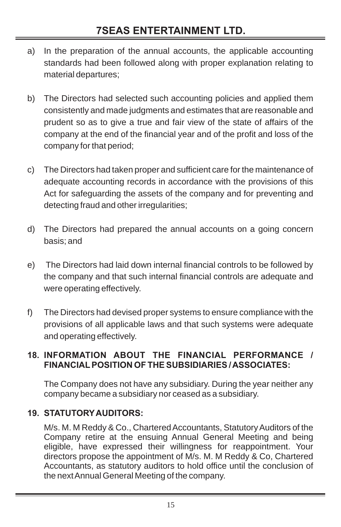- a) In the preparation of the annual accounts, the applicable accounting standards had been followed along with proper explanation relating to material departures;
- b) The Directors had selected such accounting policies and applied them consistently and made judgments and estimates that are reasonable and prudent so as to give a true and fair view of the state of affairs of the company at the end of the financial year and of the profit and loss of the company for that period;
- c) The Directors had taken proper and sufficient care for the maintenance of adequate accounting records in accordance with the provisions of this Act for safeguarding the assets of the company and for preventing and detecting fraud and other irregularities;
- d) The Directors had prepared the annual accounts on a going concern basis; and
- e) The Directors had laid down internal financial controls to be followed by the company and that such internal financial controls are adequate and were operating effectively.
- f) The Directors had devised proper systems to ensure compliance with the provisions of all applicable laws and that such systems were adequate and operating effectively.

# **18. INFORMATION ABOUT THE FINANCIAL PERFORMANCE / FINANCIAL POSITION OF THE SUBSIDIARIES / ASSOCIATES:**

The Company does not have any subsidiary. During the year neither any company became a subsidiary nor ceased as a subsidiary.

# **19. STATUTORY AUDITORS:**

M/s. M. M Reddy & Co., Chartered Accountants, Statutory Auditors of the Company retire at the ensuing Annual General Meeting and being eligible, have expressed their willingness for reappointment. Your directors propose the appointment of M/s. M. M Reddy & Co, Chartered Accountants, as statutory auditors to hold office until the conclusion of the next Annual General Meeting of the company.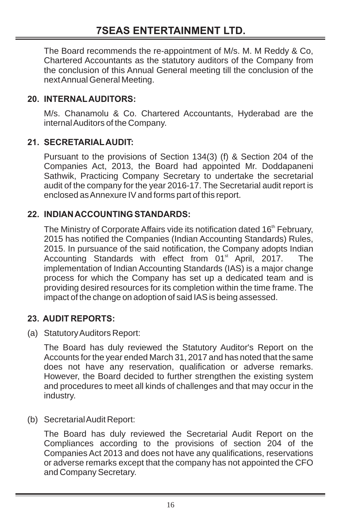The Board recommends the re-appointment of M/s. M. M Reddy & Co, Chartered Accountants as the statutory auditors of the Company from the conclusion of this Annual General meeting till the conclusion of the next Annual General Meeting.

## **20. INTERNAL AUDITORS:**

M/s. Chanamolu & Co. Chartered Accountants, Hyderabad are the internal Auditors of the Company.

### **21. SECRETARIAL AUDIT:**

Pursuant to the provisions of Section 134(3) (f) & Section 204 of the Companies Act, 2013, the Board had appointed Mr. Doddapaneni Sathwik, Practicing Company Secretary to undertake the secretarial audit of the company for the year 2016-17. The Secretarial audit report is enclosed as Annexure IV and forms part of this report.

### **22. INDIAN ACCOUNTING STANDARDS:**

The Ministry of Corporate Affairs vide its notification dated  $16<sup>th</sup>$  February, 2015 has notified the Companies (Indian Accounting Standards) Rules, 2015. In pursuance of the said notification, the Company adopts Indian Accounting Standards with effect from 01<sup>st</sup> April, 2017. The implementation of Indian Accounting Standards (IAS) is a major change process for which the Company has set up a dedicated team and is providing desired resources for its completion within the time frame. The impact of the change on adoption of said IAS is being assessed.

#### **23. AUDIT REPORTS:**

(a) Statutory Auditors Report:

The Board has duly reviewed the Statutory Auditor's Report on the Accounts for the year ended March 31, 2017 and has noted that the same does not have any reservation, qualification or adverse remarks. However, the Board decided to further strengthen the existing system and procedures to meet all kinds of challenges and that may occur in the industry.

(b) Secretarial Audit Report:

The Board has duly reviewed the Secretarial Audit Report on the Compliances according to the provisions of section 204 of the Companies Act 2013 and does not have any qualifications, reservations or adverse remarks except that the company has not appointed the CFO and Company Secretary.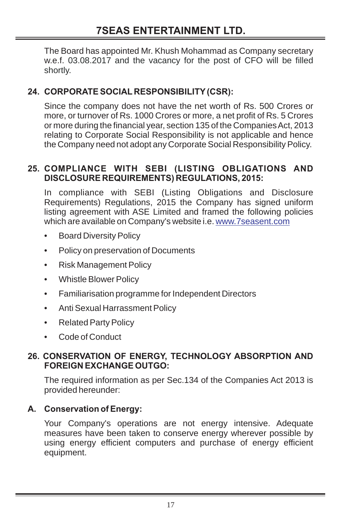The Board has appointed Mr. Khush Mohammad as Company secretary w.e.f. 03.08.2017 and the vacancy for the post of CFO will be filled shortly.

# **24. CORPORATE SOCIAL RESPONSIBILITY (CSR):**

Since the company does not have the net worth of Rs. 500 Crores or more, or turnover of Rs. 1000 Crores or more, a net profit of Rs. 5 Crores or more during the financial year, section 135 of the Companies Act, 2013 relating to Corporate Social Responsibility is not applicable and hence the Company need not adopt any Corporate Social Responsibility Policy.

# **25. COMPLIANCE WITH SEBI (LISTING OBLIGATIONS AND DISCLOSURE REQUIREMENTS) REGULATIONS, 2015:**

In compliance with SEBI (Listing Obligations and Disclosure Requirements) Regulations, 2015 the Company has signed uniform listing agreement with ASE Limited and framed the following policies which are available on Company's website i.e. <u>www.7seasent.com</u>

- Board Diversity Policy
- Policy on preservation of Documents
- Risk Management Policy
- Whistle Blower Policy
- Familiarisation programme for Independent Directors
- Anti Sexual Harrassment Policy
- Related Party Policy
- Code of Conduct

# **26. CONSERVATION OF ENERGY, TECHNOLOGY ABSORPTION AND FOREIGN EXCHANGE OUTGO:**

The required information as per Sec.134 of the Companies Act 2013 is provided hereunder:

# **A. Conservation of Energy:**

Your Company's operations are not energy intensive. Adequate measures have been taken to conserve energy wherever possible by using energy efficient computers and purchase of energy efficient equipment.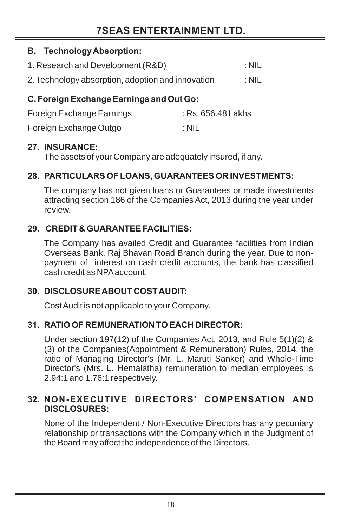### **B. Technology Absorption:**

| 1. Research and Development (R&D)                 | : NIL |
|---------------------------------------------------|-------|
| 2. Technology absorption, adoption and innovation | : NIL |

# **C. Foreign Exchange Earnings and Out Go:**

| Foreign Exchange Earnings | : Rs. 656.48 Lakhs |
|---------------------------|--------------------|
| Foreign Exchange Outgo    | : NIL              |

### **27. INSURANCE:**

The assets of your Company are adequately insured, if any.

# **28. PARTICULARS OF LOANS, GUARANTEES OR INVESTMENTS:**

The company has not given loans or Guarantees or made investments attracting section 186 of the Companies Act, 2013 during the year under review.

# **29. CREDIT & GUARANTEE FACILITIES:**

The Company has availed Credit and Guarantee facilities from Indian Overseas Bank, Raj Bhavan Road Branch during the year. Due to nonpayment of interest on cash credit accounts, the bank has classified cash credit as NPA account.

# **30. DISCLOSURE ABOUT COST AUDIT:**

Cost Audit is not applicable to your Company.

# **31. RATIO OF REMUNERATION TO EACH DIRECTOR:**

Under section 197(12) of the Companies Act, 2013, and Rule 5(1)(2) & (3) of the Companies(Appointment & Remuneration) Rules, 2014, the ratio of Managing Director's (Mr. L. Maruti Sanker) and Whole-Time Director's (Mrs. L. Hemalatha) remuneration to median employees is 2.94:1 and 1.76:1 respectively.

# **32. NON-EXECUTIVE DIRECTORS' COMPENSATION AND DISCLOSURES:**

None of the Independent / Non-Executive Directors has any pecuniary relationship or transactions with the Company which in the Judgment of the Board may affect the independence of the Directors.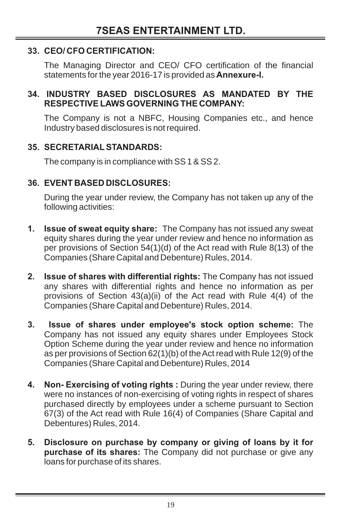## **33. CEO/ CFO CERTIFICATION:**

The Managing Director and CEO/ CFO certification of the financial statements for the year 2016-17 is provided as **Annexure-I.**

#### **34. INDUSTRY BASED DISCLOSURES AS MANDATED BY THE RESPECTIVE LAWS GOVERNING THE COMPANY:**

The Company is not a NBFC, Housing Companies etc., and hence Industry based disclosures is not required.

### **35. SECRETARIAL STANDARDS:**

The company is in compliance with SS 1 & SS 2.

# **36. EVENT BASED DISCLOSURES:**

During the year under review, the Company has not taken up any of the following activities:

- **1. Issue of sweat equity share:** The Company has not issued any sweat equity shares during the year under review and hence no information as per provisions of Section 54(1)(d) of the Act read with Rule 8(13) of the Companies (Share Capital and Debenture) Rules, 2014.
- **2. Issue of shares with differential rights:** The Company has not issued any shares with differential rights and hence no information as per provisions of Section 43(a)(ii) of the Act read with Rule 4(4) of the Companies (Share Capital and Debenture) Rules, 2014.
- **3. Issue of shares under employee's stock option scheme:** The Company has not issued any equity shares under Employees Stock Option Scheme during the year under review and hence no information as per provisions of Section 62(1)(b) of the Act read with Rule 12(9) of the Companies (Share Capital and Debenture) Rules, 2014
- **4. Non- Exercising of voting rights :** During the year under review, there were no instances of non-exercising of voting rights in respect of shares purchased directly by employees under a scheme pursuant to Section 67(3) of the Act read with Rule 16(4) of Companies (Share Capital and Debentures) Rules, 2014.
- **5. Disclosure on purchase by company or giving of loans by it for purchase of its shares:** The Company did not purchase or give any loans for purchase of its shares.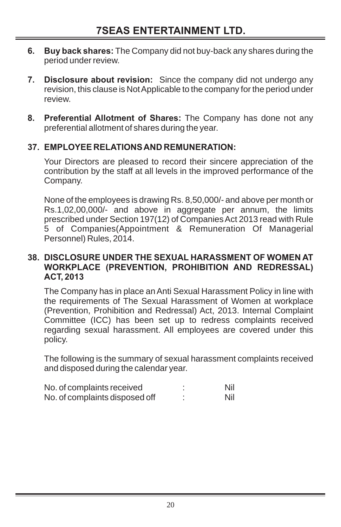- **6. Buy back shares:** The Company did not buy-back any shares during the period under review.
- **7. Disclosure about revision:** Since the company did not undergo any revision, this clause is Not Applicable to the company for the period under review.
- **8. Preferential Allotment of Shares:** The Company has done not any preferential allotment of shares during the year.

# **37. EMPLOYEE RELATIONS AND REMUNERATION:**

Your Directors are pleased to record their sincere appreciation of the contribution by the staff at all levels in the improved performance of the Company.

None of the employees is drawing Rs. 8,50,000/- and above per month or Rs.1,02,00,000/- and above in aggregate per annum, the limits prescribed under Section 197(12) of Companies Act 2013 read with Rule 5 of Companies(Appointment & Remuneration Of Managerial Personnel) Rules, 2014.

#### **38. DISCLOSURE UNDER THE SEXUAL HARASSMENT OF WOMEN AT WORKPLACE (PREVENTION, PROHIBITION AND REDRESSAL) ACT, 2013**

The Company has in place an Anti Sexual Harassment Policy in line with the requirements of The Sexual Harassment of Women at workplace (Prevention, Prohibition and Redressal) Act, 2013. Internal Complaint Committee (ICC) has been set up to redress complaints received regarding sexual harassment. All employees are covered under this policy.

The following is the summary of sexual harassment complaints received and disposed during the calendar year.

| No. of complaints received     | Nil |
|--------------------------------|-----|
| No. of complaints disposed off | Nil |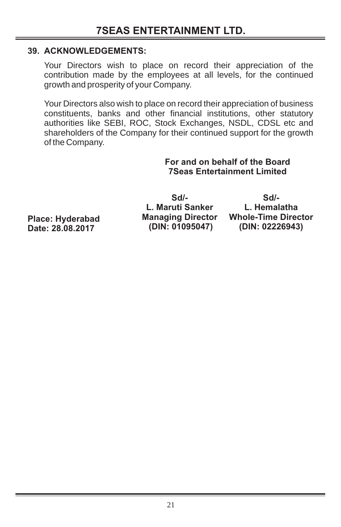#### **39. ACKNOWLEDGEMENTS:**

Your Directors wish to place on record their appreciation of the contribution made by the employees at all levels, for the continued growth and prosperity of your Company.

Your Directors also wish to place on record their appreciation of business constituents, banks and other financial institutions, other statutory authorities like SEBI, ROC, Stock Exchanges, NSDL, CDSL etc and shareholders of the Company for their continued support for the growth of the Company.

> **For and on behalf of the Board 7Seas Entertainment Limited**

**Place: Hyderabad Date: 28.08.2017**

**Sd/- L. Maruti Sanker Managing Director (DIN: 01095047)**

**Sd/- L. Hemalatha Whole-Time Director (DIN: 02226943)**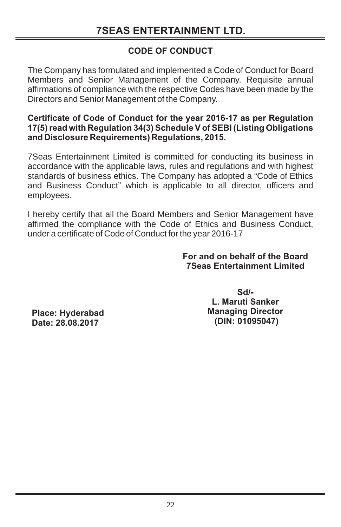# **CODE OF CONDUCT**

The Company has formulated and implemented a Code of Conduct for Board Members and Senior Management of the Company. Requisite annual affirmations of compliance with the respective Codes have been made by the Directors and Senior Management of the Company.

#### **Certificate of Code of Conduct for the year 2016-17 as per Regulation 17(5) read with Regulation 34(3) Schedule V of SEBI (Listing Obligations and Disclosure Requirements) Regulations, 2015.**

7Seas Entertainment Limited is committed for conducting its business in accordance with the applicable laws, rules and regulations and with highest standards of business ethics. The Company has adopted a "Code of Ethics and Business Conduct" which is applicable to all director, officers and employees.

I hereby certify that all the Board Members and Senior Management have affirmed the compliance with the Code of Ethics and Business Conduct, under a certificate of Code of Conduct for the year 2016-17

> **For and on behalf of the Board 7Seas Entertainment Limited**

**Place: Hyderabad Date: 28.08.2017**

**Sd/- L. Maruti Sanker Managing Director (DIN: 01095047)**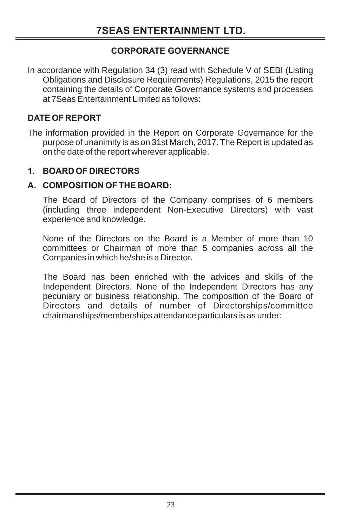# **CORPORATE GOVERNANCE**

In accordance with Regulation 34 (3) read with Schedule V of SEBI (Listing Obligations and Disclosure Requirements) Regulations, 2015 the report containing the details of Corporate Governance systems and processes at 7Seas Entertainment Limited as follows:

# **DATE OF REPORT**

The information provided in the Report on Corporate Governance for the purpose of unanimity is as on 31st March, 2017. The Report is updated as on the date of the report wherever applicable.

# **1. BOARD OF DIRECTORS**

### **A. COMPOSITION OF THE BOARD:**

The Board of Directors of the Company comprises of 6 members (including three independent Non-Executive Directors) with vast experience and knowledge.

None of the Directors on the Board is a Member of more than 10 committees or Chairman of more than 5 companies across all the Companies in which he/she is a Director.

The Board has been enriched with the advices and skills of the Independent Directors. None of the Independent Directors has any pecuniary or business relationship. The composition of the Board of Directors and details of number of Directorships/committee chairmanships/memberships attendance particulars is as under: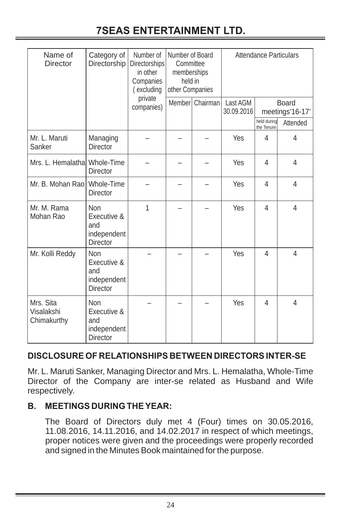# **7SEAS ENTERTAINMENT LTD.**

| Name of<br>Director                    | Category of<br>Directorship                                        |                       | Number of<br>Directorships<br>in other<br>Companies<br>(excluding |          | Number of Board<br>Committee<br>memberships<br>held in<br>other Companies |             | Attendance Particulars   |  |  |
|----------------------------------------|--------------------------------------------------------------------|-----------------------|-------------------------------------------------------------------|----------|---------------------------------------------------------------------------|-------------|--------------------------|--|--|
|                                        |                                                                    | private<br>companies) | Member                                                            | Chairman | Last AGM<br>30.09.2016                                                    | held during | Board<br>meetings'16-17' |  |  |
|                                        |                                                                    |                       |                                                                   |          |                                                                           | the Tenure  | Attended                 |  |  |
| Mr. L. Maruti<br>Sanker                | Managing<br><b>Director</b>                                        |                       |                                                                   |          | Yes                                                                       | 4           | 4                        |  |  |
| Mrs. L. Hemalathal                     | Whole-Time<br>Director                                             |                       |                                                                   |          | Yes                                                                       | 4           | 4                        |  |  |
| Mr. B. Mohan Rao                       | Whole-Time<br><b>Director</b>                                      |                       |                                                                   |          | Yes                                                                       | 4           | 4                        |  |  |
| Mr. M. Rama<br>Mohan Rao               | <b>Non</b><br>Executive &<br>and<br>independent<br>Director        | 1                     |                                                                   |          | Yes                                                                       | 4           | 4                        |  |  |
| Mr. Kolli Reddy                        | <b>Non</b><br>Executive &<br>and<br>independent<br><b>Director</b> |                       |                                                                   |          | Yes                                                                       | 4           | $\overline{4}$           |  |  |
| Mrs. Sita<br>Visalakshi<br>Chimakurthy | <b>Non</b><br>Executive &<br>and<br>independent<br><b>Director</b> |                       |                                                                   |          | Yes                                                                       | 4           | 4                        |  |  |

# **DISCLOSURE OF RELATIONSHIPS BETWEEN DIRECTORS INTER-SE**

Mr. L. Maruti Sanker, Managing Director and Mrs. L. Hemalatha, Whole-Time Director of the Company are inter-se related as Husband and Wife respectively.

# **B. MEETINGS DURING THE YEAR:**

The Board of Directors duly met 4 (Four) times on 30.05.2016, 11.08.2016, 14.11.2016, and 14.02.2017 in respect of which meetings, proper notices were given and the proceedings were properly recorded and signed in the Minutes Book maintained for the purpose.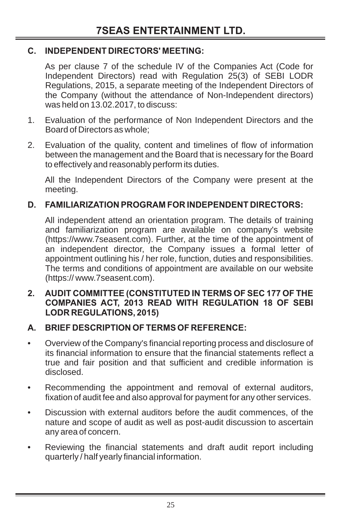#### **C. INDEPENDENT DIRECTORS' MEETING:**

As per clause 7 of the schedule IV of the Companies Act (Code for Independent Directors) read with Regulation 25(3) of SEBI LODR Regulations, 2015, a separate meeting of the Independent Directors of the Company (without the attendance of Non-Independent directors) was held on 13.02.2017, to discuss:

- 1. Evaluation of the performance of Non Independent Directors and the Board of Directors as whole;
- 2. Evaluation of the quality, content and timelines of flow of information between the management and the Board that is necessary for the Board to effectively and reasonably perform its duties.

All the Independent Directors of the Company were present at the meeting.

### **D. FAMILIARIZATION PROGRAM FOR INDEPENDENT DIRECTORS:**

All independent attend an orientation program. The details of training and familiarization program are available on company's website (https://www.7seasent.com). Further, at the time of the appointment of an independent director, the Company issues a formal letter of appointment outlining his / her role, function, duties and responsibilities. The terms and conditions of appointment are available on our website (https:// www.7seasent.com).

#### **2. AUDIT COMMITTEE (CONSTITUTED IN TERMS OF SEC 177 OF THE COMPANIES ACT, 2013 READ WITH REGULATION 18 OF SEBI LODR REGULATIONS, 2015)**

#### **A. BRIEF DESCRIPTION OF TERMS OF REFERENCE:**

- Overview of the Company's financial reporting process and disclosure of its financial information to ensure that the financial statements reflect a true and fair position and that sufficient and credible information is disclosed.
- Recommending the appointment and removal of external auditors, fixation of audit fee and also approval for payment for any other services.
- Discussion with external auditors before the audit commences, of the nature and scope of audit as well as post-audit discussion to ascertain any area of concern.
- Reviewing the financial statements and draft audit report including quarterly / half yearly financial information.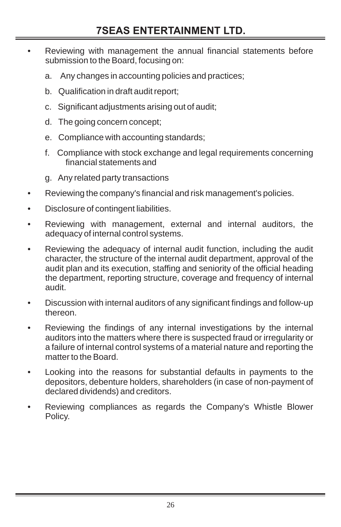- Reviewing with management the annual financial statements before submission to the Board, focusing on:
	- a. Any changes in accounting policies and practices;
	- b. Qualification in draft audit report;
	- c. Significant adjustments arising out of audit;
	- d. The going concern concept;
	- e. Compliance with accounting standards;
	- f. Compliance with stock exchange and legal requirements concerning financial statements and
	- g. Any related party transactions
- Reviewing the company's financial and risk management's policies.
- Disclosure of contingent liabilities.
- Reviewing with management, external and internal auditors, the adequacy of internal control systems.
- Reviewing the adequacy of internal audit function, including the audit character, the structure of the internal audit department, approval of the audit plan and its execution, staffing and seniority of the official heading the department, reporting structure, coverage and frequency of internal audit.
- Discussion with internal auditors of any significant findings and follow-up thereon.
- Reviewing the findings of any internal investigations by the internal auditors into the matters where there is suspected fraud or irregularity or a failure of internal control systems of a material nature and reporting the matter to the Board.
- Looking into the reasons for substantial defaults in payments to the depositors, debenture holders, shareholders (in case of non-payment of declared dividends) and creditors.
- Reviewing compliances as regards the Company's Whistle Blower Policy.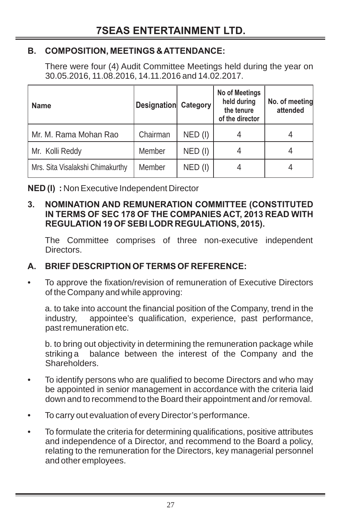# **B. COMPOSITION, MEETINGS & ATTENDANCE:**

There were four (4) Audit Committee Meetings held during the year on 30.05.2016, 11.08.2016, 14.11.2016 and 14.02.2017.

| <b>Name</b>                      | Designation Category |           | No of Meetings<br>held during<br>the tenure<br>of the director | No. of meeting<br>attended |
|----------------------------------|----------------------|-----------|----------------------------------------------------------------|----------------------------|
| Mr. M. Rama Mohan Rao            | Chairman             | $NED$ (I) |                                                                |                            |
| Mr. Kolli Reddy                  | Member               | $NED$ (I) |                                                                | 4                          |
| Mrs. Sita Visalakshi Chimakurthy | Member               | $NED$ (I) |                                                                |                            |

**NED (I) :** Non Executive Independent Director

#### **3. NOMINATION AND REMUNERATION COMMITTEE (CONSTITUTED IN TERMS OF SEC 178 OF THE COMPANIES ACT, 2013 READ WITH REGULATION 19 OF SEBI LODR REGULATIONS, 2015).**

The Committee comprises of three non-executive independent **Directors** 

# **A. BRIEF DESCRIPTION OF TERMS OF REFERENCE:**

• To approve the fixation/revision of remuneration of Executive Directors of the Company and while approving:

a. to take into account the financial position of the Company, trend in the industry, appointee's qualification, experience, past performance, past remuneration etc.

b. to bring out objectivity in determining the remuneration package while striking a balance between the interest of the Company and the balance between the interest of the Company and the Shareholders.

- To identify persons who are qualified to become Directors and who may be appointed in senior management in accordance with the criteria laid down and to recommend to the Board their appointment and /or removal.
- To carry out evaluation of every Director's performance.
- To formulate the criteria for determining qualifications, positive attributes and independence of a Director, and recommend to the Board a policy, relating to the remuneration for the Directors, key managerial personnel and other employees.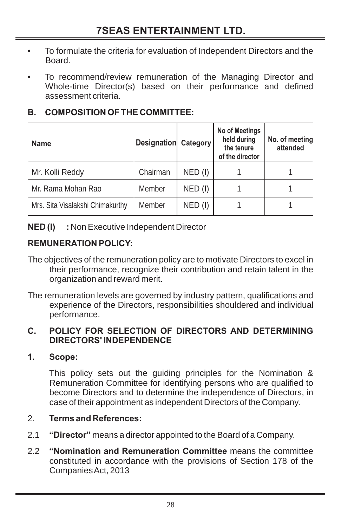- To formulate the criteria for evaluation of Independent Directors and the Board.
- To recommend/review remuneration of the Managing Director and Whole-time Director(s) based on their performance and defined assessment criteria.

# **B. COMPOSITION OF THE COMMITTEE:**

| <b>Name</b>                      | Designation Category |           | No of Meetings<br>held during<br>the tenure<br>of the director | No. of meeting<br>attended |
|----------------------------------|----------------------|-----------|----------------------------------------------------------------|----------------------------|
| Mr. Kolli Reddy                  | Chairman             | $NED$ (I) |                                                                |                            |
| Mr. Rama Mohan Rao               | Member               | $NED$ (I) |                                                                |                            |
| Mrs. Sita Visalakshi Chimakurthy | Member               | $NED$ (I) |                                                                |                            |

# **NED (I) :** Non Executive Independent Director

# **REMUNERATION POLICY:**

- The objectives of the remuneration policy are to motivate Directors to excel in their performance, recognize their contribution and retain talent in the organization and reward merit.
- The remuneration levels are governed by industry pattern, qualifications and experience of the Directors, responsibilities shouldered and individual performance.

### **C. POLICY FOR SELECTION OF DIRECTORS AND DETERMINING DIRECTORS' INDEPENDENCE**

#### **1. Scope:**

 This policy sets out the guiding principles for the Nomination & Remuneration Committee for identifying persons who are qualified to become Directors and to determine the independence of Directors, in case of their appointment as independent Directors of the Company.

# 2. **Terms and References:**

- 2.1 **"Director"** means a director appointed to the Board of a Company.
- 2.2 **"Nomination and Remuneration Committee** means the committee constituted in accordance with the provisions of Section 178 of the Companies Act, 2013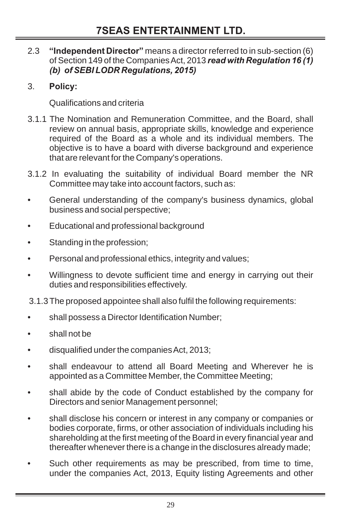- 2.3 **"Independent Director"** means a director referred to in sub-section (6) of Section 149 of the Companies Act, 2013 *read with Regulation 16 (1) (b) of SEBI LODR Regulations, 2015)*
- 3. **Policy:**

Qualifications and criteria

- 3.1.1 The Nomination and Remuneration Committee, and the Board, shall review on annual basis, appropriate skills, knowledge and experience required of the Board as a whole and its individual members. The objective is to have a board with diverse background and experience that are relevant for the Company's operations.
- 3.1.2 In evaluating the suitability of individual Board member the NR Committee may take into account factors, such as:
- General understanding of the company's business dynamics, global business and social perspective;
- Educational and professional background
- Standing in the profession;
- Personal and professional ethics, integrity and values;
- Willingness to devote sufficient time and energy in carrying out their duties and responsibilities effectively.

3.1.3 The proposed appointee shall also fulfil the following requirements:

- shall possess a Director Identification Number;
- shall not be
- disqualified under the companies Act, 2013;
- shall endeavour to attend all Board Meeting and Wherever he is appointed as a Committee Member, the Committee Meeting;
- shall abide by the code of Conduct established by the company for Directors and senior Management personnel;
- shall disclose his concern or interest in any company or companies or bodies corporate, firms, or other association of individuals including his shareholding at the first meeting of the Board in every financial year and thereafter whenever there is a change in the disclosures already made;
- Such other requirements as may be prescribed, from time to time, under the companies Act, 2013, Equity listing Agreements and other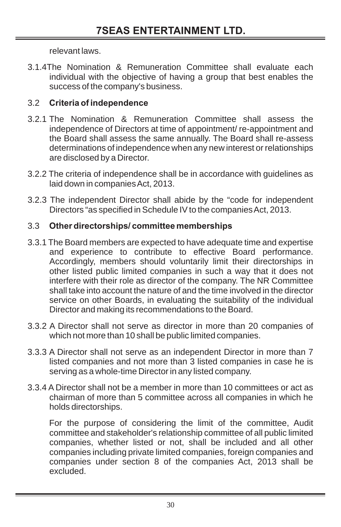relevant laws.

3.1.4The Nomination & Remuneration Committee shall evaluate each individual with the objective of having a group that best enables the success of the company's business.

# 3.2 **Criteria of independence**

- 3.2.1 The Nomination & Remuneration Committee shall assess the independence of Directors at time of appointment/ re-appointment and the Board shall assess the same annually. The Board shall re-assess determinations of independence when any new interest or relationships are disclosed by a Director.
- 3.2.2 The criteria of independence shall be in accordance with guidelines as laid down in companies Act, 2013.
- 3.2.3 The independent Director shall abide by the "code for independent Directors "as specified in Schedule IV to the companies Act, 2013.

### 3.3 **Other directorships/ committee memberships**

- 3.3.1 The Board members are expected to have adequate time and expertise and experience to contribute to effective Board performance. Accordingly, members should voluntarily limit their directorships in other listed public limited companies in such a way that it does not interfere with their role as director of the company. The NR Committee shall take into account the nature of and the time involved in the director service on other Boards, in evaluating the suitability of the individual Director and making its recommendations to the Board.
- 3.3.2 A Director shall not serve as director in more than 20 companies of which not more than 10 shall be public limited companies.
- 3.3.3 A Director shall not serve as an independent Director in more than 7 listed companies and not more than 3 listed companies in case he is serving as a whole-time Director in any listed company.
- 3.3.4 A Director shall not be a member in more than 10 committees or act as chairman of more than 5 committee across all companies in which he holds directorships.

For the purpose of considering the limit of the committee, Audit committee and stakeholder's relationship committee of all public limited companies, whether listed or not, shall be included and all other companies including private limited companies, foreign companies and companies under section 8 of the companies Act, 2013 shall be excluded.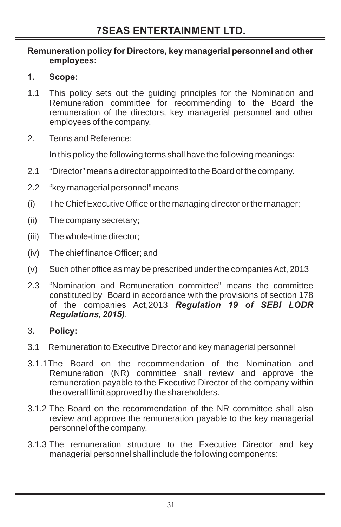#### **Remuneration policy for Directors, key managerial personnel and other employees:**

#### **1. Scope:**

- 1.1 This policy sets out the guiding principles for the Nomination and Remuneration committee for recommending to the Board the remuneration of the directors, key managerial personnel and other employees of the company.
- 2. Terms and Reference:

In this policy the following terms shall have the following meanings:

- 2.1 "Director" means a director appointed to the Board of the company.
- 2.2 "key managerial personnel" means
- (i) The Chief Executive Office or the managing director or the manager;
- (ii) The company secretary;
- (iii) The whole-time director;
- (iv) The chief finance Officer; and
- (v) Such other office as may be prescribed under the companies Act, 2013
- 2.3 "Nomination and Remuneration committee" means the committee constituted by Board in accordance with the provisions of section 178 of the companies Act,2013 *Regulation 19 of SEBI LODR Regulations, 2015)*.

# 3**. Policy:**

- 3.1 Remuneration to Executive Director and key managerial personnel
- 3.1.1The Board on the recommendation of the Nomination and Remuneration (NR) committee shall review and approve the remuneration payable to the Executive Director of the company within the overall limit approved by the shareholders.
- 3.1.2 The Board on the recommendation of the NR committee shall also review and approve the remuneration payable to the key managerial personnel of the company.
- 3.1.3 The remuneration structure to the Executive Director and key managerial personnel shall include the following components: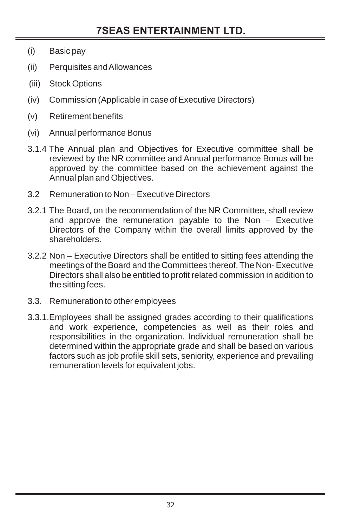- (i) Basic pay
- (ii) Perquisites and Allowances
- (iii) Stock Options
- (iv) Commission (Applicable in case of Executive Directors)
- (v) Retirement benefits
- (vi) Annual performance Bonus
- 3.1.4 The Annual plan and Objectives for Executive committee shall be reviewed by the NR committee and Annual performance Bonus will be approved by the committee based on the achievement against the Annual plan and Objectives.
- 3.2 Remuneration to Non Executive Directors
- 3.2.1 The Board, on the recommendation of the NR Committee, shall review and approve the remuneration payable to the Non – Executive Directors of the Company within the overall limits approved by the shareholders.
- 3.2.2 Non Executive Directors shall be entitled to sitting fees attending the meetings of the Board and the Committees thereof. The Non- Executive Directors shall also be entitled to profit related commission in addition to the sitting fees.
- 3.3. Remuneration to other employees
- 3.3.1.Employees shall be assigned grades according to their qualifications and work experience, competencies as well as their roles and responsibilities in the organization. Individual remuneration shall be determined within the appropriate grade and shall be based on various factors such as job profile skill sets, seniority, experience and prevailing remuneration levels for equivalent jobs.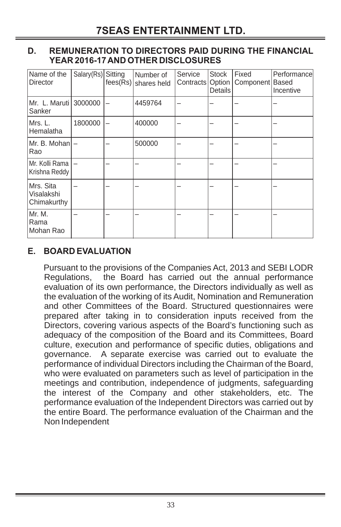#### **D. REMUNERATION TO DIRECTORS PAID DURING THE FINANCIAL YEAR 2016-17 AND OTHER DISCLOSURES**

| Name of the<br><b>Director</b>         | Salary(Rs) Sitting | fees(Rs) | Number of<br>shares held | Service<br>Contracts | <b>Stock</b><br>Option<br>Details | Fixed<br>Component Based | Performancel<br>Incentive |
|----------------------------------------|--------------------|----------|--------------------------|----------------------|-----------------------------------|--------------------------|---------------------------|
| Mr. L. Maruti 3000000<br>Sanker        |                    |          | 4459764                  |                      |                                   |                          |                           |
| Mrs. L.<br>Hemalatha                   | 1800000            |          | 400000                   |                      |                                   |                          |                           |
| Mr. B. Mohan -<br>Rao                  |                    |          | 500000                   |                      |                                   |                          |                           |
| Mr. Kolli Rama<br>Krishna Reddy        |                    |          |                          |                      |                                   |                          |                           |
| Mrs. Sita<br>Visalakshi<br>Chimakurthy |                    |          |                          |                      |                                   |                          |                           |
| Mr. M.<br>Rama<br>Mohan Rao            |                    |          |                          |                      |                                   |                          |                           |

# **E. BOARD EVALUATION**

Pursuant to the provisions of the Companies Act, 2013 and SEBI LODR Regulations, the Board has carried out the annual performance evaluation of its own performance, the Directors individually as well as the evaluation of the working of its Audit, Nomination and Remuneration and other Committees of the Board. Structured questionnaires were prepared after taking in to consideration inputs received from the Directors, covering various aspects of the Board's functioning such as adequacy of the composition of the Board and its Committees, Board culture, execution and performance of specific duties, obligations and governance. A separate exercise was carried out to evaluate the performance of individual Directors including the Chairman of the Board, who were evaluated on parameters such as level of participation in the meetings and contribution, independence of judgments, safeguarding the interest of the Company and other stakeholders, etc. The performance evaluation of the Independent Directors was carried out by the entire Board. The performance evaluation of the Chairman and the Non Independent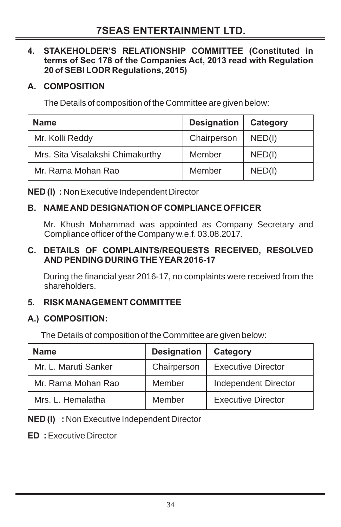#### **4. STAKEHOLDER'S RELATIONSHIP COMMITTEE (Constituted in terms of Sec 178 of the Companies Act, 2013 read with Regulation 20 of SEBI LODR Regulations, 2015)**

# **A. COMPOSITION**

The Details of composition of the Committee are given below:

| <b>Name</b>                      | <b>Designation</b> | Category |
|----------------------------------|--------------------|----------|
| Mr. Kolli Reddy                  | Chairperson        | NED(I)   |
| Mrs. Sita Visalakshi Chimakurthy | Member             | NED(I)   |
| Mr. Rama Mohan Rao               | Member             | NED(I)   |

**NED (I) :** Non Executive Independent Director

# **B. NAME AND DESIGNATION OF COMPLIANCE OFFICER**

Mr. Khush Mohammad was appointed as Company Secretary and Compliance officer of the Company w.e.f. 03.08.2017.

#### **C. DETAILS OF COMPLAINTS/REQUESTS RECEIVED, RESOLVED AND PENDING DURING THE YEAR 2016-17**

During the financial year 2016-17, no complaints were received from the shareholders.

# **5. RISK MANAGEMENT COMMITTEE**

# **A.) COMPOSITION:**

The Details of composition of the Committee are given below:

| <b>Name</b>          | <b>Designation</b> | Category                    |
|----------------------|--------------------|-----------------------------|
| Mr. L. Maruti Sanker | Chairperson        | <b>Executive Director</b>   |
| Mr. Rama Mohan Rao   | Member             | <b>Independent Director</b> |
| Mrs. L. Hemalatha    | Member             | Executive Director          |

# **NED (I) :** Non Executive Independent Director

# **ED :** Executive Director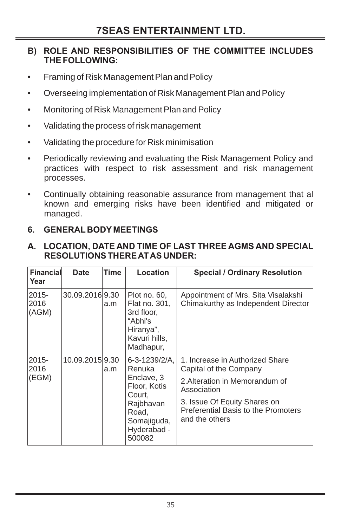#### **B) ROLE AND RESPONSIBILITIES OF THE COMMITTEE INCLUDES THE FOLLOWING:**

- Framing of Risk Management Plan and Policy
- Overseeing implementation of Risk Management Plan and Policy
- Monitoring of Risk Management Plan and Policy
- Validating the process of risk management
- Validating the procedure for Risk minimisation
- Periodically reviewing and evaluating the Risk Management Policy and practices with respect to risk assessment and risk management processes.
- Continually obtaining reasonable assurance from management that al known and emerging risks have been identified and mitigated or managed.

### **6. GENERAL BODY MEETINGS**

| Financial<br>Year         | <b>Date</b>     | <b>Time</b> | Location                                                                                                                           | <b>Special / Ordinary Resolution</b>                                                                                                                                                                |
|---------------------------|-----------------|-------------|------------------------------------------------------------------------------------------------------------------------------------|-----------------------------------------------------------------------------------------------------------------------------------------------------------------------------------------------------|
| $2015 -$<br>2016<br>(AGM) | 30.09.2016 9.30 | a.m         | Plot no. 60,<br>Flat no. 301,<br>3rd floor,<br>"Abhi's<br>Hiranya",<br>Kavuri hills,<br>Madhapur,                                  | Appointment of Mrs. Sita Visalakshi<br>Chimakurthy as Independent Director                                                                                                                          |
| 2015-<br>2016<br>(EGM)    | 10.09.2015 9.30 | a.m         | $6 - 3 - 1239/2/A$<br>Renuka<br>Enclave, 3<br>Floor. Kotis<br>Court.<br>Raibhavan<br>Road,<br>Somajiguda,<br>Hyderabad -<br>500082 | 1. Increase in Authorized Share<br>Capital of the Company<br>2. Alteration in Memorandum of<br>Association<br>3. Issue Of Equity Shares on<br>Preferential Basis to the Promoters<br>and the others |

#### **A. LOCATION, DATE AND TIME OF LAST THREE AGMS AND SPECIAL RESOLUTIONS THERE AT AS UNDER:**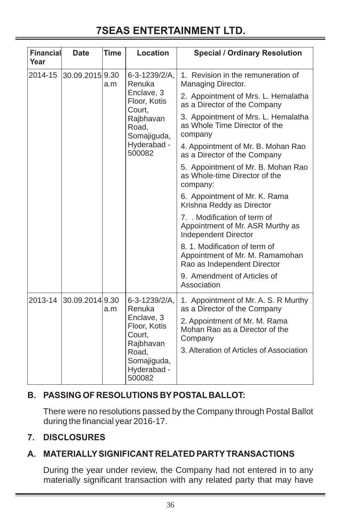# **7SEAS ENTERTAINMENT LTD.**

| Financial<br>Year | <b>Date</b>     | <b>Time</b> | Location                                                                                                                      | <b>Special / Ordinary Resolution</b>                                                                                                                                                                                                                                                                                                                                                                                                                                                                                                                                                                                                                                                 |
|-------------------|-----------------|-------------|-------------------------------------------------------------------------------------------------------------------------------|--------------------------------------------------------------------------------------------------------------------------------------------------------------------------------------------------------------------------------------------------------------------------------------------------------------------------------------------------------------------------------------------------------------------------------------------------------------------------------------------------------------------------------------------------------------------------------------------------------------------------------------------------------------------------------------|
| 2014-15           | 30.09.2015 9.30 | a.m         | 6-3-1239/2/A.<br>Renuka<br>Enclave, 3<br>Floor, Kotis<br>Court,<br>Rajbhavan<br>Road,<br>Somajiguda,<br>Hyderabad -<br>500082 | 1. Revision in the remuneration of<br>Managing Director.<br>2. Appointment of Mrs. L. Hemalatha<br>as a Director of the Company<br>3. Appointment of Mrs. L. Hemalatha<br>as Whole Time Director of the<br>company<br>4. Appointment of Mr. B. Mohan Rao<br>as a Director of the Company<br>5. Appointment of Mr. B. Mohan Rao<br>as Whole-time Director of the<br>company:<br>6. Appointment of Mr. K. Rama<br>Krishna Reddy as Director<br>7. Modification of term of<br>Appointment of Mr. ASR Murthy as<br>Independent Director<br>8. 1. Modification of term of<br>Appointment of Mr. M. Ramamohan<br>Rao as Independent Director<br>9. Amendment of Articles of<br>Association |
| 2013-14           | 30.09.2014 9.30 | a.m         | 6-3-1239/2/A.<br>Renuka<br>Enclave, 3<br>Floor, Kotis<br>Court,<br>Rajbhavan<br>Road.<br>Somajiguda,<br>Hyderabad -<br>500082 | 1. Appointment of Mr. A. S. R Murthy<br>as a Director of the Company<br>2. Appointment of Mr. M. Rama<br>Mohan Rao as a Director of the<br>Company<br>3. Alteration of Articles of Association                                                                                                                                                                                                                                                                                                                                                                                                                                                                                       |

# **B. PASSING OF RESOLUTIONS BY POSTAL BALLOT:**

There were no resolutions passed by the Company through Postal Ballot during the financial year 2016-17.

# **7. DISCLOSURES**

# **A. MATERIALLY SIGNIFICANT RELATED PARTY TRANSACTIONS**

During the year under review, the Company had not entered in to any materially significant transaction with any related party that may have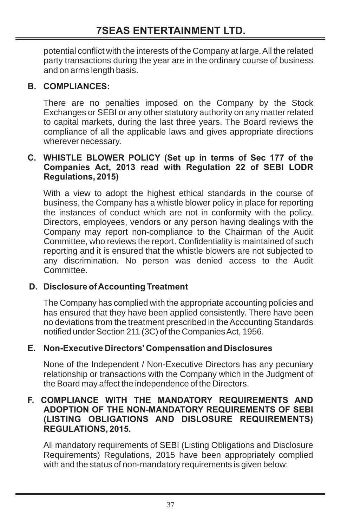potential conflict with the interests of the Company at large. All the related party transactions during the year are in the ordinary course of business and on arms length basis.

# **B. COMPLIANCES:**

There are no penalties imposed on the Company by the Stock Exchanges or SEBI or any other statutory authority on any matter related to capital markets, during the last three years. The Board reviews the compliance of all the applicable laws and gives appropriate directions wherever necessary.

## **C. WHISTLE BLOWER POLICY (Set up in terms of Sec 177 of the Companies Act, 2013 read with Regulation 22 of SEBI LODR Regulations, 2015)**

With a view to adopt the highest ethical standards in the course of business, the Company has a whistle blower policy in place for reporting the instances of conduct which are not in conformity with the policy. Directors, employees, vendors or any person having dealings with the Company may report non-compliance to the Chairman of the Audit Committee, who reviews the report. Confidentiality is maintained of such reporting and it is ensured that the whistle blowers are not subjected to any discrimination. No person was denied access to the Audit Committee.

## **D. Disclosure of Accounting Treatment**

The Company has complied with the appropriate accounting policies and has ensured that they have been applied consistently. There have been no deviations from the treatment prescribed in the Accounting Standards notified under Section 211 (3C) of the Companies Act, 1956.

# **E. Non-Executive Directors' Compensation and Disclosures**

None of the Independent / Non-Executive Directors has any pecuniary relationship or transactions with the Company which in the Judgment of the Board may affect the independence of the Directors.

### **F. COMPLIANCE WITH THE MANDATORY REQUIREMENTS AND ADOPTION OF THE NON-MANDATORY REQUIREMENTS OF SEBI (LISTING OBLIGATIONS AND DISLOSURE REQUIREMENTS) REGULATIONS, 2015.**

All mandatory requirements of SEBI (Listing Obligations and Disclosure Requirements) Regulations, 2015 have been appropriately complied with and the status of non-mandatory requirements is given below: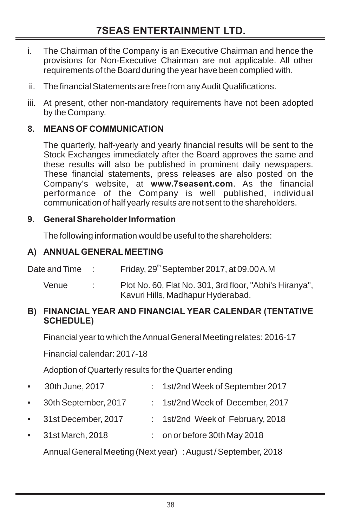- i. The Chairman of the Company is an Executive Chairman and hence the provisions for Non-Executive Chairman are not applicable. All other requirements of the Board during the year have been complied with.
- ii. The financial Statements are free from any Audit Qualifications.
- iii. At present, other non-mandatory requirements have not been adopted by the Company.

# **8. MEANS OF COMMUNICATION**

The quarterly, half-yearly and yearly financial results will be sent to the Stock Exchanges immediately after the Board approves the same and these results will also be published in prominent daily newspapers. These financial statements, press releases are also posted on the Company's website, at **www.7seasent.com**. As the financial performance of the Company is well published, individual communication of half yearly results are not sent to the shareholders.

## **9. General Shareholder Information**

The following information would be useful to the shareholders:

# **A) ANNUAL GENERAL MEETING**

| Date and Time |  | Friday, 29 <sup>th</sup> September 2017, at 09.00 A.M |
|---------------|--|-------------------------------------------------------|
|---------------|--|-------------------------------------------------------|

Venue : Plot No. 60, Flat No. 301, 3rd floor, "Abhi's Hiranya", Kavuri Hills, Madhapur Hyderabad.

## **B) FINANCIAL YEAR AND FINANCIAL YEAR CALENDAR (TENTATIVE SCHEDULE)**

Financial year to which the Annual General Meeting relates: 2016-17

Financial calendar: 2017-18

Adoption of Quarterly results for the Quarter ending

- 30th June, 2017 : 1st/2nd Week of September 2017
- 30th September, 2017 : 1st/2nd Week of December, 2017
- 31st December, 2017 : 1st/2nd Week of February, 2018
- 31st March, 2018 : on or before 30th May 2018

Annual General Meeting (Next year) : August / September, 2018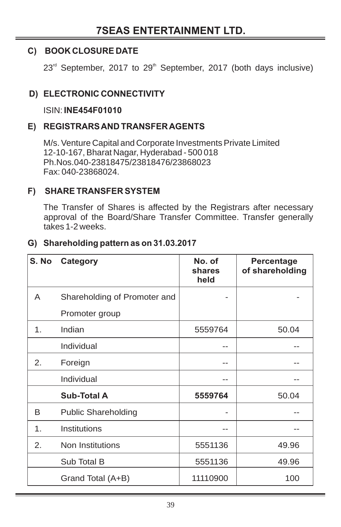## **C) BOOK CLOSURE DATE**

 $23<sup>rd</sup>$  September, 2017 to 29<sup>th</sup> September, 2017 (both days inclusive)

# **D) ELECTRONIC CONNECTIVITY**

ISIN: **INE454F01010**

## **E) REGISTRARS AND TRANSFER AGENTS**

M/s. Venture Capital and Corporate Investments Private Limited 12-10-167, Bharat Nagar, Hyderabad - 500 018 Ph.Nos.040-23818475/23818476/23868023 Fax: 040-23868024.

## **F) SHARE TRANSFER SYSTEM**

The Transfer of Shares is affected by the Registrars after necessary approval of the Board/Share Transfer Committee. Transfer generally takes 1-2 weeks.

| S. No          | Category                     | No. of<br>shares<br>held | Percentage<br>of shareholding |
|----------------|------------------------------|--------------------------|-------------------------------|
| A              | Shareholding of Promoter and |                          |                               |
|                | Promoter group               |                          |                               |
| 1 <sub>1</sub> | Indian                       | 5559764                  | 50.04                         |
|                | Individual                   |                          |                               |
| 2.             | Foreign                      |                          |                               |
|                | Individual                   |                          |                               |
|                | <b>Sub-Total A</b>           | 5559764                  | 50.04                         |
| B              | <b>Public Shareholding</b>   |                          |                               |
| 1.             | Institutions                 |                          |                               |
| 2.             | Non Institutions             | 5551136                  | 49.96                         |
|                | Sub Total B                  | 5551136                  | 49.96                         |
|                | Grand Total (A+B)            | 11110900                 | 100                           |

## **G) Shareholding pattern as on 31.03.2017**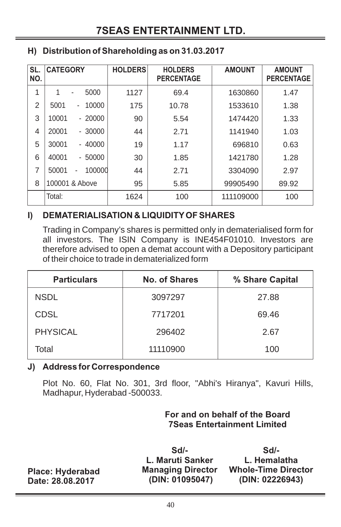| SL.<br>NO. | <b>CATEGORY</b> |                                    | <b>HOLDERS</b> | <b>HOLDERS</b><br><b>PERCENTAGE</b> | <b>AMOUNT</b> | <b>AMOUNT</b><br><b>PERCENTAGE</b> |
|------------|-----------------|------------------------------------|----------------|-------------------------------------|---------------|------------------------------------|
| 1          | 1               | 5000<br>٠                          | 1127           | 69.4                                | 1630860       | 1.47                               |
| 2          | 5001            | 10000<br>$\overline{\phantom{a}}$  | 175            | 10.78                               | 1533610       | 1.38                               |
| 3          | 10001           | $-20000$                           | 90             | 5.54                                | 1474420       | 1.33                               |
| 4          | 20001           | $-30000$                           | 44             | 2.71                                | 1141940       | 1.03                               |
| 5          | 30001           | $-40000$                           | 19             | 1.17                                | 696810        | 0.63                               |
| 6          | 40001           | $-50000$                           | 30             | 1.85                                | 1421780       | 1.28                               |
| 7          | 50001           | 100000<br>$\overline{\phantom{a}}$ | 44             | 2.71                                | 3304090       | 2.97                               |
| 8          | 100001 & Above  |                                    | 95             | 5.85                                | 99905490      | 89.92                              |
|            | Total:          |                                    | 1624           | 100                                 | 111109000     | 100                                |

## **H) Distribution of Shareholding as on 31.03.2017**

## **I) DEMATERIALISATION & LIQUIDITY OF SHARES**

Trading in Company's shares is permitted only in dematerialised form for all investors. The ISIN Company is INE454F01010. Investors are therefore advised to open a demat account with a Depository participant of their choice to trade in dematerialized form

| <b>Particulars</b> | No. of Shares | % Share Capital |
|--------------------|---------------|-----------------|
| <b>NSDL</b>        | 3097297       | 27.88           |
| <b>CDSL</b>        | 7717201       | 69.46           |
| <b>PHYSICAL</b>    | 296402        | 2.67            |
| Total              | 11110900      | 100             |

## **J) Address for Correspondence**

Plot No. 60, Flat No. 301, 3rd floor, "Abhi's Hiranya", Kavuri Hills, Madhapur, Hyderabad -500033.

### **For and on behalf of the Board 7Seas Entertainment Limited**

**Place: Hyderabad Date: 28.08.2017**

**Sd/- L. Maruti Sanker Managing Director (DIN: 01095047)**

**Sd/- L. Hemalatha Whole-Time Director (DIN: 02226943)**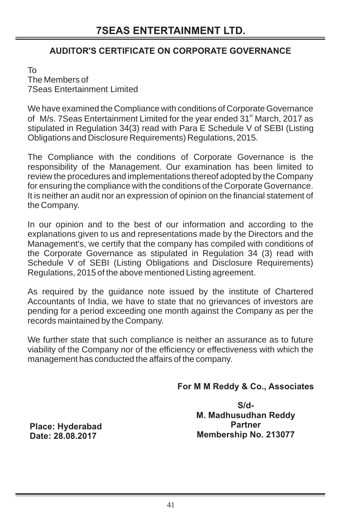# **AUDITOR'S CERTIFICATE ON CORPORATE GOVERNANCE**

To The Members of 7Seas Entertainment Limited

We have examined the Compliance with conditions of Corporate Governance of M/s. 7Seas Entertainment Limited for the year ended 31<sup>st</sup> March, 2017 as stipulated in Regulation 34(3) read with Para E Schedule V of SEBI (Listing Obligations and Disclosure Requirements) Regulations, 2015.

The Compliance with the conditions of Corporate Governance is the responsibility of the Management. Our examination has been limited to review the procedures and implementations thereof adopted by the Company for ensuring the compliance with the conditions of the Corporate Governance. It is neither an audit nor an expression of opinion on the financial statement of the Company.

In our opinion and to the best of our information and according to the explanations given to us and representations made by the Directors and the Management's, we certify that the company has compiled with conditions of the Corporate Governance as stipulated in Regulation 34 (3) read with Schedule V of SEBI (Listing Obligations and Disclosure Requirements) Regulations, 2015 of the above mentioned Listing agreement.

As required by the guidance note issued by the institute of Chartered Accountants of India, we have to state that no grievances of investors are pending for a period exceeding one month against the Company as per the records maintained by the Company.

We further state that such compliance is neither an assurance as to future viability of the Company nor of the efficiency or effectiveness with which the management has conducted the affairs of the company.

## **For M M Reddy & Co., Associates**

**S/d-M. Madhusudhan Reddy Partner Membership No. 213077**

**Place: Hyderabad Date: 28.08.2017**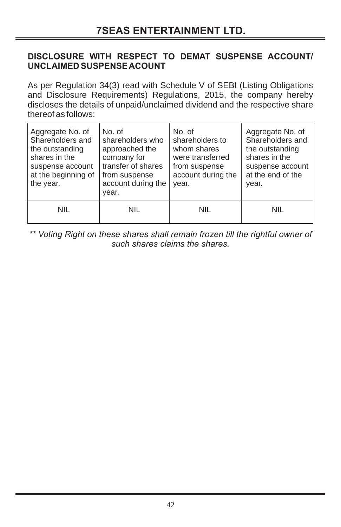## **DISCLOSURE WITH RESPECT TO DEMAT SUSPENSE ACCOUNT/ UNCLAIMED SUSPENSE ACOUNT**

As per Regulation 34(3) read with Schedule V of SEBI (Listing Obligations and Disclosure Requirements) Regulations, 2015, the company hereby discloses the details of unpaid/unclaimed dividend and the respective share thereof as follows:

| Aggregate No. of<br>Shareholders and<br>the outstanding<br>shares in the<br>suspense account<br>at the beginning of<br>the year. | No. of<br>shareholders who<br>approached the<br>company for<br>transfer of shares<br>from suspense<br>account during the<br>year. | No. of<br>shareholders to<br>whom shares<br>were transferred<br>from suspense<br>account during the<br>year. | Aggregate No. of<br>Shareholders and<br>the outstanding<br>shares in the<br>suspense account<br>at the end of the<br>year. |
|----------------------------------------------------------------------------------------------------------------------------------|-----------------------------------------------------------------------------------------------------------------------------------|--------------------------------------------------------------------------------------------------------------|----------------------------------------------------------------------------------------------------------------------------|
| NIL.                                                                                                                             | <b>NIL</b>                                                                                                                        | <b>NIL</b>                                                                                                   | NIL                                                                                                                        |

*\*\* Voting Right on these shares shall remain frozen till the rightful owner of such shares claims the shares.*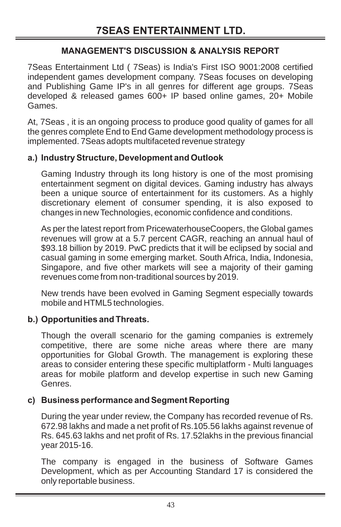## **MANAGEMENT'S DISCUSSION & ANALYSIS REPORT**

7Seas Entertainment Ltd ( 7Seas) is India's First ISO 9001:2008 certified independent games development company. 7Seas focuses on developing and Publishing Game IP's in all genres for different age groups. 7Seas developed & released games 600+ IP based online games, 20+ Mobile Games.

At, 7Seas , it is an ongoing process to produce good quality of games for all the genres complete End to End Game development methodology process is implemented. 7Seas adopts multifaceted revenue strategy

### **a.) Industry Structure, Development and Outlook**

Gaming Industry through its long history is one of the most promising entertainment segment on digital devices. Gaming industry has always been a unique source of entertainment for its customers. As a highly discretionary element of consumer spending, it is also exposed to changes in new Technologies, economic confidence and conditions.

As per the latest report from PricewaterhouseCoopers, the Global games revenues will grow at a 5.7 percent CAGR, reaching an annual haul of \$93.18 billion by 2019. PwC predicts that it will be eclipsed by social and casual gaming in some emerging market. South Africa, India, Indonesia, Singapore, and five other markets will see a majority of their gaming revenues come from non-traditional sources by 2019.

New trends have been evolved in Gaming Segment especially towards mobile and HTML5 technologies.

## **b.) Opportunities and Threats.**

Though the overall scenario for the gaming companies is extremely competitive, there are some niche areas where there are many opportunities for Global Growth. The management is exploring these areas to consider entering these specific multiplatform - Multi languages areas for mobile platform and develop expertise in such new Gaming Genres.

## **c) Business performance and Segment Reporting**

During the year under review, the Company has recorded revenue of Rs. 672.98 lakhs and made a net profit of Rs.105.56 lakhs against revenue of Rs. 645.63 lakhs and net profit of Rs. 17.52lakhs in the previous financial year 2015-16.

The company is engaged in the business of Software Games Development, which as per Accounting Standard 17 is considered the only reportable business.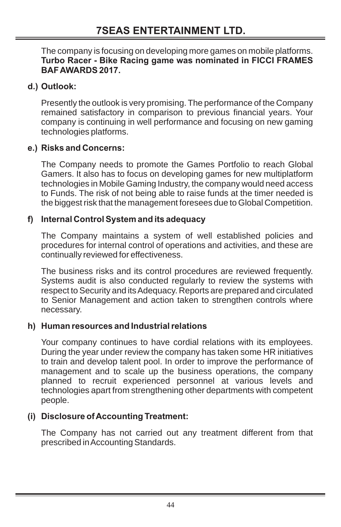The company is focusing on developing more games on mobile platforms. **Turbo Racer - Bike Racing game was nominated in FICCI FRAMES BAF AWARDS 2017.**

## **d.) Outlook:**

Presently the outlook is very promising. The performance of the Company remained satisfactory in comparison to previous financial years. Your company is continuing in well performance and focusing on new gaming technologies platforms.

## **e.) Risks and Concerns:**

The Company needs to promote the Games Portfolio to reach Global Gamers. It also has to focus on developing games for new multiplatform technologies in Mobile Gaming Industry, the company would need access to Funds. The risk of not being able to raise funds at the timer needed is the biggest risk that the management foresees due to Global Competition.

## **f) Internal Control System and its adequacy**

The Company maintains a system of well established policies and procedures for internal control of operations and activities, and these are continually reviewed for effectiveness.

The business risks and its control procedures are reviewed frequently. Systems audit is also conducted regularly to review the systems with respect to Security and its Adequacy. Reports are prepared and circulated to Senior Management and action taken to strengthen controls where necessary.

## **h) Human resources and Industrial relations**

Your company continues to have cordial relations with its employees. During the year under review the company has taken some HR initiatives to train and develop talent pool. In order to improve the performance of management and to scale up the business operations, the company planned to recruit experienced personnel at various levels and technologies apart from strengthening other departments with competent people.

## **(i) Disclosure of Accounting Treatment:**

The Company has not carried out any treatment different from that prescribed in Accounting Standards.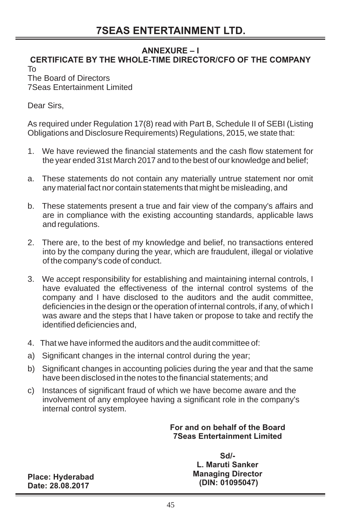## **ANNEXURE – I**

#### **CERTIFICATE BY THE WHOLE-TIME DIRECTOR/CFO OF THE COMPANY** To

The Board of Directors 7Seas Entertainment Limited

Dear Sirs,

As required under Regulation 17(8) read with Part B, Schedule II of SEBI (Listing Obligations and Disclosure Requirements) Regulations, 2015, we state that:

- 1. We have reviewed the financial statements and the cash flow statement for the year ended 31st March 2017 and to the best of our knowledge and belief;
- a. These statements do not contain any materially untrue statement nor omit any material fact nor contain statements that might be misleading, and
- b. These statements present a true and fair view of the company's affairs and are in compliance with the existing accounting standards, applicable laws and regulations.
- 2. There are, to the best of my knowledge and belief, no transactions entered into by the company during the year, which are fraudulent, illegal or violative of the company's code of conduct.
- 3. We accept responsibility for establishing and maintaining internal controls, I have evaluated the effectiveness of the internal control systems of the company and I have disclosed to the auditors and the audit committee, deficiencies in the design or the operation of internal controls, if any, of which I was aware and the steps that I have taken or propose to take and rectify the identified deficiencies and,
- 4. That we have informed the auditors and the audit committee of:
- a) Significant changes in the internal control during the year;
- b) Significant changes in accounting policies during the year and that the same have been disclosed in the notes to the financial statements; and
- c) Instances of significant fraud of which we have become aware and the involvement of any employee having a significant role in the company's internal control system.

#### **For and on behalf of the Board 7Seas Entertainment Limited**

**Sd/- L. Maruti Sanker Managing Director (DIN: 01095047)**

**Place: Hyderabad Date: 28.08.2017**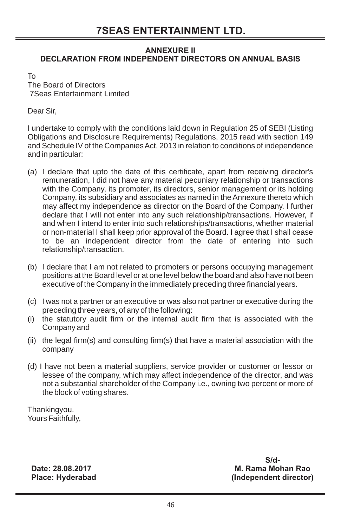#### **ANNEXURE II DECLARATION FROM INDEPENDENT DIRECTORS ON ANNUAL BASIS**

To

The Board of Directors 7Seas Entertainment Limited

Dear Sir,

I undertake to comply with the conditions laid down in Regulation 25 of SEBI (Listing Obligations and Disclosure Requirements) Regulations, 2015 read with section 149 and Schedule IV of the Companies Act, 2013 in relation to conditions of independence and in particular:

- (a) I declare that upto the date of this certificate, apart from receiving director's remuneration, I did not have any material pecuniary relationship or transactions with the Company, its promoter, its directors, senior management or its holding Company, its subsidiary and associates as named in the Annexure thereto which may affect my independence as director on the Board of the Company. I further declare that I will not enter into any such relationship/transactions. However, if and when I intend to enter into such relationships/transactions, whether material or non-material I shall keep prior approval of the Board. I agree that I shall cease to be an independent director from the date of entering into such relationship/transaction.
- (b) I declare that I am not related to promoters or persons occupying management positions at the Board level or at one level below the board and also have not been executive of the Company in the immediately preceding three financial years.
- (c) I was not a partner or an executive or was also not partner or executive during the preceding three years, of any of the following:
- (i) the statutory audit firm or the internal audit firm that is associated with the Company and
- (ii) the legal firm(s) and consulting firm(s) that have a material association with the company
- (d) I have not been a material suppliers, service provider or customer or lessor or lessee of the company, which may affect independence of the director, and was not a substantial shareholder of the Company i.e., owning two percent or more of the block of voting shares.

Thankingyou. Yours Faithfully,

**Date: 28.08.2017 Place: Hyderabad** 

**S/d-M. Rama Mohan Rao (Independent director)**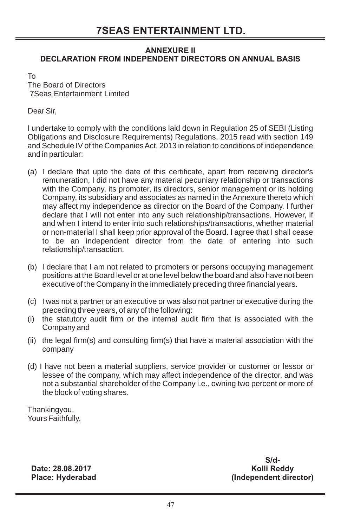#### **ANNEXURE II DECLARATION FROM INDEPENDENT DIRECTORS ON ANNUAL BASIS**

To

The Board of Directors 7Seas Entertainment Limited

Dear Sir,

I undertake to comply with the conditions laid down in Regulation 25 of SEBI (Listing Obligations and Disclosure Requirements) Regulations, 2015 read with section 149 and Schedule IV of the Companies Act, 2013 in relation to conditions of independence and in particular:

- (a) I declare that upto the date of this certificate, apart from receiving director's remuneration, I did not have any material pecuniary relationship or transactions with the Company, its promoter, its directors, senior management or its holding Company, its subsidiary and associates as named in the Annexure thereto which may affect my independence as director on the Board of the Company. I further declare that I will not enter into any such relationship/transactions. However, if and when I intend to enter into such relationships/transactions, whether material or non-material I shall keep prior approval of the Board. I agree that I shall cease to be an independent director from the date of entering into such relationship/transaction.
- (b) I declare that I am not related to promoters or persons occupying management positions at the Board level or at one level below the board and also have not been executive of the Company in the immediately preceding three financial years.
- (c) I was not a partner or an executive or was also not partner or executive during the preceding three years, of any of the following:
- (i) the statutory audit firm or the internal audit firm that is associated with the Company and
- (ii) the legal firm(s) and consulting firm(s) that have a material association with the company
- (d) I have not been a material suppliers, service provider or customer or lessor or lessee of the company, which may affect independence of the director, and was not a substantial shareholder of the Company i.e., owning two percent or more of the block of voting shares.

Thankingyou. Yours Faithfully,

**Date: 28.08.2017 Place: Hyderabad** 

**S/d-Kolli Reddy (Independent director)**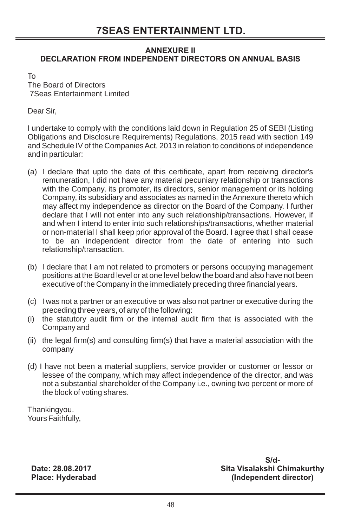#### **ANNEXURE II DECLARATION FROM INDEPENDENT DIRECTORS ON ANNUAL BASIS**

To

The Board of Directors 7Seas Entertainment Limited

Dear Sir,

I undertake to comply with the conditions laid down in Regulation 25 of SEBI (Listing Obligations and Disclosure Requirements) Regulations, 2015 read with section 149 and Schedule IV of the Companies Act, 2013 in relation to conditions of independence and in particular:

- (a) I declare that upto the date of this certificate, apart from receiving director's remuneration, I did not have any material pecuniary relationship or transactions with the Company, its promoter, its directors, senior management or its holding Company, its subsidiary and associates as named in the Annexure thereto which may affect my independence as director on the Board of the Company. I further declare that I will not enter into any such relationship/transactions. However, if and when I intend to enter into such relationships/transactions, whether material or non-material I shall keep prior approval of the Board. I agree that I shall cease to be an independent director from the date of entering into such relationship/transaction.
- (b) I declare that I am not related to promoters or persons occupying management positions at the Board level or at one level below the board and also have not been executive of the Company in the immediately preceding three financial years.
- (c) I was not a partner or an executive or was also not partner or executive during the preceding three years, of any of the following:
- (i) the statutory audit firm or the internal audit firm that is associated with the Company and
- (ii) the legal firm(s) and consulting firm(s) that have a material association with the company
- (d) I have not been a material suppliers, service provider or customer or lessor or lessee of the company, which may affect independence of the director, and was not a substantial shareholder of the Company i.e., owning two percent or more of the block of voting shares.

Thankingyou. Yours Faithfully,

**Date: 28.08.2017 Place: Hyderabad** 

**S/d-Sita Visalakshi Chimakurthy (Independent director)**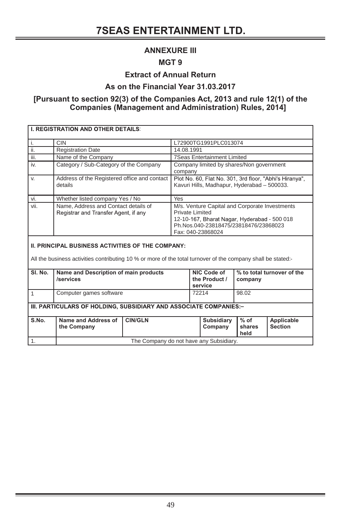#### **ANNEXURE III**

#### **MGT 9**

## **Extract of Annual Return**

### **As on the Financial Year 31.03.2017**

#### **[Pursuant to section 92(3) of the Companies Act, 2013 and rule 12(1) of the Companies (Management and Administration) Rules, 2014]**

|              | <b>I. REGISTRATION AND OTHER DETAILS:</b>                                                                                                                         |                                         |                                                                                                        |  |                                                                                                                                                              |                          |                              |  |
|--------------|-------------------------------------------------------------------------------------------------------------------------------------------------------------------|-----------------------------------------|--------------------------------------------------------------------------------------------------------|--|--------------------------------------------------------------------------------------------------------------------------------------------------------------|--------------------------|------------------------------|--|
| i.           | <b>CIN</b>                                                                                                                                                        |                                         |                                                                                                        |  | L72900TG1991PLC013074                                                                                                                                        |                          |                              |  |
| ΪĪ.          | <b>Registration Date</b>                                                                                                                                          |                                         | 14.08.1991                                                                                             |  |                                                                                                                                                              |                          |                              |  |
| iii.         | Name of the Company                                                                                                                                               |                                         | <b>7Seas Entertainment Limited</b>                                                                     |  |                                                                                                                                                              |                          |                              |  |
| iv.          | Category / Sub-Category of the Company                                                                                                                            |                                         | Company limited by shares/Non government<br>company                                                    |  |                                                                                                                                                              |                          |                              |  |
| V.           | Address of the Registered office and contact<br>details                                                                                                           |                                         | Plot No. 60, Flat No. 301, 3rd floor, "Abhi's Hiranya",<br>Kavuri Hills, Madhapur, Hyderabad - 500033. |  |                                                                                                                                                              |                          |                              |  |
| vi.          | Whether listed company Yes / No                                                                                                                                   |                                         | Yes                                                                                                    |  |                                                                                                                                                              |                          |                              |  |
| vii.         | Name. Address and Contact details of<br>Registrar and Transfer Agent, if any                                                                                      |                                         | <b>Private Limited</b>                                                                                 |  | M/s. Venture Capital and Corporate Investments<br>12-10-167, Bharat Nagar, Hyderabad - 500 018<br>Ph.Nos.040-23818475/23818476/23868023<br>Fax: 040-23868024 |                          |                              |  |
|              | II. PRINCIPAL BUSINESS ACTIVITIES OF THE COMPANY:<br>All the business activities contributing 10 % or more of the total turnover of the company shall be stated:- |                                         |                                                                                                        |  |                                                                                                                                                              |                          |                              |  |
| SI. No.      | Name and Description of main products<br><b>/services</b>                                                                                                         |                                         |                                                                                                        |  | NIC Code of<br>the Product /<br>service                                                                                                                      | company                  | % to total turnover of the   |  |
| $\mathbf{1}$ | Computer games software                                                                                                                                           |                                         |                                                                                                        |  | 72214                                                                                                                                                        | 98.02                    |                              |  |
|              | III. PARTICULARS OF HOLDING, SUBSIDIARY AND ASSOCIATE COMPANIES:-                                                                                                 |                                         |                                                                                                        |  |                                                                                                                                                              |                          |                              |  |
| S.No.        | Name and Address of<br>the Company                                                                                                                                | <b>CIN/GLN</b>                          |                                                                                                        |  | Subsidiary<br>Company                                                                                                                                        | $%$ of<br>shares<br>held | Applicable<br><b>Section</b> |  |
| 1.           |                                                                                                                                                                   | The Company do not have any Subsidiary. |                                                                                                        |  |                                                                                                                                                              |                          |                              |  |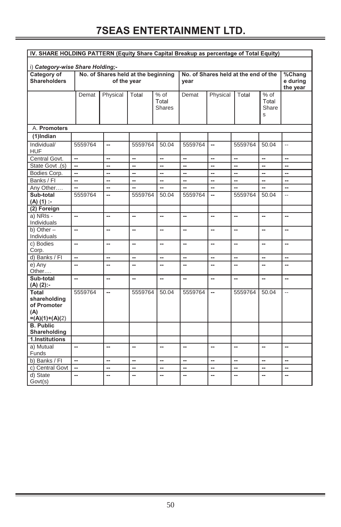| IV. SHARE HOLDING PATTERN (Equity Share Capital Breakup as percentage of Total Equity) |         |                                                    |         |                                  |         |          |                                      |                             |                                        |
|----------------------------------------------------------------------------------------|---------|----------------------------------------------------|---------|----------------------------------|---------|----------|--------------------------------------|-----------------------------|----------------------------------------|
| i) Category-wise Share Holding;-                                                       |         |                                                    |         |                                  |         |          |                                      |                             |                                        |
| <b>Category of</b><br><b>Shareholders</b>                                              |         | No. of Shares held at the beginning<br>of the year |         |                                  | year    |          | No. of Shares held at the end of the |                             | $\sqrt%$ Chang<br>e during<br>the year |
|                                                                                        | Demat   | Physical                                           | Total   | $%$ of<br>Total<br><b>Shares</b> | Demat   | Physical | Total                                | % of<br>Total<br>Share<br>S |                                        |
| A. Promoters                                                                           |         |                                                    |         |                                  |         |          |                                      |                             |                                        |
| (1)Indian                                                                              |         |                                                    |         |                                  |         |          |                                      |                             |                                        |
| Individual/<br><b>HUF</b>                                                              | 5559764 | Ξ.                                                 | 5559764 | 50.04                            | 5559764 | н.       | 5559764                              | 50.04                       | $\sim$                                 |
| Central Govt.                                                                          | ÷.      | ш,                                                 | ш.      | ш.                               | н.      | ш,       | u.                                   | н.                          | ш.                                     |
| State Govt .(s)                                                                        | ÷.      | Ξ.                                                 | н.      | н.                               | н.      | н.       | н.                                   | ц,                          | μ.                                     |
| Bodies Corp.                                                                           | ÷.      | Ξ.                                                 | μ.      | ٠.                               | н.      | ц,       | μ.                                   | ц,                          | μ.                                     |
| Banks / FI                                                                             | u.      | u.                                                 | ш,      | ш,                               | ш,      | ш,       | ä.                                   | u.                          | ш.                                     |
| Any Other                                                                              | ш,      | ш,                                                 | Ш.      | ш,                               | ш,      | н.       | u.                                   | Ш,                          | Ш.                                     |
| Sub-total<br>$(A)$ (1) :-                                                              | 5559764 | u.                                                 | 5559764 | 50.04                            | 5559764 | ä.       | 5559764                              | 50.04                       | L.                                     |
| (2) Foreign                                                                            |         |                                                    |         |                                  |         |          |                                      |                             |                                        |
| a) NRIs -<br>Individuals                                                               | ц,      | ш,                                                 | …       | μ.                               | -−      | н.       | н.                                   | μ.                          | Ш.                                     |
| b) Other-<br>Individuals                                                               | н.      | Ξ.                                                 |         | ш.                               | н.      | н.       | $\overline{a}$                       | ш.                          | ۰.                                     |
| c) Bodies<br>Corp.                                                                     | н.      | ۰.                                                 | …       | ٠.                               | н.      | н.       | н.                                   | н.                          | μ.                                     |
| d) Banks / Fl                                                                          | н.      | ۰.                                                 |         | ٠.                               | н.      | ٠.       | н,                                   | н,                          | ۰.                                     |
| e) Any<br>Other                                                                        | ш,      | u.                                                 |         |                                  | ш,      | ш,       | Ш.                                   | Ш,                          | Ш.                                     |
| Sub-total<br>$(A)$ $(2)$ :-                                                            | Ξ.      | ٠.                                                 |         | $\overline{a}$                   | ш,      | ш,       | $\overline{a}$                       | $\overline{a}$              | --                                     |
| Total<br>shareholding<br>of Promoter<br>(A)<br>$=(A)(1)+(A)(2)$                        | 5559764 | ш,                                                 | 5559764 | 50.04                            | 5559764 | --       | 5559764                              | 50.04                       | $\sim$                                 |
| <b>B. Public</b><br>Shareholding                                                       |         |                                                    |         |                                  |         |          |                                      |                             |                                        |
| 1.Institutions                                                                         |         |                                                    |         |                                  |         |          |                                      |                             |                                        |
| a) Mutual<br>Funds                                                                     | u.      | $\overline{a}$                                     | Ш.      | $\overline{a}$                   | ш,      | ш.       | $\sim$                               | ш.                          | ш.                                     |
| b) Banks / Fl                                                                          | u.      | ш,                                                 | Ш.      | ш.                               | ш,      | ш,       | ш.                                   | ц,                          | ш.                                     |
| c) Central Govt                                                                        | u.      | ш,                                                 | Ш.      | ш,                               | ш,      | μ.       | u.                                   | ц,                          | ш.                                     |
| d) State<br>Govt(s)                                                                    | н.      | ۰.                                                 |         | …                                | -−      | …        | н.                                   | ۰.                          |                                        |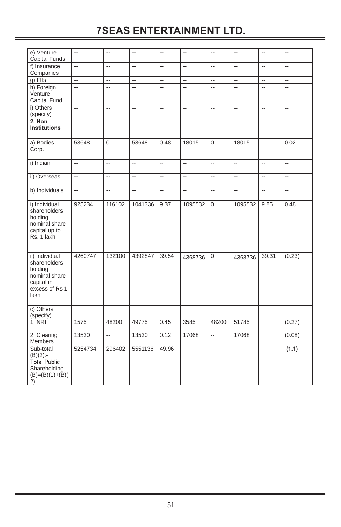| e) Venture             | н.      | н.                       | μ.             | μ.        |         | --                       | н.        | ۰.             |        |
|------------------------|---------|--------------------------|----------------|-----------|---------|--------------------------|-----------|----------------|--------|
| Capital Funds          |         |                          |                |           |         |                          |           |                |        |
| f) Insurance           | μ.      | н.                       | н.             | μ.        | …       | …                        | ۰.        | ۰.             | ۰.     |
| Companies              |         |                          |                |           |         |                          |           |                |        |
| g) Flls                | н.      | н.                       |                | μ.        | --      | --                       | -−        | н.             |        |
| h) Foreign             |         | $\overline{a}$           | $\overline{a}$ | ш.        | --      | --                       | --        | --             | --     |
| Venture                |         |                          |                |           |         |                          |           |                |        |
| Capital Fund           |         |                          |                |           |         |                          |           |                |        |
| i) Others<br>(specify) | ÷.      | --                       |                | μ.        | −       | --                       | н.        | н.             | ۰.     |
| 2. Non                 |         |                          |                |           |         |                          |           |                |        |
| <b>Institutions</b>    |         |                          |                |           |         |                          |           |                |        |
|                        |         |                          |                |           |         |                          |           |                |        |
| a) Bodies              | 53648   | $\mathbf 0$              | 53648          | 0.48      | 18015   | $\mathbf 0$              | 18015     |                | 0.02   |
| Corp.                  |         |                          |                |           |         |                          |           |                |        |
|                        |         |                          |                |           |         |                          |           |                |        |
| i) Indian              | u,      | $\overline{a}$           | $\ddotsc$      | $\ddotsc$ | ш,      | $\overline{\phantom{a}}$ | $\ddotsc$ | $\overline{a}$ | μ.     |
|                        |         |                          |                |           |         |                          |           |                |        |
| ii) Overseas           | u.      | ä.                       | ä.             | ä.        | ш,      | ш.                       | u.        | Ш.             | ш.     |
|                        |         |                          |                |           |         |                          |           |                |        |
| b) Individuals         | ÷.      | н.                       | н.             | н.        | …       | …                        | н.        | -−             |        |
|                        |         |                          |                |           |         |                          |           |                |        |
| i) Individual          | 925234  | 116102                   | 1041336        | 9.37      | 1095532 | $\mathbf 0$              | 1095532   | 9.85           | 0.48   |
| shareholders           |         |                          |                |           |         |                          |           |                |        |
| holding                |         |                          |                |           |         |                          |           |                |        |
| nominal share          |         |                          |                |           |         |                          |           |                |        |
| capital up to          |         |                          |                |           |         |                          |           |                |        |
| Rs. 1 lakh             |         |                          |                |           |         |                          |           |                |        |
|                        |         |                          |                |           |         |                          |           |                |        |
| ii) Individual         | 4260747 | 132100                   | 4392847        | 39.54     | 4368736 | 0                        | 4368736   | 39.31          | (0.23) |
| shareholders           |         |                          |                |           |         |                          |           |                |        |
| holding                |         |                          |                |           |         |                          |           |                |        |
| nominal share          |         |                          |                |           |         |                          |           |                |        |
| capital in             |         |                          |                |           |         |                          |           |                |        |
| excess of Rs 1         |         |                          |                |           |         |                          |           |                |        |
| lakh                   |         |                          |                |           |         |                          |           |                |        |
|                        |         |                          |                |           |         |                          |           |                |        |
| c) Others              |         |                          |                |           |         |                          |           |                |        |
| (specify)<br>1. NRI    | 1575    | 48200                    | 49775          | 0.45      | 3585    | 48200                    | 51785     |                |        |
|                        |         |                          |                |           |         |                          |           |                | (0.27) |
| 2. Clearing            | 13530   | $\overline{\phantom{a}}$ | 13530          | 0.12      | 17068   | u.                       | 17068     |                | (0.08) |
| Members                |         |                          |                |           |         |                          |           |                |        |
| Sub-total              | 5254734 | 296402                   | 5551136        | 49.96     |         |                          |           |                | (1.1)  |
| $(B)(2)$ :-            |         |                          |                |           |         |                          |           |                |        |
| <b>Total Public</b>    |         |                          |                |           |         |                          |           |                |        |
| Shareholding           |         |                          |                |           |         |                          |           |                |        |
| $(B)=(B)(1)+(B)($      |         |                          |                |           |         |                          |           |                |        |
| 2)                     |         |                          |                |           |         |                          |           |                |        |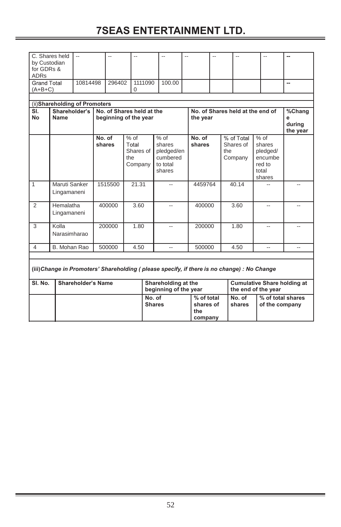| by Custodian<br>for GDRs &<br><b>ADRs</b> | C. Shares held                                                              |                    |                  |         |                                                |                         |                                                                                            |                                           |  |     |                                    |                                                           |                |                                     |
|-------------------------------------------|-----------------------------------------------------------------------------|--------------------|------------------|---------|------------------------------------------------|-------------------------|--------------------------------------------------------------------------------------------|-------------------------------------------|--|-----|------------------------------------|-----------------------------------------------------------|----------------|-------------------------------------|
| <b>Grand Total</b><br>$(A+B+C)$           |                                                                             | 10814498           |                  | 296402  | 0                                              | 1111090                 | 100.00                                                                                     |                                           |  |     |                                    |                                                           |                | --                                  |
|                                           |                                                                             |                    |                  |         |                                                |                         |                                                                                            |                                           |  |     |                                    |                                                           |                |                                     |
|                                           | (ii)Shareholding of Promoters                                               |                    |                  |         |                                                |                         |                                                                                            |                                           |  |     |                                    |                                                           |                |                                     |
| SI.<br><b>No</b>                          | Shareholder's<br>No. of Shares held at the<br>Name<br>beginning of the year |                    |                  |         |                                                |                         |                                                                                            | the year                                  |  |     | No. of Shares held at the end of   |                                                           |                | %Chang<br>e                         |
|                                           |                                                                             |                    |                  |         |                                                |                         |                                                                                            |                                           |  |     |                                    |                                                           |                | during<br>the year                  |
|                                           |                                                                             |                    | No. of<br>shares |         | $%$ of<br>Total<br>Shares of<br>the<br>Company |                         | $%$ of<br>shares<br>pledged/en<br>cumbered<br>to total<br>shares                           | No. of<br>shares                          |  | the | % of Total<br>Shares of<br>Company | $%$ of<br>shares<br>pledged/<br>red to<br>total<br>shares | encumbe        |                                     |
| $\overline{1}$                            | Maruti Sanker<br>Lingamaneni                                                |                    |                  | 1515500 | 21.31                                          |                         |                                                                                            | 4459764                                   |  |     | 40.14                              |                                                           |                |                                     |
| 2                                         | Hemalatha<br>Lingamaneni                                                    |                    |                  | 400000  | 3.60                                           |                         |                                                                                            | 400000                                    |  |     | 3.60                               |                                                           |                |                                     |
| 3                                         | Kolla<br>Narasimharao                                                       |                    |                  | 200000  | 1.80                                           |                         | $\overline{a}$                                                                             | 200000                                    |  |     | 1.80                               |                                                           | $\overline{a}$ |                                     |
| 4                                         | B. Mohan Rao                                                                |                    |                  | 500000  | 4.50                                           |                         | $\overline{a}$                                                                             | 500000                                    |  |     | 4.50                               |                                                           | $\overline{a}$ | $\overline{a}$                      |
|                                           |                                                                             |                    |                  |         |                                                |                         | (iii)Change in Promoters' Shareholding (please specify, if there is no change) : No Change |                                           |  |     |                                    |                                                           |                |                                     |
| SI. No.                                   |                                                                             | Shareholder's Name |                  |         |                                                |                         | Shareholding at the<br>beginning of the year                                               |                                           |  |     | the end of the year                |                                                           |                | <b>Cumulative Share holding at</b>  |
|                                           |                                                                             |                    |                  |         |                                                | No. of<br><b>Shares</b> |                                                                                            | % of total<br>shares of<br>the<br>company |  |     | No. of<br>shares                   |                                                           |                | % of total shares<br>of the company |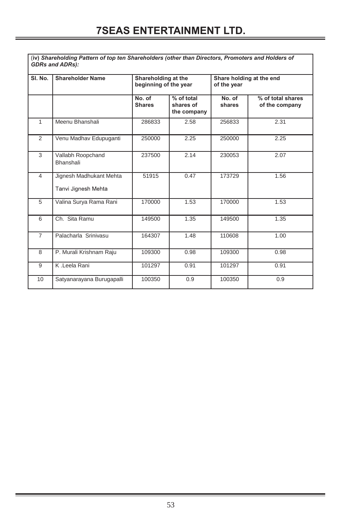1

|                | (iv) Shareholding Pattern of top ten Shareholders (other than Directors, Promoters and Holders of<br><b>GDRs and ADRs):</b> |                                              |                                        |                                         |                                     |  |  |
|----------------|-----------------------------------------------------------------------------------------------------------------------------|----------------------------------------------|----------------------------------------|-----------------------------------------|-------------------------------------|--|--|
| SI. No.        | <b>Shareholder Name</b>                                                                                                     | Shareholding at the<br>beginning of the year |                                        | Share holding at the end<br>of the year |                                     |  |  |
|                |                                                                                                                             | No. of<br><b>Shares</b>                      | % of total<br>shares of<br>the company | No. of<br>shares                        | % of total shares<br>of the company |  |  |
| $\mathbf{1}$   | Meenu Bhanshali                                                                                                             | 286833                                       | 2.58                                   | 256833                                  | 2.31                                |  |  |
| 2              | Venu Madhav Edupuganti                                                                                                      | 250000                                       | 2.25                                   | 250000                                  | 2.25                                |  |  |
| 3              | Vallabh Roopchand<br>Bhanshali                                                                                              | 237500                                       | 2.14                                   | 230053                                  | 2.07                                |  |  |
| $\overline{4}$ | Jignesh Madhukant Mehta<br>Tanvi Jignesh Mehta                                                                              | 51915                                        | 0.47                                   | 173729                                  | 1.56                                |  |  |
| 5              | Valina Surya Rama Rani                                                                                                      | 170000                                       | 1.53                                   | 170000                                  | 1.53                                |  |  |
| 6              | Ch. Sita Ramu                                                                                                               | 149500                                       | 1.35                                   | 149500                                  | 1.35                                |  |  |
| $\overline{7}$ | Palacharla Srinivasu                                                                                                        | 164307                                       | 1.48                                   | 110608                                  | 1.00                                |  |  |
| 8              | P. Murali Krishnam Raju                                                                                                     | 109300                                       | 0.98                                   | 109300                                  | 0.98                                |  |  |
| 9              | K .Leela Rani                                                                                                               | 101297                                       | 0.91                                   | 101297                                  | 0.91                                |  |  |
| 10             | Satyanarayana Burugapalli                                                                                                   | 100350                                       | 0.9                                    | 100350                                  | 0.9                                 |  |  |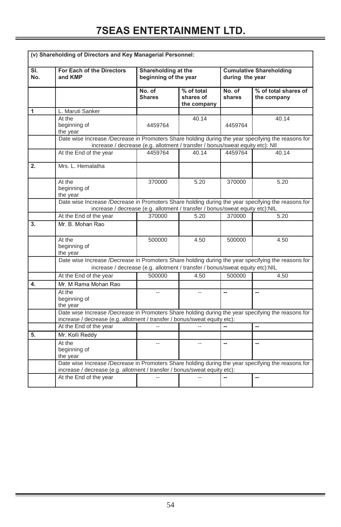|            | (v) Shareholding of Directors and Key Managerial Personnel:                                                                                                                         |                                              |                                        |                  |                                     |
|------------|-------------------------------------------------------------------------------------------------------------------------------------------------------------------------------------|----------------------------------------------|----------------------------------------|------------------|-------------------------------------|
| SI.<br>No. | <b>For Each of the Directors</b><br>and KMP                                                                                                                                         | Shareholding at the<br>beginning of the year |                                        | during the year  | <b>Cumulative Shareholding</b>      |
|            |                                                                                                                                                                                     | No. of<br><b>Shares</b>                      | % of total<br>shares of<br>the company | No. of<br>shares | % of total shares of<br>the company |
| 1          | L. Maruti Sanker                                                                                                                                                                    |                                              |                                        |                  |                                     |
|            | At the<br>beginning of<br>the year                                                                                                                                                  | 4459764                                      | 40.14                                  | 4459764          | 40.14                               |
|            | Date wise Increase /Decrease in Promoters Share holding during the year specifying the reasons for<br>increase / decrease (e.g. allotment / transfer / bonus/sweat equity etc): NII |                                              |                                        |                  |                                     |
|            | At the End of the year                                                                                                                                                              | 4459764                                      | 40.14                                  | 4459764          | 40.14                               |
| 2.         | Mrs. L. Hemalatha                                                                                                                                                                   |                                              |                                        |                  |                                     |
|            | At the<br>beginning of<br>the year                                                                                                                                                  | 370000                                       | 5.20                                   | 370000           | 5.20                                |
|            | Date wise Increase /Decrease in Promoters Share holding during the year specifying the reasons for<br>increase / decrease (e.g. allotment / transfer / bonus/sweat equity etc):NIL  |                                              |                                        |                  |                                     |
|            | At the End of the year                                                                                                                                                              | 370000                                       | 5.20                                   | 370000           | 5.20                                |
| 3.         | Mr. B. Mohan Rao                                                                                                                                                                    |                                              |                                        |                  |                                     |
|            | At the<br>beginning of<br>the year                                                                                                                                                  | 500000                                       | 4.50                                   | 500000           | 4.50                                |
|            | Date wise Increase /Decrease in Promoters Share holding during the year specifying the reasons for<br>increase / decrease (e.g. allotment / transfer / bonus/sweat equity etc):NIL  |                                              |                                        |                  |                                     |
|            | At the End of the year                                                                                                                                                              | 500000                                       | 4.50                                   | 500000           | 4.50                                |
| 4.         | Mr. M Rama Mohan Rao                                                                                                                                                                |                                              |                                        |                  |                                     |
|            | At the<br>beginning of<br>the year                                                                                                                                                  |                                              |                                        |                  |                                     |
|            | Date wise Increase /Decrease in Promoters Share holding during the year specifying the reasons for<br>increase / decrease (e.g. allotment / transfer / bonus/sweat equity etc):     |                                              |                                        |                  |                                     |
|            | At the End of the year                                                                                                                                                              |                                              |                                        |                  | --                                  |
| 5.         | Mr. Kolli Reddy                                                                                                                                                                     |                                              |                                        |                  |                                     |
|            | At the<br>beginning of<br>the year                                                                                                                                                  |                                              |                                        |                  |                                     |
|            | Date wise Increase /Decrease in Promoters Share holding during the year specifying the reasons for<br>increase / decrease (e.g. allotment / transfer / bonus/sweat equity etc):     |                                              |                                        |                  |                                     |
|            | At the End of the year                                                                                                                                                              |                                              |                                        |                  | --                                  |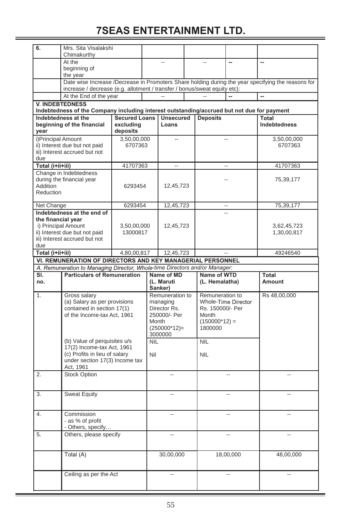| 6.                    | Mrs. Sita Visalakshi                                                                                                 |                         |            |                       |                          |                     |                                                                                                    |
|-----------------------|----------------------------------------------------------------------------------------------------------------------|-------------------------|------------|-----------------------|--------------------------|---------------------|----------------------------------------------------------------------------------------------------|
|                       | Chimakurthy<br>At the                                                                                                |                         |            | ă.                    |                          | …                   | $\overline{a}$                                                                                     |
|                       | beginning of                                                                                                         |                         |            |                       |                          |                     |                                                                                                    |
|                       | the year                                                                                                             |                         |            |                       |                          |                     |                                                                                                    |
|                       |                                                                                                                      |                         |            |                       |                          |                     | Date wise Increase /Decrease in Promoters Share holding during the year specifying the reasons for |
|                       | increase / decrease (e.g. allotment / transfer / bonus/sweat equity etc):                                            |                         |            |                       |                          |                     |                                                                                                    |
|                       | At the End of the year                                                                                               |                         |            | u.                    |                          |                     | $\overline{a}$                                                                                     |
|                       | <b>V. INDEBTEDNESS</b><br>Indebtedness of the Company including interest outstanding/accrued but not due for payment |                         |            |                       |                          |                     |                                                                                                    |
|                       | Indebtedness at the                                                                                                  | <b>Secured Loans</b>    |            | <b>Unsecured</b>      | <b>Deposits</b>          |                     | Total                                                                                              |
|                       | beginning of the financial                                                                                           | excluding               |            | Loans                 |                          |                     | <b>Indebtedness</b>                                                                                |
| vear                  |                                                                                                                      | deposits                |            |                       |                          |                     |                                                                                                    |
| i) Principal Amount   |                                                                                                                      | 3,50,00,000             |            | ä.                    |                          | ä.                  | 3,50,00,000                                                                                        |
|                       | ii) Interest due but not paid<br>iii) Interest accrued but not                                                       | 6707363                 |            |                       |                          |                     | 6707363                                                                                            |
| due                   |                                                                                                                      |                         |            |                       |                          |                     |                                                                                                    |
| Total (i+ii+iii)      |                                                                                                                      | 41707363                |            | ă.                    |                          | $\sim$              | 41707363                                                                                           |
|                       | Change in Indebtedness                                                                                               |                         |            |                       |                          |                     |                                                                                                    |
|                       | during the financial year                                                                                            |                         |            |                       |                          |                     | 75,39,177                                                                                          |
| Addition<br>Reduction |                                                                                                                      | 6293454                 |            | 12,45,723             |                          |                     |                                                                                                    |
|                       |                                                                                                                      |                         |            |                       |                          |                     |                                                                                                    |
| Net Change            |                                                                                                                      | 6293454                 |            | 12,45,723             |                          |                     | 75,39,177                                                                                          |
|                       | Indebtedness at the end of                                                                                           |                         |            |                       |                          |                     |                                                                                                    |
| the financial year    |                                                                                                                      |                         |            |                       |                          |                     |                                                                                                    |
|                       | i) Principal Amount<br>ii) Interest due but not paid                                                                 | 3,50,00,000<br>13000817 |            | 12,45,723             |                          |                     | 3,62,45,723<br>1,30,00,817                                                                         |
|                       | iii) Interest accrued but not                                                                                        |                         |            |                       |                          |                     |                                                                                                    |
| due                   |                                                                                                                      |                         |            |                       |                          |                     |                                                                                                    |
| Total (i+ii+iii)      |                                                                                                                      | 4,80,00,817             |            | 12,45,723             |                          |                     | 49246540                                                                                           |
|                       | VI. REMUNERATION OF DIRECTORS AND KEY MANAGERIAL PERSONNEL                                                           |                         |            |                       |                          |                     |                                                                                                    |
|                       | A. Remuneration to Managing Director, Whole-time Directors and/or Manager:                                           |                         |            |                       |                          |                     |                                                                                                    |
|                       |                                                                                                                      |                         |            |                       |                          |                     |                                                                                                    |
| SI.                   | <b>Particulars of Remuneration</b>                                                                                   |                         |            | Name of MD            | Name of WTD              |                     | Total                                                                                              |
| no.                   |                                                                                                                      |                         |            | (L. Maruti<br>Sanker) | (L. Hemalatha)           |                     | Amount                                                                                             |
| 1.                    | Gross salary                                                                                                         |                         |            | Remuneration to       | Remuneration to          |                     | Rs 48,00,000                                                                                       |
|                       | (a) Salary as per provisions                                                                                         |                         |            | managing              |                          | Whole-Time Director |                                                                                                    |
|                       | contained in section 17(1)                                                                                           |                         |            | Director Rs.          | Rs. 150000/- Per         |                     |                                                                                                    |
|                       | of the Income-tax Act, 1961                                                                                          |                         |            | 250000/- Per<br>Month | Month<br>$(150000*12) =$ |                     |                                                                                                    |
|                       |                                                                                                                      |                         |            | $(250000*12)=$        | 1800000                  |                     |                                                                                                    |
|                       |                                                                                                                      |                         |            | 3000000               |                          |                     |                                                                                                    |
|                       | (b) Value of perquisites u/s                                                                                         |                         | <b>NIL</b> |                       | <b>NIL</b>               |                     |                                                                                                    |
|                       | 17(2) Income-tax Act, 1961<br>(c) Profits in lieu of salary                                                          |                         | Nil        |                       | <b>NIL</b>               |                     |                                                                                                    |
|                       | under section 17(3) Income tax                                                                                       |                         |            |                       |                          |                     |                                                                                                    |
|                       | Act, 1961                                                                                                            |                         |            |                       |                          |                     |                                                                                                    |
| 2.                    | <b>Stock Option</b>                                                                                                  |                         |            |                       |                          |                     |                                                                                                    |
|                       |                                                                                                                      |                         |            |                       |                          |                     |                                                                                                    |
| 3.                    | <b>Sweat Equity</b>                                                                                                  |                         |            | $\overline{a}$        |                          |                     |                                                                                                    |
|                       |                                                                                                                      |                         |            |                       |                          |                     |                                                                                                    |
|                       |                                                                                                                      |                         |            |                       |                          |                     | $\overline{a}$                                                                                     |
| 4.                    | Commission<br>- as % of profit                                                                                       |                         |            | Ξ.                    |                          | Ξ.                  |                                                                                                    |
|                       | - Others, specify                                                                                                    |                         |            |                       |                          |                     |                                                                                                    |
| 5.                    | Others, please specify                                                                                               |                         |            | $\overline{a}$        |                          |                     | $\overline{a}$                                                                                     |
|                       |                                                                                                                      |                         |            |                       |                          |                     |                                                                                                    |
|                       |                                                                                                                      |                         |            |                       |                          |                     |                                                                                                    |
|                       | Total (A)                                                                                                            |                         |            | 30,00,000             |                          | 18,00,000           | 48,00,000                                                                                          |
|                       |                                                                                                                      |                         |            |                       |                          |                     |                                                                                                    |
|                       | Ceiling as per the Act                                                                                               |                         |            |                       |                          |                     |                                                                                                    |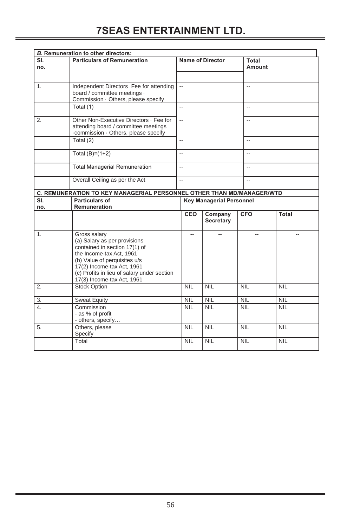| <b>B.</b> Remuneration to other directors: |                                                                                                                                                                                                                                                      |                                 |                      |                 |            |  |
|--------------------------------------------|------------------------------------------------------------------------------------------------------------------------------------------------------------------------------------------------------------------------------------------------------|---------------------------------|----------------------|-----------------|------------|--|
| SI.<br>no.                                 | <b>Particulars of Remuneration</b>                                                                                                                                                                                                                   | <b>Name of Director</b>         |                      | Total<br>Amount |            |  |
| 1.                                         | Independent Directors Fee for attending<br>board / committee meetings .<br>Commission · Others, please specify                                                                                                                                       | ÷.                              |                      | $\overline{a}$  |            |  |
|                                            | Total (1)                                                                                                                                                                                                                                            | $\overline{\phantom{a}}$        |                      | ÷.              |            |  |
| 2.                                         | Other Non-Executive Directors · Fee for<br>attending board / committee meetings<br>.commission · Others, please specify                                                                                                                              | $\overline{a}$                  |                      | L.              |            |  |
|                                            | Total $(2)$                                                                                                                                                                                                                                          | $\overline{a}$                  |                      | $\overline{a}$  |            |  |
|                                            | Total $(B)=(1+2)$                                                                                                                                                                                                                                    | Ξ.                              |                      | L.              |            |  |
|                                            | <b>Total Managerial Remuneration</b>                                                                                                                                                                                                                 | -−                              |                      | ÷.              |            |  |
|                                            | Overall Ceiling as per the Act                                                                                                                                                                                                                       | Ξ.                              |                      | $\overline{a}$  |            |  |
|                                            | C. REMUNERATION TO KEY MANAGERIAL PERSONNEL OTHER THAN MD/MANAGER/WTD                                                                                                                                                                                |                                 |                      |                 |            |  |
| SI.<br>no.                                 | <b>Particulars of</b><br>Remuneration                                                                                                                                                                                                                | <b>Key Managerial Personnel</b> |                      |                 |            |  |
|                                            |                                                                                                                                                                                                                                                      | CEO                             | Company<br>Secretary | <b>CFO</b>      | Total      |  |
| 1.                                         | Gross salary<br>(a) Salary as per provisions<br>contained in section 17(1) of<br>the Income-tax Act, 1961<br>(b) Value of perquisites u/s<br>17(2) Income-tax Act, 1961<br>(c) Profits in lieu of salary under section<br>17(3) Income-tax Act, 1961 | $\sim$                          |                      | $\overline{a}$  | $\sim$     |  |
| 2.                                         | <b>Stock Option</b>                                                                                                                                                                                                                                  | <b>NIL</b>                      | <b>NIL</b>           | <b>NIL</b>      | <b>NIL</b> |  |
| 3.                                         | <b>Sweat Equity</b>                                                                                                                                                                                                                                  | <b>NIL</b>                      | <b>NIL</b>           | <b>NIL</b>      | <b>NIL</b> |  |
| $\overline{4}$ .                           | Commission<br>- as % of profit<br>- others, specify                                                                                                                                                                                                  | <b>NIL</b>                      | <b>NIL</b>           | <b>NIL</b>      | <b>NIL</b> |  |
| 5.                                         | Others, please<br>Specify                                                                                                                                                                                                                            | <b>NIL</b>                      | <b>NIL</b>           | <b>NIL</b>      | <b>NIL</b> |  |
|                                            | Total                                                                                                                                                                                                                                                | <b>NIL</b>                      | <b>NIL</b>           | <b>NIL</b>      | <b>NIL</b> |  |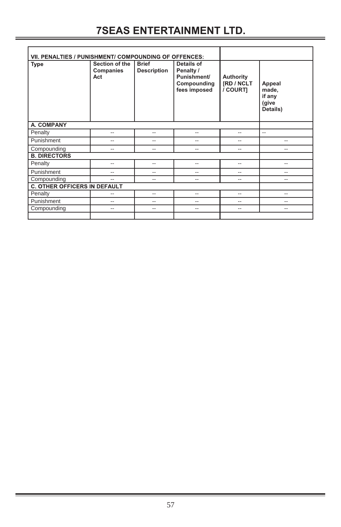| VII. PENALTIES / PUNISHMENT/ COMPOUNDING OF OFFENCES: |                                    |                                    |                                                                              |                                     |                                                |
|-------------------------------------------------------|------------------------------------|------------------------------------|------------------------------------------------------------------------------|-------------------------------------|------------------------------------------------|
| <b>Type</b>                                           | Section of the<br>Companies<br>Act | <b>Brief</b><br><b>Description</b> | Details of<br>Penalty /<br><b>Punishment/</b><br>Compounding<br>fees imposed | Authority<br>[RD / NCLT<br>/ COURTI | Appeal<br>made,<br>if any<br>(give<br>Details) |
| A. COMPANY                                            |                                    |                                    |                                                                              |                                     |                                                |
| Penalty                                               | --                                 | --                                 | --                                                                           | --                                  | $\overline{a}$                                 |
| Punishment                                            | --                                 | --                                 | --                                                                           | --                                  | --                                             |
| Compounding                                           | --                                 | --                                 | --                                                                           | --                                  | --                                             |
| <b>B. DIRECTORS</b>                                   |                                    |                                    |                                                                              |                                     |                                                |
| Penalty                                               | --                                 | --                                 | --                                                                           | --                                  | --                                             |
| Punishment                                            | --                                 | --                                 | --                                                                           | --                                  | --                                             |
| Compounding                                           |                                    | --                                 | --                                                                           | --                                  | --                                             |
| <b>C. OTHER OFFICERS IN DEFAULT</b>                   |                                    |                                    |                                                                              |                                     |                                                |
| Penalty                                               | --                                 | --                                 | --                                                                           | --                                  | --                                             |
| Punishment                                            | --                                 | --                                 | --                                                                           | --                                  | --                                             |
| Compounding                                           | --                                 | --                                 | --                                                                           | --                                  | --                                             |
|                                                       |                                    |                                    |                                                                              |                                     |                                                |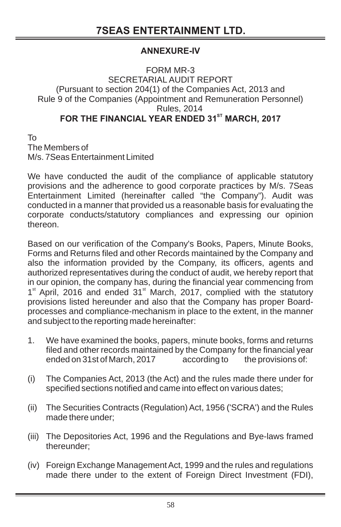## **ANNEXURE-IV**

### FORM MR-3 SECRETARIAL AUDIT REPORT (Pursuant to section 204(1) of the Companies Act, 2013 and Rule 9 of the Companies (Appointment and Remuneration Personnel) Rules, 2014 FOR THE FINANCIAL YEAR ENDED 31<sup>ST</sup> MARCH, 2017

To The Members of M/s. 7Seas Entertainment Limited

We have conducted the audit of the compliance of applicable statutory provisions and the adherence to good corporate practices by M/s. 7Seas Entertainment Limited (hereinafter called "the Company"). Audit was conducted in a manner that provided us a reasonable basis for evaluating the corporate conducts/statutory compliances and expressing our opinion thereon.

Based on our verification of the Company's Books, Papers, Minute Books, Forms and Returns filed and other Records maintained by the Company and also the information provided by the Company, its officers, agents and authorized representatives during the conduct of audit, we hereby report that in our opinion, the company has, during the financial year commencing from  $1<sup>st</sup>$  April, 2016 and ended  $31<sup>st</sup>$  March, 2017, complied with the statutory provisions listed hereunder and also that the Company has proper Boardprocesses and compliance-mechanism in place to the extent, in the manner and subject to the reporting made hereinafter:

- 1. We have examined the books, papers, minute books, forms and returns filed and other records maintained by the Company for the financial year<br>ended on 31st of March. 2017 eccording to the provisions of: ended on 31st of March, 2017
- (i) The Companies Act, 2013 (the Act) and the rules made there under for specified sections notified and came into effect on various dates;
- (ii) The Securities Contracts (Regulation) Act, 1956 ('SCRA') and the Rules made there under;
- (iii) The Depositories Act, 1996 and the Regulations and Bye-laws framed thereunder;
- (iv) Foreign Exchange Management Act, 1999 and the rules and regulations made there under to the extent of Foreign Direct Investment (FDI),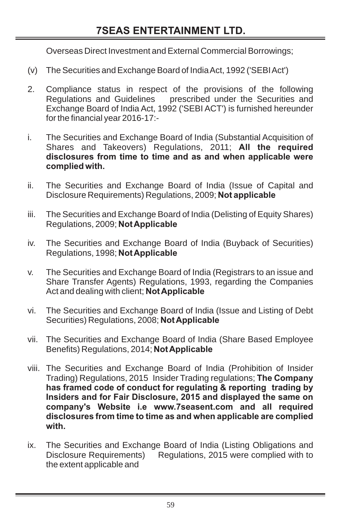Overseas Direct Investment and External Commercial Borrowings;

- (v) The Securities and Exchange Board of India Act, 1992 ('SEBI Act')
- 2. Compliance status in respect of the provisions of the following Regulations and Guidelines prescribed under the Securities and Exchange Board of India Act, 1992 ('SEBI ACT') is furnished hereunder for the financial year 2016-17:-
- i. The Securities and Exchange Board of India (Substantial Acquisition of Shares and Takeovers) Regulations, 2011; **All the required disclosures from time to time and as and when applicable were complied with.**
- ii. The Securities and Exchange Board of India (Issue of Capital and Disclosure Requirements) Regulations, 2009; **Not applicable**
- iii. The Securities and Exchange Board of India (Delisting of Equity Shares) Regulations, 2009; **Not Applicable**
- iv. The Securities and Exchange Board of India (Buyback of Securities) Regulations, 1998; **Not Applicable**
- v. The Securities and Exchange Board of India (Registrars to an issue and Share Transfer Agents) Regulations, 1993, regarding the Companies Act and dealing with client; **Not Applicable**
- vi. The Securities and Exchange Board of India (Issue and Listing of Debt Securities) Regulations, 2008; **Not Applicable**
- vii. The Securities and Exchange Board of India (Share Based Employee Benefits) Regulations, 2014; **Not Applicable**
- viii. The Securities and Exchange Board of India (Prohibition of Insider Trading) Regulations, 2015 Insider Trading regulations; **The Company has framed code of conduct for regulating & reporting trading by Insiders and for Fair Disclosure, 2015 and displayed the same on company's Website i.e www.7seasent.com and all required disclosures from time to time as and when applicable are complied with.**
- ix. The Securities and Exchange Board of India (Listing Obligations and Disclosure Requirements) Regulations, 2015 were complied with to the extent applicable and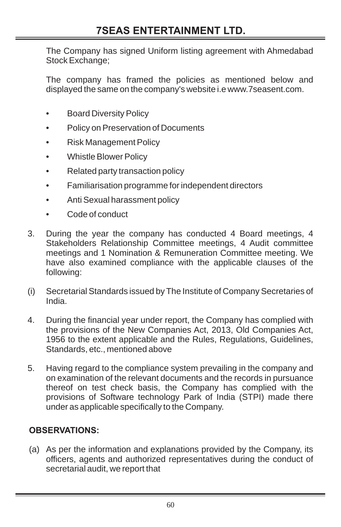The Company has signed Uniform listing agreement with Ahmedabad Stock Exchange;

The company has framed the policies as mentioned below and displayed the same on the company's website i.e www.7seasent.com.

- Board Diversity Policy
- Policy on Preservation of Documents
- Risk Management Policy
- Whistle Blower Policy
- Related party transaction policy
- Familiarisation programme for independent directors
- Anti Sexual harassment policy
- Code of conduct
- 3. During the year the company has conducted 4 Board meetings, 4 Stakeholders Relationship Committee meetings, 4 Audit committee meetings and 1 Nomination & Remuneration Committee meeting. We have also examined compliance with the applicable clauses of the following:
- (i) Secretarial Standards issued by The Institute of Company Secretaries of India.
- 4. During the financial year under report, the Company has complied with the provisions of the New Companies Act, 2013, Old Companies Act, 1956 to the extent applicable and the Rules, Regulations, Guidelines, Standards, etc., mentioned above
- 5. Having regard to the compliance system prevailing in the company and on examination of the relevant documents and the records in pursuance thereof on test check basis, the Company has complied with the provisions of Software technology Park of India (STPI) made there under as applicable specifically to the Company.

# **OBSERVATIONS:**

 (a) As per the information and explanations provided by the Company, its officers, agents and authorized representatives during the conduct of secretarial audit, we report that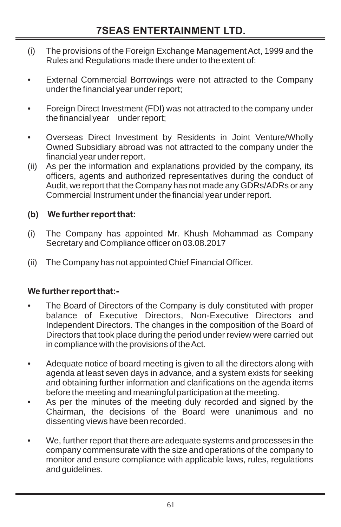- (i) The provisions of the Foreign Exchange Management Act, 1999 and the Rules and Regulations made there under to the extent of:
- External Commercial Borrowings were not attracted to the Company under the financial year under report;
- Foreign Direct Investment (FDI) was not attracted to the company under the financial year under report;
- Overseas Direct Investment by Residents in Joint Venture/Wholly Owned Subsidiary abroad was not attracted to the company under the financial year under report.
- (ii) As per the information and explanations provided by the company, its officers, agents and authorized representatives during the conduct of Audit, we report that the Company has not made any GDRs/ADRs or any Commercial Instrument under the financial year under report.

# **(b) We further report that:**

- (i) The Company has appointed Mr. Khush Mohammad as Company Secretary and Compliance officer on 03.08.2017
- (ii) The Company has not appointed Chief Financial Officer.

## **We further report that:-**

- The Board of Directors of the Company is duly constituted with proper balance of Executive Directors, Non-Executive Directors and Independent Directors. The changes in the composition of the Board of Directors that took place during the period under review were carried out in compliance with the provisions of the Act.
- Adequate notice of board meeting is given to all the directors along with agenda at least seven days in advance, and a system exists for seeking and obtaining further information and clarifications on the agenda items before the meeting and meaningful participation at the meeting.
- As per the minutes of the meeting duly recorded and signed by the Chairman, the decisions of the Board were unanimous and no dissenting views have been recorded.
- We, further report that there are adequate systems and processes in the company commensurate with the size and operations of the company to monitor and ensure compliance with applicable laws, rules, regulations and guidelines.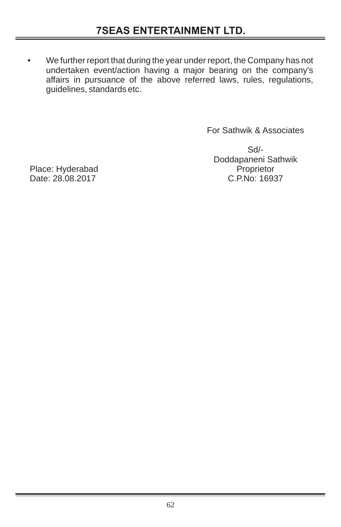• We further report that during the year under report, the Company has not undertaken event/action having a major bearing on the company's affairs in pursuance of the above referred laws, rules, regulations, guidelines, standards etc.

For Sathwik & Associates

Place: Hyderabad Date: 28.08.2017

Sd/- Doddapaneni Sathwik Proprietor C.P.No: 16937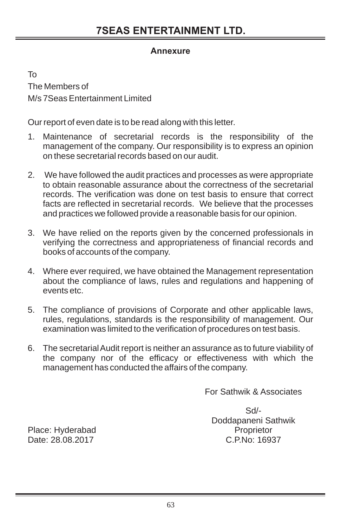### **Annexure**

To The Members of M/s 7Seas Entertainment Limited

Our report of even date is to be read along with this letter.

- 1. Maintenance of secretarial records is the responsibility of the management of the company. Our responsibility is to express an opinion on these secretarial records based on our audit.
- 2. We have followed the audit practices and processes as were appropriate to obtain reasonable assurance about the correctness of the secretarial records. The verification was done on test basis to ensure that correct facts are reflected in secretarial records. We believe that the processes and practices we followed provide a reasonable basis for our opinion.
- 3. We have relied on the reports given by the concerned professionals in verifying the correctness and appropriateness of financial records and books of accounts of the company.
- 4. Where ever required, we have obtained the Management representation about the compliance of laws, rules and regulations and happening of events etc.
- 5. The compliance of provisions of Corporate and other applicable laws, rules, regulations, standards is the responsibility of management. Our examination was limited to the verification of procedures on test basis.
- 6. The secretarial Audit report is neither an assurance as to future viability of the company nor of the efficacy or effectiveness with which the management has conducted the affairs of the company.

For Sathwik & Associates

Place: Hyderabad Date: 28.08.2017

Sd/- Doddapaneni Sathwik Proprietor C.P.No: 16937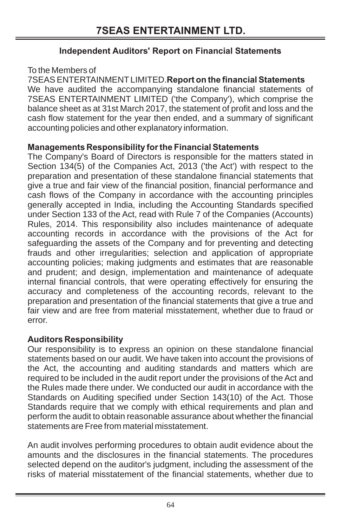## **Independent Auditors' Report on Financial Statements**

## To the Members of

7SEAS ENTERTAINMENT LIMITED.**Report on the financial Statements** We have audited the accompanying standalone financial statements of 7SEAS ENTERTAINMENT LIMITED ('the Company'), which comprise the balance sheet as at 31st March 2017, the statement of profit and loss and the cash flow statement for the year then ended, and a summary of significant accounting policies and other explanatory information.

## **Managements Responsibility for the Financial Statements**

The Company's Board of Directors is responsible for the matters stated in Section 134(5) of the Companies Act, 2013 ('the Act') with respect to the preparation and presentation of these standalone financial statements that give a true and fair view of the financial position, financial performance and cash flows of the Company in accordance with the accounting principles generally accepted in India, including the Accounting Standards specified under Section 133 of the Act, read with Rule 7 of the Companies (Accounts) Rules, 2014. This responsibility also includes maintenance of adequate accounting records in accordance with the provisions of the Act for safeguarding the assets of the Company and for preventing and detecting frauds and other irregularities; selection and application of appropriate accounting policies; making judgments and estimates that are reasonable and prudent; and design, implementation and maintenance of adequate internal financial controls, that were operating effectively for ensuring the accuracy and completeness of the accounting records, relevant to the preparation and presentation of the financial statements that give a true and fair view and are free from material misstatement, whether due to fraud or error.

## **Auditors Responsibility**

Our responsibility is to express an opinion on these standalone financial statements based on our audit. We have taken into account the provisions of the Act, the accounting and auditing standards and matters which are required to be included in the audit report under the provisions of the Act and the Rules made there under. We conducted our audit in accordance with the Standards on Auditing specified under Section 143(10) of the Act. Those Standards require that we comply with ethical requirements and plan and perform the audit to obtain reasonable assurance about whether the financial statements are Free from material misstatement.

An audit involves performing procedures to obtain audit evidence about the amounts and the disclosures in the financial statements. The procedures selected depend on the auditor's judgment, including the assessment of the risks of material misstatement of the financial statements, whether due to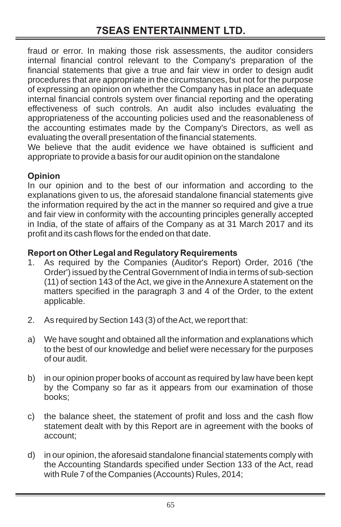fraud or error. In making those risk assessments, the auditor considers internal financial control relevant to the Company's preparation of the financial statements that give a true and fair view in order to design audit procedures that are appropriate in the circumstances, but not for the purpose of expressing an opinion on whether the Company has in place an adequate internal financial controls system over financial reporting and the operating effectiveness of such controls. An audit also includes evaluating the appropriateness of the accounting policies used and the reasonableness of the accounting estimates made by the Company's Directors, as well as evaluating the overall presentation of the financial statements.

We believe that the audit evidence we have obtained is sufficient and appropriate to provide a basis for our audit opinion on the standalone

# **Opinion**

In our opinion and to the best of our information and according to the explanations given to us, the aforesaid standalone financial statements give the information required by the act in the manner so required and give a true and fair view in conformity with the accounting principles generally accepted in India, of the state of affairs of the Company as at 31 March 2017 and its profit and its cash flows for the ended on that date.

# **Report on Other Legal and Regulatory Requirements**

- 1. As required by the Companies (Auditor's Report) Order, 2016 ('the Order') issued by the Central Government of India in terms of sub-section (11) of section 143 of the Act, we give in the Annexure A statement on the matters specified in the paragraph 3 and 4 of the Order, to the extent applicable.
- 2. As required by Section 143 (3) of the Act, we report that:
- a) We have sought and obtained all the information and explanations which to the best of our knowledge and belief were necessary for the purposes of our audit.
- b) in our opinion proper books of account as required by law have been kept by the Company so far as it appears from our examination of those books;
- c) the balance sheet, the statement of profit and loss and the cash flow statement dealt with by this Report are in agreement with the books of account;
- d) in our opinion, the aforesaid standalone financial statements comply with the Accounting Standards specified under Section 133 of the Act, read with Rule 7 of the Companies (Accounts) Rules, 2014;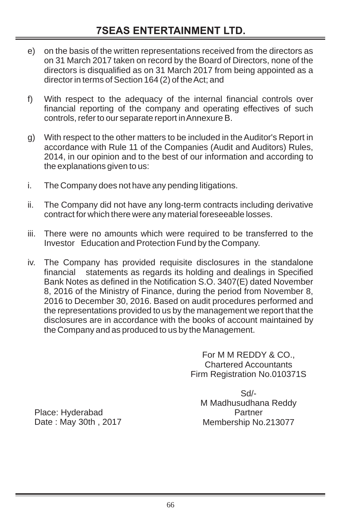- e) on the basis of the written representations received from the directors as on 31 March 2017 taken on record by the Board of Directors, none of the directors is disqualified as on 31 March 2017 from being appointed as a director in terms of Section 164 (2) of the Act; and
- f) With respect to the adequacy of the internal financial controls over financial reporting of the company and operating effectives of such controls, refer to our separate report in Annexure B.
- g) With respect to the other matters to be included in the Auditor's Report in accordance with Rule 11 of the Companies (Audit and Auditors) Rules, 2014, in our opinion and to the best of our information and according to the explanations given to us:
- i. The Company does not have any pending litigations.
- ii. The Company did not have any long-term contracts including derivative contract for which there were any material foreseeable losses.
- iii. There were no amounts which were required to be transferred to the Investor Education and Protection Fund by the Company.
- iv. The Company has provided requisite disclosures in the standalone financial statements as regards its holding and dealings in Specified Bank Notes as defined in the Notification S.O. 3407(E) dated November 8, 2016 of the Ministry of Finance, during the period from November 8, 2016 to December 30, 2016. Based on audit procedures performed and the representations provided to us by the management we report that the disclosures are in accordance with the books of account maintained by the Company and as produced to us by the Management.

For M M REDDY & CO., Chartered Accountants Firm Registration No.010371S

Sd/- M Madhusudhana Reddy **Partner** Membership No.213077

Place: Hyderabad Date : May 30th , 2017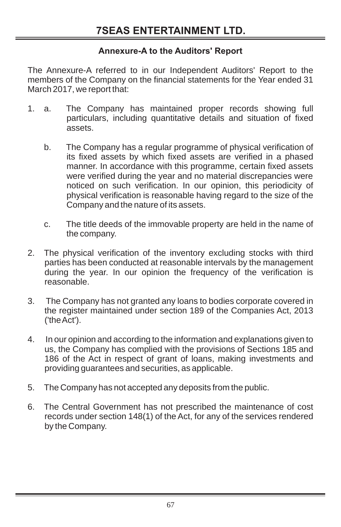## **Annexure-A to the Auditors' Report**

The Annexure-A referred to in our Independent Auditors' Report to the members of the Company on the financial statements for the Year ended 31 March 2017, we report that:

- 1. a. The Company has maintained proper records showing full particulars, including quantitative details and situation of fixed assets.
	- b. The Company has a regular programme of physical verification of its fixed assets by which fixed assets are verified in a phased manner. In accordance with this programme, certain fixed assets were verified during the year and no material discrepancies were noticed on such verification. In our opinion, this periodicity of physical verification is reasonable having regard to the size of the Company and the nature of its assets.
	- c. The title deeds of the immovable property are held in the name of the company.
- 2. The physical verification of the inventory excluding stocks with third parties has been conducted at reasonable intervals by the management during the year. In our opinion the frequency of the verification is reasonable.
- 3. The Company has not granted any loans to bodies corporate covered in the register maintained under section 189 of the Companies Act, 2013 ('the Act').
- 4. In our opinion and according to the information and explanations given to us, the Company has complied with the provisions of Sections 185 and 186 of the Act in respect of grant of loans, making investments and providing guarantees and securities, as applicable.
- 5. The Company has not accepted any deposits from the public.
- 6. The Central Government has not prescribed the maintenance of cost records under section 148(1) of the Act, for any of the services rendered by the Company.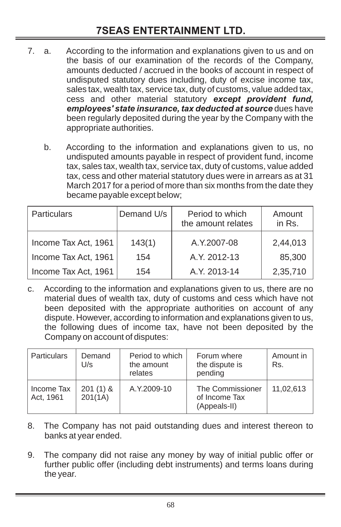- 7. a. According to the information and explanations given to us and on the basis of our examination of the records of the Company, amounts deducted / accrued in the books of account in respect of undisputed statutory dues including, duty of excise income tax, sales tax, wealth tax, service tax, duty of customs, value added tax, cess and other material statutory *except provident fund, employees' state insurance, tax deducted at source* dues have been regularly deposited during the year by the Company with the appropriate authorities.
	- b. According to the information and explanations given to us, no undisputed amounts payable in respect of provident fund, income tax, sales tax, wealth tax, service tax, duty of customs, value added tax, cess and other material statutory dues were in arrears as at 31 March 2017 for a period of more than six months from the date they became payable except below;

| <b>Particulars</b>   | Demand U/s | Period to which<br>the amount relates | Amount<br>in Rs. |
|----------------------|------------|---------------------------------------|------------------|
| Income Tax Act, 1961 | 143(1)     | A.Y.2007-08                           | 2,44,013         |
| Income Tax Act, 1961 | 154        | A.Y. 2012-13                          | 85,300           |
| Income Tax Act, 1961 | 154        | A.Y. 2013-14                          | 2,35,710         |

c. According to the information and explanations given to us, there are no material dues of wealth tax, duty of customs and cess which have not been deposited with the appropriate authorities on account of any dispute. However, according to information and explanations given to us, the following dues of income tax, have not been deposited by the Company on account of disputes:

| <b>Particulars</b>      | Demand<br>U/s         | Period to which<br>the amount<br>relates | Forum where<br>the dispute is<br>pending          | Amount in<br>Rs. |
|-------------------------|-----------------------|------------------------------------------|---------------------------------------------------|------------------|
| Income Tax<br>Act, 1961 | $201(1)$ &<br>201(1A) | A.Y.2009-10                              | The Commissioner<br>of Income Tax<br>(Appeals-II) | 11,02,613        |

- 8. The Company has not paid outstanding dues and interest thereon to banks at year ended.
- 9. The company did not raise any money by way of initial public offer or further public offer (including debt instruments) and terms loans during the year.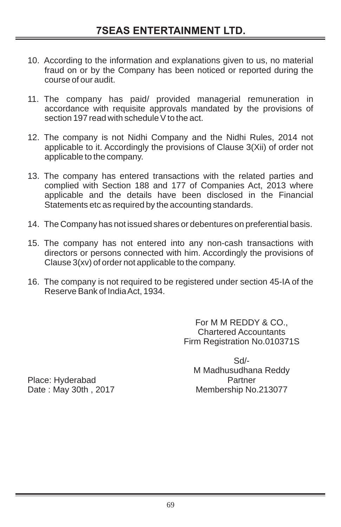- 10. According to the information and explanations given to us, no material fraud on or by the Company has been noticed or reported during the course of our audit.
- 11. The company has paid/ provided managerial remuneration in accordance with requisite approvals mandated by the provisions of section 197 read with schedule V to the act.
- 12. The company is not Nidhi Company and the Nidhi Rules, 2014 not applicable to it. Accordingly the provisions of Clause 3(Xii) of order not applicable to the company.
- 13. The company has entered transactions with the related parties and complied with Section 188 and 177 of Companies Act, 2013 where applicable and the details have been disclosed in the Financial Statements etc as required by the accounting standards.
- 14. The Company has not issued shares or debentures on preferential basis.
- 15. The company has not entered into any non-cash transactions with directors or persons connected with him. Accordingly the provisions of Clause 3(xv) of order not applicable to the company.
- 16. The company is not required to be registered under section 45-IA of the Reserve Bank of India Act, 1934.

For M M REDDY & CO., Chartered Accountants Firm Registration No.010371S

Sd/- M Madhusudhana Reddy **Partner** Membership No.213077

Place: Hyderabad Date : May 30th , 2017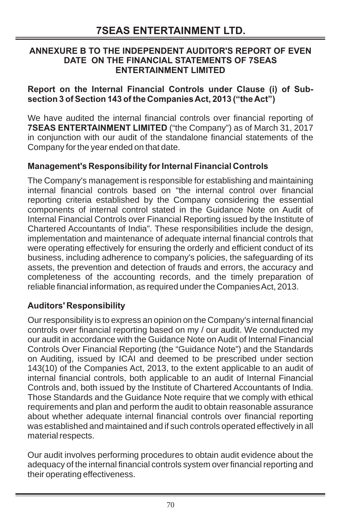### **ANNEXURE B TO THE INDEPENDENT AUDITOR'S REPORT OF EVEN DATE ON THE FINANCIAL STATEMENTS OF 7SEAS ENTERTAINMENT LIMITED**

### **Report on the Internal Financial Controls under Clause (i) of Subsection 3 of Section 143 of the Companies Act, 2013 ("the Act")**

We have audited the internal financial controls over financial reporting of **7SEAS ENTERTAINMENT LIMITED** ("the Company") as of March 31, 2017 in conjunction with our audit of the standalone financial statements of the Company for the year ended on that date.

## **Management's Responsibility for Internal Financial Controls**

The Company's management is responsible for establishing and maintaining internal financial controls based on "the internal control over financial reporting criteria established by the Company considering the essential components of internal control stated in the Guidance Note on Audit of Internal Financial Controls over Financial Reporting issued by the Institute of Chartered Accountants of India". These responsibilities include the design, implementation and maintenance of adequate internal financial controls that were operating effectively for ensuring the orderly and efficient conduct of its business, including adherence to company's policies, the safeguarding of its assets, the prevention and detection of frauds and errors, the accuracy and completeness of the accounting records, and the timely preparation of reliable financial information, as required under the Companies Act, 2013.

## **Auditors' Responsibility**

Our responsibility is to express an opinion on the Company's internal financial controls over financial reporting based on my / our audit. We conducted my our audit in accordance with the Guidance Note on Audit of Internal Financial Controls Over Financial Reporting (the "Guidance Note") and the Standards on Auditing, issued by ICAI and deemed to be prescribed under section 143(10) of the Companies Act, 2013, to the extent applicable to an audit of internal financial controls, both applicable to an audit of Internal Financial Controls and, both issued by the Institute of Chartered Accountants of India. Those Standards and the Guidance Note require that we comply with ethical requirements and plan and perform the audit to obtain reasonable assurance about whether adequate internal financial controls over financial reporting was established and maintained and if such controls operated effectively in all material respects.

Our audit involves performing procedures to obtain audit evidence about the adequacy of the internal financial controls system over financial reporting and their operating effectiveness.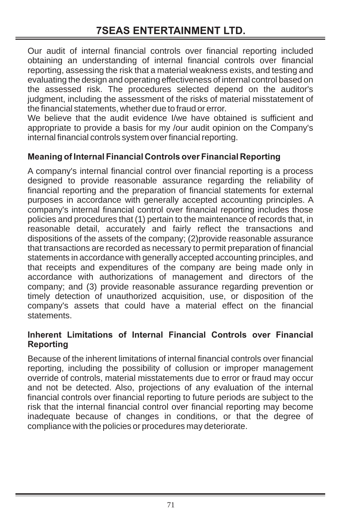Our audit of internal financial controls over financial reporting included obtaining an understanding of internal financial controls over financial reporting, assessing the risk that a material weakness exists, and testing and evaluating the design and operating effectiveness of internal control based on the assessed risk. The procedures selected depend on the auditor's judgment, including the assessment of the risks of material misstatement of the financial statements, whether due to fraud or error.

We believe that the audit evidence I/we have obtained is sufficient and appropriate to provide a basis for my /our audit opinion on the Company's internal financial controls system over financial reporting.

## **Meaning of Internal Financial Controls over Financial Reporting**

A company's internal financial control over financial reporting is a process designed to provide reasonable assurance regarding the reliability of financial reporting and the preparation of financial statements for external purposes in accordance with generally accepted accounting principles. A company's internal financial control over financial reporting includes those policies and procedures that (1) pertain to the maintenance of records that, in reasonable detail, accurately and fairly reflect the transactions and dispositions of the assets of the company; (2)provide reasonable assurance that transactions are recorded as necessary to permit preparation of financial statements in accordance with generally accepted accounting principles, and that receipts and expenditures of the company are being made only in accordance with authorizations of management and directors of the company; and (3) provide reasonable assurance regarding prevention or timely detection of unauthorized acquisition, use, or disposition of the company's assets that could have a material effect on the financial statements.

## **Inherent Limitations of Internal Financial Controls over Financial Reporting**

Because of the inherent limitations of internal financial controls over financial reporting, including the possibility of collusion or improper management override of controls, material misstatements due to error or fraud may occur and not be detected. Also, projections of any evaluation of the internal financial controls over financial reporting to future periods are subject to the risk that the internal financial control over financial reporting may become inadequate because of changes in conditions, or that the degree of compliance with the policies or procedures may deteriorate.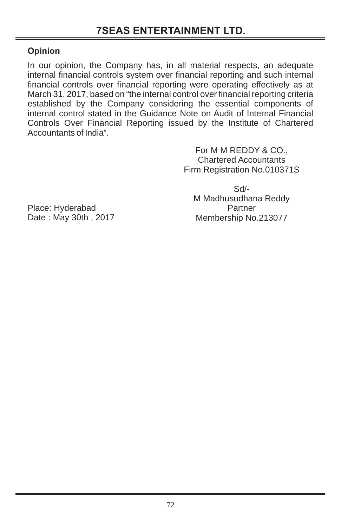# **Opinion**

In our opinion, the Company has, in all material respects, an adequate internal financial controls system over financial reporting and such internal financial controls over financial reporting were operating effectively as at March 31, 2017, based on "the internal control over financial reporting criteria established by the Company considering the essential components of internal control stated in the Guidance Note on Audit of Internal Financial Controls Over Financial Reporting issued by the Institute of Chartered Accountants of India".

> For M M REDDY & CO., Chartered Accountants Firm Registration No.010371S

Sd/- M Madhusudhana Reddy **Partner** Membership No.213077

Place: Hyderabad Date : May 30th , 2017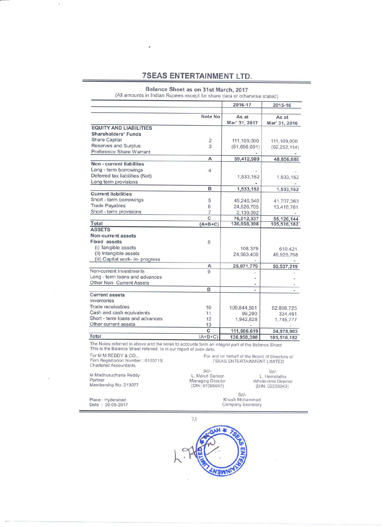#### Balance Sheet as on 31st March, 2017

(All amounts in Indian Rupees except for share data or otherwise stated)

 $\lambda$ 

|                                  |                         | 2016-17                | 2015-16                |
|----------------------------------|-------------------------|------------------------|------------------------|
|                                  | Note No                 | As at<br>Mar' 31, 2017 | As at<br>Mar' 31, 2016 |
| <b>EQUITY AND LIABILITIES</b>    |                         |                        |                        |
| <b>Shareholders' Funds</b>       |                         |                        |                        |
| <b>Share Capital</b>             | $\overline{\mathbf{c}}$ | 111,109,000            | 111,109,000            |
| Reserves and Surplus             | 3                       | (51,696,091)           | (62, 252, 114)         |
| Preference Share Warrant         |                         |                        |                        |
|                                  | А                       | 59,412,909             | 48,856,886             |
| Non - current liabilites         |                         |                        |                        |
| Long - term borrowings           | 4                       |                        |                        |
| Deferred tax liabilities (Net)   |                         | 1,533,152              | 1,533,152              |
| Long term provisions             |                         |                        |                        |
|                                  | B                       | 1,533,152              | 1,533,152              |
| <b>Current liabilities</b>       |                         |                        |                        |
| Short - term borrowings          | 5                       | 49,246,540             | 41,707,363             |
| <b>Trade Payables</b>            | 6                       | 24,626,705             | 13,418,781             |
| Short - term provisions          | $\overline{7}$          | 2,139,092              |                        |
|                                  | $\overline{c}$          | 76,012,337             | 55,126,144             |
| Total                            | $(A+B+C)$               | 136,958,398            | 105,516,182            |
| <b>ASSETS</b>                    |                         |                        |                        |
| Non-current assets               |                         |                        |                        |
| <b>Fixed assets</b>              | 8                       |                        |                        |
| (i) Tangible assets              |                         | 108,379                | 610,421                |
| (ii) Intangible assets           |                         | 24,963,400             | 49,926,798             |
| (iii) Capital work- in- progress |                         |                        |                        |
|                                  | А                       | 25,071,779             | 50,537,219             |
| Non-current investments          | 9                       |                        |                        |
| Long - term loans and advances   |                         |                        |                        |
| Other Non- Current Assets        |                         |                        |                        |
|                                  | B                       |                        |                        |
| <b>Current assets</b>            |                         |                        |                        |
| Inventories                      |                         |                        |                        |
| Trade receivables                | 10                      | 109,844,501            | 52,898,725             |
| Cash and cash equivalents        | 11                      | 99,290                 | 334,461                |
| Short - term loans and advances  | 12                      | 1,942,828              | 1,745,777              |
| Other current assets             | 13                      |                        |                        |
|                                  | C                       | 111,886,619            | 54,978,963             |
| Total                            | $(A+B+C)$               | 136,958,398            | 105,516,182            |

This is the Balance Sheet referred to in our report of even date.

For and on behalf of the Board of Directors of<br>7SEAS ENTERTAINMENT LIMITED For M M REDDY & CO., Firm Registration Number : 010371S<br>Chartered Accountants

M Madhusudhana Reddy Partner Membership No. 213077

Place: Hyderabad<br>Date: 30-05-2017

š,

Sd/-<br>L. Maruti Sanker Managing Director<br>(DIN: 01095047)

 $Sd/-$ L. Hemalatha<br>Whole-time Director<br>(DIN: 02226943)

Sd/-<br>Khush Mohammad<br>Company Secretary



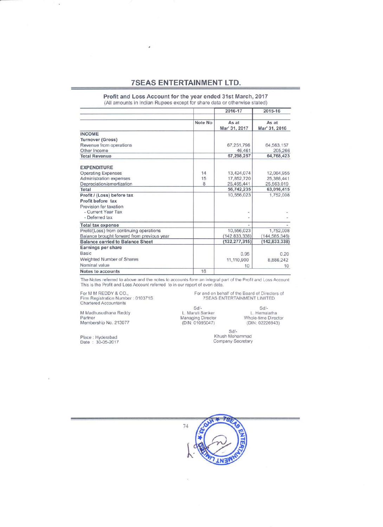×

Profit and Loss Account for the year ended 31st March, 2017 (All amounts in Indian Rupees except for share data or otherwise stated)

|                                            |         | 2016-17                | 2015-16                |
|--------------------------------------------|---------|------------------------|------------------------|
|                                            | Note No | As at<br>Mar' 31, 2017 | As at<br>Mar' 31, 2016 |
| <b>INCOME</b>                              |         |                        |                        |
| <b>Turnover (Gross)</b>                    |         |                        |                        |
| Revenue from operations                    |         | 67,251,796             | 64,563,157             |
| Other Income                               |         | 46,461                 | 205,266                |
| <b>Total Revenue</b>                       |         | 67,298,257             | 64,768,423             |
| <b>EXPENDITURE</b>                         |         |                        |                        |
| <b>Operating Expenses</b>                  | 14      | 13,424,074             | 12,064,955             |
| Administration expenses                    | 15      | 17,852,720             | 25.388.441             |
| Depreciation/amortization                  | 8       | 25,465,441             | 25,563,019             |
| Total                                      |         | 56,742,235             | 63,016,415             |
| Profit / (Loss) before tax                 |         | 10.556,023             | 1.752,008              |
| Profit before tax                          |         |                        |                        |
| Provision for taxation                     |         |                        |                        |
| - Current Year Tax                         |         |                        |                        |
| - Deferred tax                             |         |                        |                        |
| <b>Total tax expense</b>                   |         |                        |                        |
| Profit/(Loss) from continuing operations   |         | 10,556,023             | 1,752,008              |
| Balance brought forward from previous year |         | (142, 833, 338)        | (144.585.346)          |
| <b>Balance carried to Balance Sheet</b>    |         | (132, 277, 315)        | (142, 833, 338)        |
| Earnings per share                         |         |                        |                        |
| Basic                                      |         | 0.95                   | 0.20                   |
| Weighted Number of Shares                  |         | 11,110,900             | 8.886.242              |
| Nominal value                              |         | 10                     | 10                     |
| Notes to accounts                          | 16      |                        |                        |

The Notes referred to above and the notes to accounts form an integral part of the Profit and Loss Account This is the Profit and Loss Account referred to in our report of even date.

For M M REDDY & CO., Firm Registration Number : 010371S<br>Chartered Accountants For and on behalf of the Board of Directors of<br>7SEAS ENTERTAINMENT LIMITED

M Madhusudhana Reddy Partner Membership No. 213077

ä,

Place: Hyderabad<br>Date: 30-05-2017

 $Sd/-$ L. Maruti Sanker Managing Director<br>(DIN: 01095047)

 $Sd/-$ L. Hemalatha Whole-time Director (DIN: 02226943)

 $Sd/-$ Khush Mohammad Company Secretary

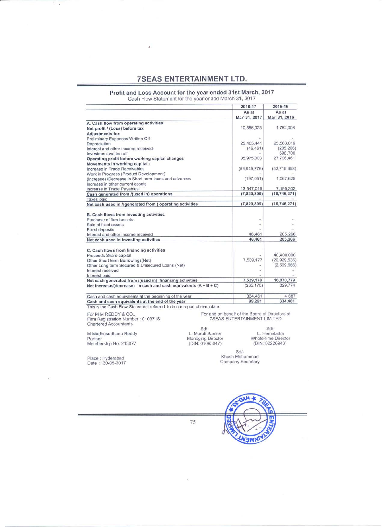¥

Profit and Loss Account for the year ended 31st March, 2017<br>Cash Flow Statement for the year ended March 31, 2017

|                                                                    | 2016-17                | 2015-16                |
|--------------------------------------------------------------------|------------------------|------------------------|
|                                                                    | As at<br>Mar' 31, 2017 | As at<br>Mar' 31, 2016 |
| A. Cash flow from operating activities                             |                        |                        |
| Net profit / (Loss) before tax                                     | 10,556,023             | 1,752,008              |
| Adjustments for:                                                   |                        |                        |
| Preliminary Expences Written Off                                   |                        |                        |
| Depreciation                                                       | 25.465.441             | 25,563,019             |
| Interest and other income received                                 | (46, 461)              | (205, 266)             |
| Investment written off                                             |                        | 596,700                |
| Operating profit before working capital changes                    | 35,975,003             | 27,706,461             |
| Movements in working capital :                                     |                        |                        |
| Increase in Trade Receivables                                      | (56, 945, 776)         | (52, 715, 658)         |
| Work in Progress (Product Development)                             |                        |                        |
| (Increase) /Decrease in Short term loans and advances              | (197.051)              | 1,067,625              |
| Increase in other current assets                                   |                        |                        |
| increase in Trade Payables                                         | 13,347,016             | 7,195,302              |
| Cash generated from /(used in) operations                          | (7,820,809)            | (16, 746, 271)         |
| Taxes paid                                                         |                        |                        |
| Net cash used in /(generated from ) operating activities           | (7,820,809)            | (16, 746, 271)         |
| B. Cash flows from investing activities                            |                        |                        |
| Purchase of fixed assets                                           |                        |                        |
| Sale of fixed assets                                               |                        |                        |
| <b>Fixed deposits</b>                                              |                        |                        |
| Interest and other income received                                 | 46,461                 | 205,266                |
| Net cash used in investing activities                              | 46,461                 | 205,266                |
| C. Cash flows from financing activities                            |                        |                        |
| Proceeds Share capital                                             |                        | 40,400,000             |
| Other Short term Borrowings(Net)                                   | 7,539,177              | (20, 929, 536)         |
| Other Long term Secured & Unsecured Loans (Net)                    |                        | (2,599,686)            |
| Interest received                                                  |                        |                        |
| Interest paid                                                      |                        |                        |
| Net cash generated from /(used in) financing activities            | 7,539,178              | 16,870,779             |
| Net increase/(decrease) in cash and cash equivalents $(A + B + C)$ | (235, 170)             | 329,774                |
| Cash and cash equivalents at the beginning of the year             | 334,461                | 4,687                  |
| Cash and cash equivalents at the end of the year                   | 99,291                 | 334,461                |

This is the Cash Flow Statement referred to in our report of even date.

For M M REDDY & CO., Firm Registration Number : 010371S<br>Chartered Accountants

M Madhusudhana Reddy Partner<br>Membership No. 213077

Place: Hyderabad<br>Date: 30-05-2017

i,

For and on behalf of the Board of Directors of<br>7SEAS ENTERTAINMENT LIMITED

Sd/-<br>L. Maruti Sanker<br>Managing Director<br>(DIN: 01095047)

 $Sd$ -L. Hemalatha<br>Whole-time Director<br>(DIN: 02226943)

 $Sd$ -Khush Mohammad Company Secretary



75

 $\mathcal{C}$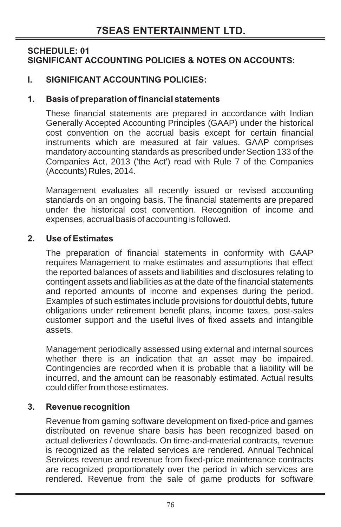### **SCHEDULE: 01 SIGNIFICANT ACCOUNTING POLICIES & NOTES ON ACCOUNTS:**

## **I. SIGNIFICANT ACCOUNTING POLICIES:**

### **1. Basis of preparation of financial statements**

These financial statements are prepared in accordance with Indian Generally Accepted Accounting Principles (GAAP) under the historical cost convention on the accrual basis except for certain financial instruments which are measured at fair values. GAAP comprises mandatory accounting standards as prescribed under Section 133 of the Companies Act, 2013 ('the Act') read with Rule 7 of the Companies (Accounts) Rules, 2014.

Management evaluates all recently issued or revised accounting standards on an ongoing basis. The financial statements are prepared under the historical cost convention. Recognition of income and expenses, accrual basis of accounting is followed.

### **2. Use of Estimates**

The preparation of financial statements in conformity with GAAP requires Management to make estimates and assumptions that effect the reported balances of assets and liabilities and disclosures relating to contingent assets and liabilities as at the date of the financial statements and reported amounts of income and expenses during the period. Examples of such estimates include provisions for doubtful debts, future obligations under retirement benefit plans, income taxes, post-sales customer support and the useful lives of fixed assets and intangible assets.

Management periodically assessed using external and internal sources whether there is an indication that an asset may be impaired. Contingencies are recorded when it is probable that a liability will be incurred, and the amount can be reasonably estimated. Actual results could differ from those estimates.

### **3. Revenue recognition**

Revenue from gaming software development on fixed-price and games distributed on revenue share basis has been recognized based on actual deliveries / downloads. On time-and-material contracts, revenue is recognized as the related services are rendered. Annual Technical Services revenue and revenue from fixed-price maintenance contracts are recognized proportionately over the period in which services are rendered. Revenue from the sale of game products for software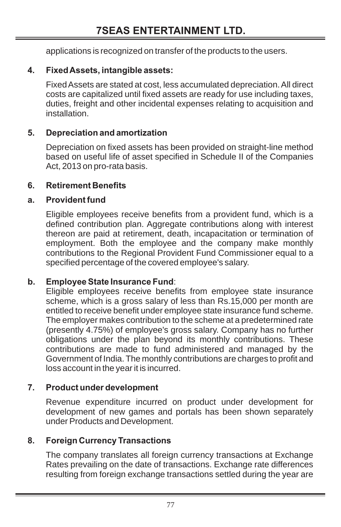applications is recognized on transfer of the products to the users.

## **4. Fixed Assets, intangible assets:**

Fixed Assets are stated at cost, less accumulated depreciation. All direct costs are capitalized until fixed assets are ready for use including taxes, duties, freight and other incidental expenses relating to acquisition and installation.

## **5. Depreciation and amortization**

Depreciation on fixed assets has been provided on straight-line method based on useful life of asset specified in Schedule II of the Companies Act, 2013 on pro-rata basis.

### **6. Retirement Benefits**

### **a. Provident fund**

Eligible employees receive benefits from a provident fund, which is a defined contribution plan. Aggregate contributions along with interest thereon are paid at retirement, death, incapacitation or termination of employment. Both the employee and the company make monthly contributions to the Regional Provident Fund Commissioner equal to a specified percentage of the covered employee's salary.

# **b. Employee State Insurance Fund**:

Eligible employees receive benefits from employee state insurance scheme, which is a gross salary of less than Rs.15,000 per month are entitled to receive benefit under employee state insurance fund scheme. The employer makes contribution to the scheme at a predetermined rate (presently 4.75%) of employee's gross salary. Company has no further obligations under the plan beyond its monthly contributions. These contributions are made to fund administered and managed by the Government of India. The monthly contributions are charges to profit and loss account in the year it is incurred.

### **7. Product under development**

Revenue expenditure incurred on product under development for development of new games and portals has been shown separately under Products and Development.

# **8. Foreign Currency Transactions**

The company translates all foreign currency transactions at Exchange Rates prevailing on the date of transactions. Exchange rate differences resulting from foreign exchange transactions settled during the year are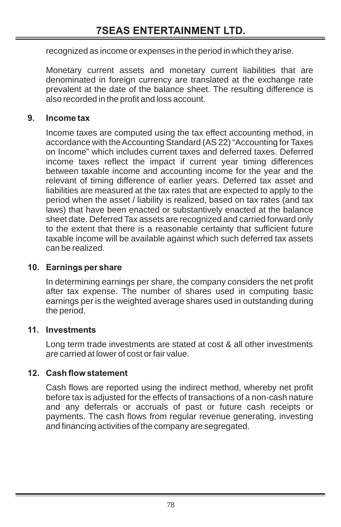recognized as income or expenses in the period in which they arise.

Monetary current assets and monetary current liabilities that are denominated in foreign currency are translated at the exchange rate prevalent at the date of the balance sheet. The resulting difference is also recorded in the profit and loss account.

### **9. Income tax**

Income taxes are computed using the tax effect accounting method, in accordance with the Accounting Standard (AS 22) "Accounting for Taxes on Income" which includes current taxes and deferred taxes. Deferred income taxes reflect the impact if current year timing differences between taxable income and accounting income for the year and the relevant of timing difference of earlier years. Deferred tax asset and liabilities are measured at the tax rates that are expected to apply to the period when the asset / liability is realized, based on tax rates (and tax laws) that have been enacted or substantively enacted at the balance sheet date. Deferred Tax assets are recognized and carried forward only to the extent that there is a reasonable certainty that sufficient future taxable income will be available against which such deferred tax assets can be realized.

### **10. Earnings per share**

In determining earnings per share, the company considers the net profit after tax expense. The number of shares used in computing basic earnings per is the weighted average shares used in outstanding during the period.

### **11. Investments**

Long term trade investments are stated at cost & all other investments are carried at lower of cost or fair value.

### **12. Cash flow statement**

Cash flows are reported using the indirect method, whereby net profit before tax is adjusted for the effects of transactions of a non-cash nature and any deferrals or accruals of past or future cash receipts or payments. The cash flows from regular revenue generating, investing and financing activities of the company are segregated.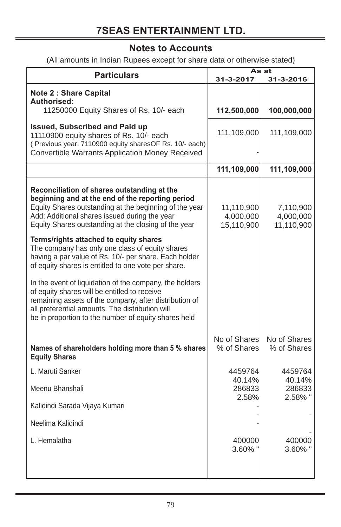## **Notes to Accounts**

| <b>Particulars</b>                                                                                                                                                                                                                                                           |                                       | As at                                |
|------------------------------------------------------------------------------------------------------------------------------------------------------------------------------------------------------------------------------------------------------------------------------|---------------------------------------|--------------------------------------|
|                                                                                                                                                                                                                                                                              | 31-3-2017                             | 31-3-2016                            |
| <b>Note 2: Share Capital</b><br>Authorised:                                                                                                                                                                                                                                  |                                       |                                      |
| 11250000 Equity Shares of Rs. 10/- each                                                                                                                                                                                                                                      | 112,500,000                           | 100,000,000                          |
| Issued, Subscribed and Paid up<br>11110900 equity shares of Rs. 10/- each<br>(Previous year: 7110900 equity sharesOF Rs. 10/- each)<br><b>Convertible Warrants Application Money Received</b>                                                                                | 111,109,000                           | 111,109,000                          |
|                                                                                                                                                                                                                                                                              | 111,109,000                           | 111,109,000                          |
| Reconciliation of shares outstanding at the<br>beginning and at the end of the reporting period<br>Equity Shares outstanding at the beginning of the year<br>Add: Additional shares issued during the year<br>Equity Shares outstanding at the closing of the year           | 11,110,900<br>4,000,000<br>15,110,900 | 7,110,900<br>4,000,000<br>11,110,900 |
| Terms/rights attached to equity shares<br>The company has only one class of equity shares<br>having a par value of Rs. 10/- per share. Each holder<br>of equity shares is entitled to one vote per share.                                                                    |                                       |                                      |
| In the event of liquidation of the company, the holders<br>of equity shares will be entitled to receive<br>remaining assets of the company, after distribution of<br>all preferential amounts. The distribution will<br>be in proportion to the number of equity shares held |                                       |                                      |
| Names of shareholders holding more than 5 % shares<br><b>Equity Shares</b>                                                                                                                                                                                                   | No of Shares<br>% of Shares           | No of Shares<br>% of Shares          |
| L. Maruti Sanker                                                                                                                                                                                                                                                             | 4459764                               | 4459764                              |
| Meenu Bhanshali                                                                                                                                                                                                                                                              | 40.14%<br>286833<br>2.58%             | 40.14%<br>286833<br>2.58% "          |
| Kalidindi Sarada Vijaya Kumari                                                                                                                                                                                                                                               |                                       |                                      |
| Neelima Kalidindi                                                                                                                                                                                                                                                            |                                       |                                      |
| L. Hemalatha                                                                                                                                                                                                                                                                 | 400000<br>3.60% "                     | 400000<br>$3.60\%$ "                 |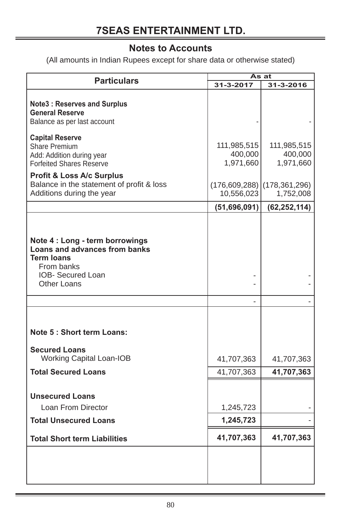## **Notes to Accounts**

| <b>Particulars</b>                                                                                                                             |                                     | As at                               |
|------------------------------------------------------------------------------------------------------------------------------------------------|-------------------------------------|-------------------------------------|
|                                                                                                                                                | 31-3-2017                           | 31-3-2016                           |
| <b>Note3: Reserves and Surplus</b><br><b>General Reserve</b><br>Balance as per last account                                                    |                                     |                                     |
| <b>Capital Reserve</b><br>Share Premium<br>Add: Addition during year<br><b>Forfeited Shares Reserve</b>                                        | 111,985,515<br>400,000<br>1,971,660 | 111,985,515<br>400,000<br>1,971,660 |
| <b>Profit &amp; Loss A/c Surplus</b><br>Balance in the statement of profit & loss<br>Additions during the year                                 | (176, 609, 288)<br>10,556,023       | (178, 361, 296)<br>1,752,008        |
|                                                                                                                                                | (51,696,091)                        | (62, 252, 114)                      |
| Note 4 : Long - term borrowings<br>Loans and advances from banks<br><b>Term loans</b><br>From banks<br><b>IOB-</b> Secured Loan<br>Other Loans |                                     |                                     |
|                                                                                                                                                |                                     |                                     |
| Note 5 : Short term Loans:<br><b>Secured Loans</b><br><b>Working Capital Loan-IOB</b><br><b>Total Secured Loans</b>                            | 41,707,363                          | 41,707,363<br>41,707,363            |
|                                                                                                                                                | 41,707,363                          |                                     |
| <b>Unsecured Loans</b><br>Loan From Director<br><b>Total Unsecured Loans</b>                                                                   | 1,245,723<br>1,245,723              |                                     |
|                                                                                                                                                |                                     |                                     |
| <b>Total Short term Liabilities</b>                                                                                                            | 41,707,363                          | 41,707,363                          |
|                                                                                                                                                |                                     |                                     |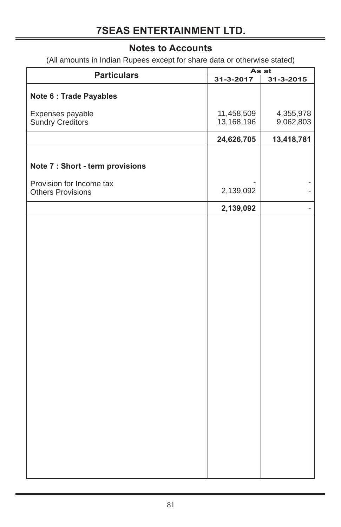## **Notes to Accounts**

| <b>Particulars</b>                                   |            | As at           |
|------------------------------------------------------|------------|-----------------|
|                                                      | 31-3-2017  | $31 - 3 - 2015$ |
| <b>Note 6 : Trade Payables</b>                       |            |                 |
| Expenses payable                                     | 11,458,509 | 4,355,978       |
| <b>Sundry Creditors</b>                              | 13,168,196 | 9,062,803       |
|                                                      | 24,626,705 | 13,418,781      |
| Note 7 : Short - term provisions                     |            |                 |
|                                                      |            |                 |
| Provision for Income tax<br><b>Others Provisions</b> | 2,139,092  |                 |
|                                                      | 2,139,092  |                 |
|                                                      |            |                 |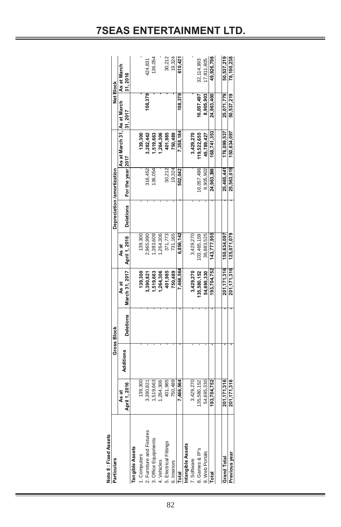| Note 8 : Fixed Assets     |                        |           |                    |                         |                        |                  |                            |                             |            |                        |
|---------------------------|------------------------|-----------|--------------------|-------------------------|------------------------|------------------|----------------------------|-----------------------------|------------|------------------------|
| Particulars               |                        |           | <b>Gross Block</b> |                         |                        |                  | Depreciation /amortization |                             | Net Block  |                        |
|                           | April 1, 2016<br>As at | Additions | <b>Deletions</b>   | March 31, 2017<br>As at | April 1, 2016<br>As at | <b>Deletions</b> | For the year 2017          | As at March 31, As at March | 31,2017    | As at March<br>31,2016 |
| Tangible Assets           |                        |           |                    |                         |                        |                  |                            |                             |            |                        |
| 1. Computers              | 139,300                |           |                    | 139,300                 | 139,300                |                  |                            | 139,300                     |            |                        |
| 2. Furniture and Fixtures | 3,390,821              |           |                    | ,390,821                | ,965,990               |                  | 316,452                    | ,282,442                    | 108,379    | 424,831                |
| 3. Office Equipments      | 519,663                |           |                    | ,519,663                | ,383,609               |                  | 136,054                    | ,519,663                    |            | 136,054                |
| 4. Vehicles               | 264,306                |           |                    | ,264,306                | ,264,306               |                  |                            | ,264,306                    |            |                        |
| 5. Electrical Fittings    | 401,985                |           |                    | 401,985                 | 371,773                |                  | 30,212                     | 401,985                     |            | 30,212                 |
| 6. Interiors              | 750,489                |           |                    | 750.489                 | 731,165                |                  | 19.324                     | 750489                      |            | 19,324                 |
| Total                     | 7.466.564              |           |                    | 7,466,564               | 6,856,142              |                  | 502,042                    | 7,358,184                   | 108,379    | 610,421                |
| Intangible Assets         |                        |           |                    |                         |                        |                  |                            |                             |            |                        |
| 7. Software               | 3,429,270              |           |                    | 3,429,270               | 3,429,270              |                  |                            | 3,429,270                   |            |                        |
| 8. Games & IP's           | 135,580,152            |           |                    | 135,580,152             | 03,465,159             |                  | 16,057,496                 | 19,522,655                  | 6,057,497  | 32,114,993             |
| 9. Web Portals            | 54,695,330             |           |                    | 54,695,330              | 36,883,525             |                  | 8,905,902                  | 45,789,427                  | 8,905,903  | 17,811,805             |
| Total                     | 193.704.752            |           |                    | 193.704.752             | 143.777.955            |                  | 24,963,398                 | 168.741.353                 | 24,963,40  | 49,926,798             |
|                           |                        |           |                    |                         |                        |                  |                            |                             |            |                        |
| Grand Total               | 201,171,316            |           |                    | 201.171.316             | 150.634.097            |                  | 25.465.441                 | 176,099,537                 | 25.071.779 | 50,537,219             |
| <b>Previous year</b>      | 201.171.316            |           |                    | 201.171.316             | 125,071,079            |                  | 25,563,019                 | 150,634,097                 | 50,537,219 | 76,100,238             |
|                           |                        |           |                    |                         |                        |                  |                            |                             |            |                        |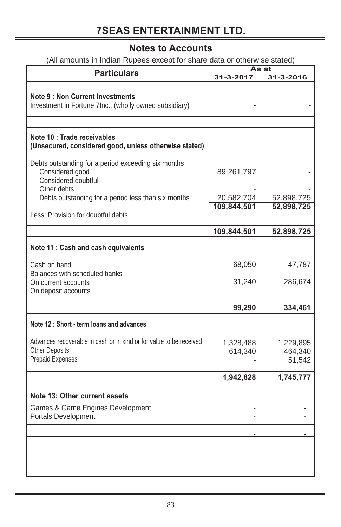# **Notes to Accounts**

(All amounts in Indian Rupees except for share data or otherwise stated)

|                                                                                                                  |                      | As at                          |
|------------------------------------------------------------------------------------------------------------------|----------------------|--------------------------------|
| <b>Particulars</b>                                                                                               | 31-3-2017            | 31-3-2016                      |
| <b>Note 9: Non Current Investments</b><br>Investment in Fortune 7Inc., (wholly owned subsidiary)                 |                      |                                |
|                                                                                                                  |                      |                                |
| Note 10 : Trade receivables<br>(Unsecured, considered good, unless otherwise stated)                             |                      |                                |
| Debts outstanding for a period exceeding six months<br>Considered good<br>Considered doubtful<br>Other debts     | 89,261,797           |                                |
| Debts outstanding for a period less than six months                                                              | 20,582,704           | 52,898,725                     |
| Less: Provision for doubtful debts                                                                               | 109,844,501          | 52,898,725                     |
|                                                                                                                  | 109,844,501          | 52,898,725                     |
| Note 11 : Cash and cash equivalents                                                                              |                      |                                |
| Cash on hand<br>Balances with scheduled banks                                                                    | 68,050               | 47,787                         |
| On current accounts<br>On deposit accounts                                                                       | 31,240               | 286,674                        |
|                                                                                                                  | 99,290               | 334,461                        |
| Note 12 : Short - term loans and advances                                                                        |                      |                                |
| Advances recoverable in cash or in kind or for value to be received<br><b>Other Deposits</b><br>Prepaid Expenses | 1,328,488<br>614,340 | 1,229,895<br>464,340<br>51,542 |
|                                                                                                                  | 1,942,828            | 1,745,777                      |
| Note 13: Other current assets                                                                                    |                      |                                |
| Games & Game Engines Development<br>Portals Development                                                          |                      |                                |
|                                                                                                                  |                      |                                |
|                                                                                                                  |                      |                                |

<u> 1989 - Johann Barnett, fransk politiker (d. 1989)</u>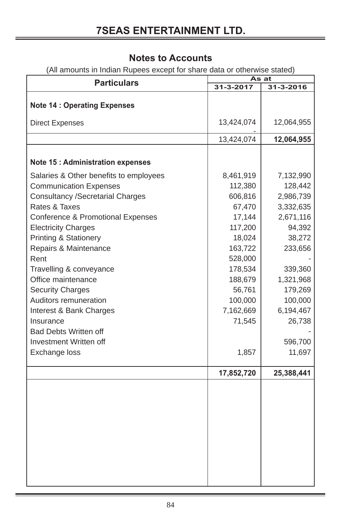## **Notes to Accounts**

| <b>Particulars</b>                      |            | As at      |
|-----------------------------------------|------------|------------|
|                                         | 31-3-2017  | 31-3-2016  |
| <b>Note 14: Operating Expenses</b>      |            |            |
| <b>Direct Expenses</b>                  | 13,424,074 | 12,064,955 |
|                                         | 13,424,074 | 12,064,955 |
| <b>Note 15: Administration expenses</b> |            |            |
| Salaries & Other benefits to employees  | 8,461,919  | 7,132,990  |
| <b>Communication Expenses</b>           | 112,380    | 128,442    |
| <b>Consultancy /Secretarial Charges</b> | 606,816    | 2,986,739  |
| Rates & Taxes                           | 67,470     | 3,332,635  |
| Conference & Promotional Expenses       | 17,144     | 2,671,116  |
| <b>Electricity Charges</b>              | 117,200    | 94,392     |
| <b>Printing &amp; Stationery</b>        | 18,024     | 38,272     |
| Repairs & Maintenance                   | 163,722    | 233,656    |
| Rent                                    | 528,000    |            |
| Travelling & conveyance                 | 178,534    | 339,360    |
| Office maintenance                      | 188,679    | 1,321,968  |
| <b>Security Charges</b>                 | 56,761     | 179,269    |
| Auditors remuneration                   | 100,000    | 100,000    |
| Interest & Bank Charges                 | 7,162,669  | 6,194,467  |
| Insurance                               | 71,545     | 26,738     |
| <b>Bad Debts Written off</b>            |            |            |
| Investment Written off                  |            | 596,700    |
| Exchange loss                           | 1,857      | 11,697     |
|                                         | 17,852,720 | 25,388,441 |
|                                         |            |            |
|                                         |            |            |
|                                         |            |            |
|                                         |            |            |
|                                         |            |            |
|                                         |            |            |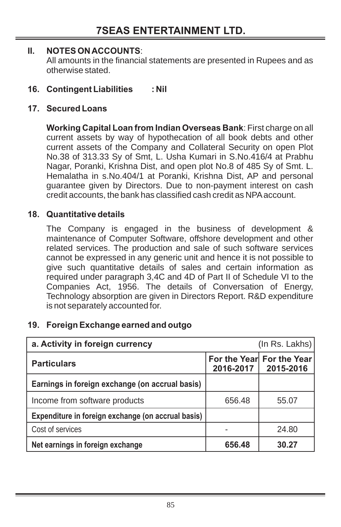### **II. NOTES ON ACCOUNTS**:

All amounts in the financial statements are presented in Rupees and as otherwise stated.

**16. Contingent Liabilities : Nil**

### **17. Secured Loans**

**Working Capital Loan from Indian Overseas Bank**: First charge on all current assets by way of hypothecation of all book debts and other current assets of the Company and Collateral Security on open Plot No.38 of 313.33 Sy of Smt, L. Usha Kumari in S.No.416/4 at Prabhu Nagar, Poranki, Krishna Dist, and open plot No.8 of 485 Sy of Smt. L. Hemalatha in s.No.404/1 at Poranki, Krishna Dist, AP and personal guarantee given by Directors. Due to non-payment interest on cash credit accounts, the bank has classified cash credit as NPA account.

### **18. Quantitative details**

The Company is engaged in the business of development & maintenance of Computer Software, offshore development and other related services. The production and sale of such software services cannot be expressed in any generic unit and hence it is not possible to give such quantitative details of sales and certain information as required under paragraph 3,4C and 4D of Part II of Schedule VI to the Companies Act, 1956. The details of Conversation of Energy, Technology absorption are given in Directors Report. R&D expenditure is not separately accounted for.

### **19. Foreign Exchange earned and outgo**

| a. Activity in foreign currency                    |           | (ln Rs. Lakhs)                         |
|----------------------------------------------------|-----------|----------------------------------------|
| <b>Particulars</b>                                 | 2016-2017 | For the Year For the Year<br>2015-2016 |
| Earnings in foreign exchange (on accrual basis)    |           |                                        |
| Income from software products                      | 656.48    | 55.07                                  |
| Expenditure in foreign exchange (on accrual basis) |           |                                        |
| Cost of services                                   |           | 24.80                                  |
| Net earnings in foreign exchange                   | 656.48    | 30.27                                  |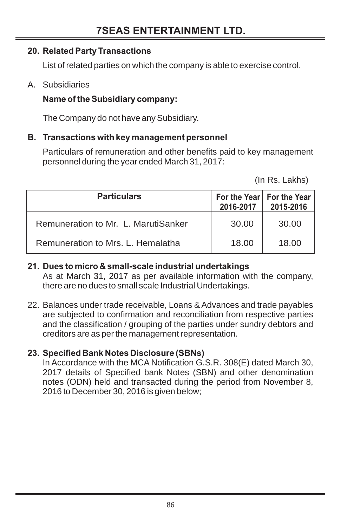## **20. Related Party Transactions**

List of related parties on which the company is able to exercise control.

### A. Subsidiaries

## **Name of the Subsidiary company:**

The Company do not have any Subsidiary.

### **B. Transactions with key management personnel**

Particulars of remuneration and other benefits paid to key management personnel during the year ended March 31, 2017:

(In Rs. Lakhs)

| <b>Particulars</b>                  | 2016-2017 | For the Year   For the Year<br>2015-2016 |
|-------------------------------------|-----------|------------------------------------------|
| Remuneration to Mr. L. MarutiSanker | 30.00     | 30.00                                    |
| Remuneration to Mrs. L. Hemalatha   | 18.00     | 18.00                                    |

### **21. Dues to micro & small-scale industrial undertakings**

As at March 31, 2017 as per available information with the company, there are no dues to small scale Industrial Undertakings.

22. Balances under trade receivable, Loans & Advances and trade payables are subjected to confirmation and reconciliation from respective parties and the classification / grouping of the parties under sundry debtors and creditors are as per the management representation.

### **23. Specified Bank Notes Disclosure (SBNs)**

In Accordance with the MCA Notification G.S.R. 308(E) dated March 30, 2017 details of Specified bank Notes (SBN) and other denomination notes (ODN) held and transacted during the period from November 8, 2016 to December 30, 2016 is given below;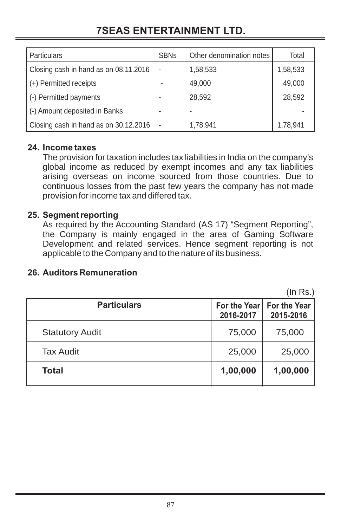| <b>Particulars</b>                    | <b>SBNs</b>    | Other denomination notes | Total    |
|---------------------------------------|----------------|--------------------------|----------|
| Closing cash in hand as on 08.11.2016 | $\overline{a}$ | 1,58,533                 | 1,58,533 |
| (+) Permitted receipts                |                | 49.000                   | 49,000   |
| (-) Permitted payments                | -              | 28.592                   | 28.592   |
| (-) Amount deposited in Banks         | $\overline{a}$ |                          |          |
| Closing cash in hand as on 30.12.2016 | ٠              | 1,78,941                 | 1,78,941 |

### **24. Income taxes**

The provision for taxation includes tax liabilities in India on the company's global income as reduced by exempt incomes and any tax liabilities arising overseas on income sourced from those countries. Due to continuous losses from the past few years the company has not made provision for income tax and differed tax.

### **25. Segment reporting**

As required by the Accounting Standard (AS 17) "Segment Reporting", the Company is mainly engaged in the area of Gaming Software Development and related services. Hence segment reporting is not applicable to the Company and to the nature of its business.

### **26. Auditors Remuneration**

 $(ln Rs)$ 

| <b>Particulars</b>     | 2016-2017 | For the Year   For the Year<br>2015-2016 |
|------------------------|-----------|------------------------------------------|
| <b>Statutory Audit</b> | 75,000    | 75,000                                   |
| <b>Tax Audit</b>       | 25,000    | 25,000                                   |
| <b>Total</b>           | 1,00,000  | 1,00,000                                 |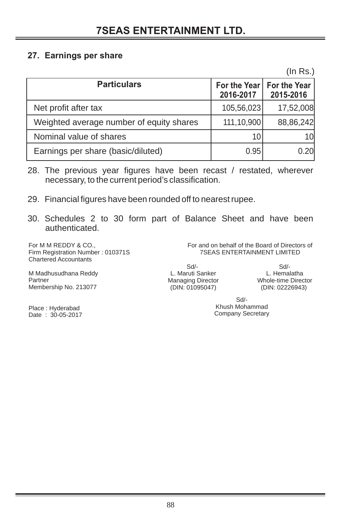### **27. Earnings per share**

 $(ln Rs.)$ 

| <b>Particulars</b>                       | 2016-2017  | For the Year   For the Year<br>2015-2016 |
|------------------------------------------|------------|------------------------------------------|
| Net profit after tax                     | 105,56,023 | 17,52,008                                |
| Weighted average number of equity shares | 111,10,900 | 88,86,242                                |
| Nominal value of shares                  | 10         |                                          |
| Earnings per share (basic/diluted)       | 0.95       | 0.20                                     |

28. The previous year figures have been recast / restated, wherever necessary, to the current period's classification.

- 29. Financial figures have been rounded off to nearest rupee.
- 30. Schedules 2 to 30 form part of Balance Sheet and have been authenticated.

For M M REDDY & CO., Firm Registration Number : 010371S Chartered Accountants

M Madhusudhana Reddy Partner Membership No. 213077

Sd/- L. Maruti Sanker Managing Director (DIN: 01095047)

 Sd/- L. Hemalatha Whole-time Director (DIN: 02226943)

Place : Hyderabad Date : 30-05-2017

 Sd/- Khush Mohammad Company Secretary

 For and on behalf of the Board of Directors of 7SEAS ENTERTAINMENT LIMITED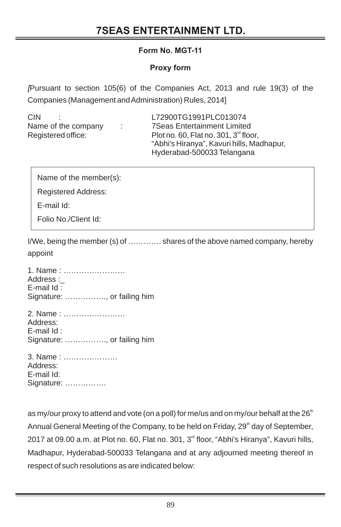### **Form No. MGT-11**

### **Proxy form**

*[*Pursuant to section 105(6) of the Companies Act, 2013 and rule 19(3) of the Companies (Management and Administration) Rules, 2014]

CIN :<br>Name of the company : L72900TG1991PLC013074 : 7Seas Entertainment Limited Registered office: Plot no. 60, Flat no. 301, 3<sup>rd</sup> floor, "Abhi's Hiranya", Kavuri hills, Madhapur, Hyderabad-500033 Telangana

Name of the member(s):

Registered Address:

E-mail Id:

Folio No./Client Id:

I/We, being the member (s) of …………. shares of the above named company, hereby appoint

1. Name : …………………… Address : E-mail Id : Signature: ……………., or failing him 2. Name : …………………… Address: E-mail Id : Signature: ……………., or failing him

3. Name : ………………… Address: E-mail Id: Signature: …………….

as my/our proxy to attend and vote (on a poll) for me/us and on my/our behalf at the  $26<sup>th</sup>$ Annual General Meeting of the Company, to be held on Friday, 29<sup>th</sup> day of September, 2017 at 09.00 a.m. at Plot no. 60, Flat no. 301, 3<sup>d</sup> floor, "Abhi's Hiranya", Kavuri hills, Madhapur, Hyderabad-500033 Telangana and at any adjourned meeting thereof in respect of such resolutions as are indicated below: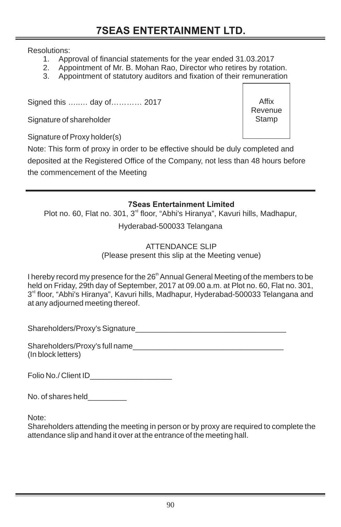Resolutions:

- 1. Approval of financial statements for the year ended 31.03.2017
- 2. Appointment of Mr. B. Mohan Rao, Director who retires by rotation.<br>3. Appointment of statutory auditors and fixation of their remuneration.
- Appointment of statutory auditors and fixation of their remuneration

Signed this …..… day of………… 2017

Signature of shareholder

Signature of Proxy holder(s)

Note: This form of proxy in order to be effective should be duly completed and deposited at the Registered Office of the Company, not less than 48 hours before the commencement of the Meeting

### **7Seas Entertainment Limited**

Plot no. 60, Flat no. 301, 3<sup>rd</sup> floor, "Abhi's Hiranya", Kayuri hills, Madhapur,

Hyderabad-500033 Telangana

ATTENDANCE SLIP (Please present this slip at the Meeting venue)

I hereby record my presence for the  $26<sup>th</sup>$  Annual General Meeting of the members to be held on Friday, 29th day of September, 2017 at 09.00 a.m. at Plot no. 60, Flat no. 301,  $3<sup>rd</sup>$  floor, "Abhi's Hiranya", Kavuri hills, Madhapur, Hyderabad-500033 Telangana and at any adjourned meeting thereof.

Shareholders/Proxy's Signature

Shareholders/Proxy's full name\_\_\_\_\_\_\_\_\_\_\_\_\_\_\_\_\_\_\_\_\_\_\_\_\_\_\_\_\_\_\_\_\_\_\_ (In block letters)

Folio No./ Client ID\_\_\_\_\_\_\_\_\_\_\_\_\_\_\_\_\_\_\_

No. of shares held\_\_\_\_\_\_\_\_\_

Note:

Shareholders attending the meeting in person or by proxy are required to complete the attendance slip and hand it over at the entrance of the meeting hall.

Affix Revenue Stamp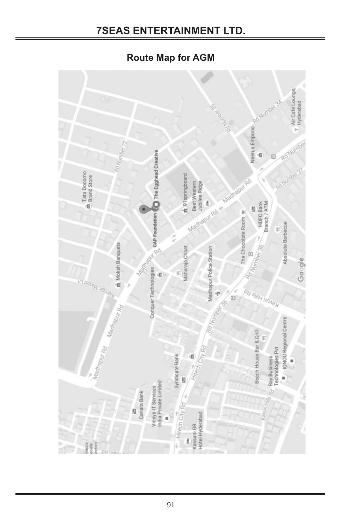**Route Map for AGM**